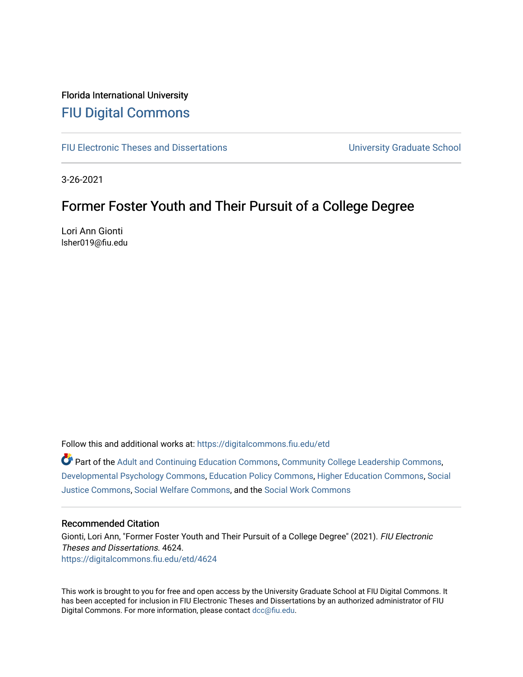# Florida International University [FIU Digital Commons](https://digitalcommons.fiu.edu/)

[FIU Electronic Theses and Dissertations](https://digitalcommons.fiu.edu/etd) **EXEC 10 ACCOLLECT** University Graduate School

3-26-2021

# Former Foster Youth and Their Pursuit of a College Degree

Lori Ann Gionti lsher019@fiu.edu

Follow this and additional works at: [https://digitalcommons.fiu.edu/etd](https://digitalcommons.fiu.edu/etd?utm_source=digitalcommons.fiu.edu%2Fetd%2F4624&utm_medium=PDF&utm_campaign=PDFCoverPages)

Part of the [Adult and Continuing Education Commons,](http://network.bepress.com/hgg/discipline/1375?utm_source=digitalcommons.fiu.edu%2Fetd%2F4624&utm_medium=PDF&utm_campaign=PDFCoverPages) [Community College Leadership Commons](http://network.bepress.com/hgg/discipline/1039?utm_source=digitalcommons.fiu.edu%2Fetd%2F4624&utm_medium=PDF&utm_campaign=PDFCoverPages), [Developmental Psychology Commons](http://network.bepress.com/hgg/discipline/410?utm_source=digitalcommons.fiu.edu%2Fetd%2F4624&utm_medium=PDF&utm_campaign=PDFCoverPages), [Education Policy Commons](http://network.bepress.com/hgg/discipline/1026?utm_source=digitalcommons.fiu.edu%2Fetd%2F4624&utm_medium=PDF&utm_campaign=PDFCoverPages), [Higher Education Commons](http://network.bepress.com/hgg/discipline/1245?utm_source=digitalcommons.fiu.edu%2Fetd%2F4624&utm_medium=PDF&utm_campaign=PDFCoverPages), [Social](http://network.bepress.com/hgg/discipline/1432?utm_source=digitalcommons.fiu.edu%2Fetd%2F4624&utm_medium=PDF&utm_campaign=PDFCoverPages)  [Justice Commons](http://network.bepress.com/hgg/discipline/1432?utm_source=digitalcommons.fiu.edu%2Fetd%2F4624&utm_medium=PDF&utm_campaign=PDFCoverPages), [Social Welfare Commons,](http://network.bepress.com/hgg/discipline/401?utm_source=digitalcommons.fiu.edu%2Fetd%2F4624&utm_medium=PDF&utm_campaign=PDFCoverPages) and the [Social Work Commons](http://network.bepress.com/hgg/discipline/713?utm_source=digitalcommons.fiu.edu%2Fetd%2F4624&utm_medium=PDF&utm_campaign=PDFCoverPages) 

#### Recommended Citation

Gionti, Lori Ann, "Former Foster Youth and Their Pursuit of a College Degree" (2021). FIU Electronic Theses and Dissertations. 4624. [https://digitalcommons.fiu.edu/etd/4624](https://digitalcommons.fiu.edu/etd/4624?utm_source=digitalcommons.fiu.edu%2Fetd%2F4624&utm_medium=PDF&utm_campaign=PDFCoverPages) 

This work is brought to you for free and open access by the University Graduate School at FIU Digital Commons. It has been accepted for inclusion in FIU Electronic Theses and Dissertations by an authorized administrator of FIU Digital Commons. For more information, please contact [dcc@fiu.edu](mailto:dcc@fiu.edu).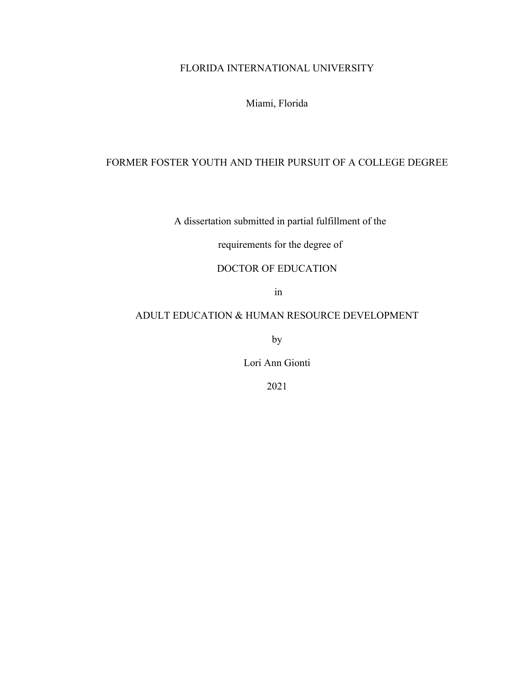# FLORIDA INTERNATIONAL UNIVERSITY

Miami, Florida

## FORMER FOSTER YOUTH AND THEIR PURSUIT OF A COLLEGE DEGREE

A dissertation submitted in partial fulfillment of the

requirements for the degree of

## DOCTOR OF EDUCATION

in

### ADULT EDUCATION & HUMAN RESOURCE DEVELOPMENT

by

Lori Ann Gionti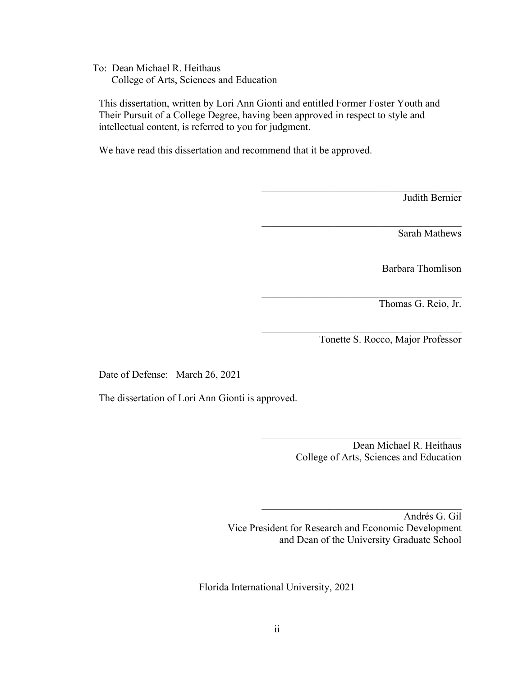To: Dean Michael R. Heithaus College of Arts, Sciences and Education

This dissertation, written by Lori Ann Gionti and entitled Former Foster Youth and Their Pursuit of a College Degree, having been approved in respect to style and intellectual content, is referred to you for judgment.

We have read this dissertation and recommend that it be approved.

Judith Bernier

Sarah Mathews

Barbara Thomlison

Thomas G. Reio, Jr.

Tonette S. Rocco, Major Professor

 $\mathcal{L}_\text{max}$ 

 $\mathcal{L}_\text{max}$  and  $\mathcal{L}_\text{max}$  and  $\mathcal{L}_\text{max}$  and  $\mathcal{L}_\text{max}$ 

 $\mathcal{L}_\text{max}$  and  $\mathcal{L}_\text{max}$  and  $\mathcal{L}_\text{max}$  and  $\mathcal{L}_\text{max}$ 

 $\mathcal{L}_\text{max}$ 

 $\mathcal{L}_\text{max}$  and  $\mathcal{L}_\text{max}$  and  $\mathcal{L}_\text{max}$  and  $\mathcal{L}_\text{max}$ 

Date of Defense: March 26, 2021

The dissertation of Lori Ann Gionti is approved.

Dean Michael R. Heithaus College of Arts, Sciences and Education

 $\mathcal{L}_\text{max}$  and  $\mathcal{L}_\text{max}$  and  $\mathcal{L}_\text{max}$  and  $\mathcal{L}_\text{max}$ 

 $\mathcal{L}_\text{max}$  and  $\mathcal{L}_\text{max}$  and  $\mathcal{L}_\text{max}$  and  $\mathcal{L}_\text{max}$ 

Andrés G. Gil Vice President for Research and Economic Development and Dean of the University Graduate School

Florida International University, 2021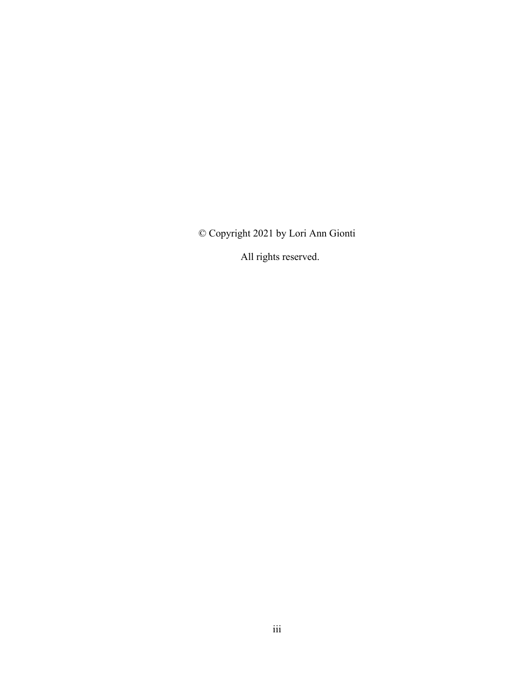© Copyright 2021 by Lori Ann Gionti

All rights reserved.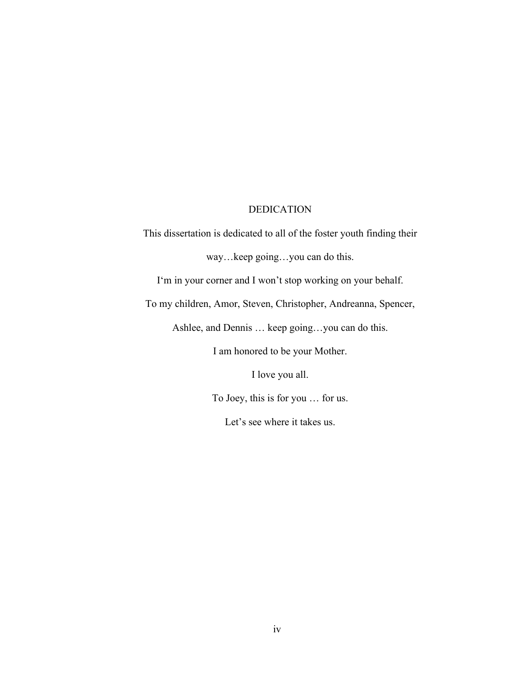#### DEDICATION

This dissertation is dedicated to all of the foster youth finding their way…keep going…you can do this. I'm in your corner and I won't stop working on your behalf.

To my children, Amor, Steven, Christopher, Andreanna, Spencer,

Ashlee, and Dennis … keep going…you can do this.

I am honored to be your Mother.

I love you all.

To Joey, this is for you … for us.

Let's see where it takes us.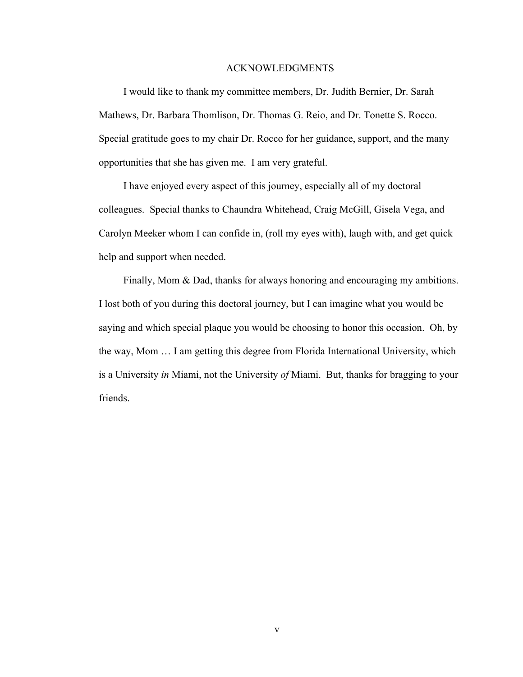#### ACKNOWLEDGMENTS

I would like to thank my committee members, Dr. Judith Bernier, Dr. Sarah Mathews, Dr. Barbara Thomlison, Dr. Thomas G. Reio, and Dr. Tonette S. Rocco. Special gratitude goes to my chair Dr. Rocco for her guidance, support, and the many opportunities that she has given me. I am very grateful.

I have enjoyed every aspect of this journey, especially all of my doctoral colleagues. Special thanks to Chaundra Whitehead, Craig McGill, Gisela Vega, and Carolyn Meeker whom I can confide in, (roll my eyes with), laugh with, and get quick help and support when needed.

Finally, Mom & Dad, thanks for always honoring and encouraging my ambitions. I lost both of you during this doctoral journey, but I can imagine what you would be saying and which special plaque you would be choosing to honor this occasion. Oh, by the way, Mom … I am getting this degree from Florida International University, which is a University *in* Miami, not the University *of* Miami. But, thanks for bragging to your friends.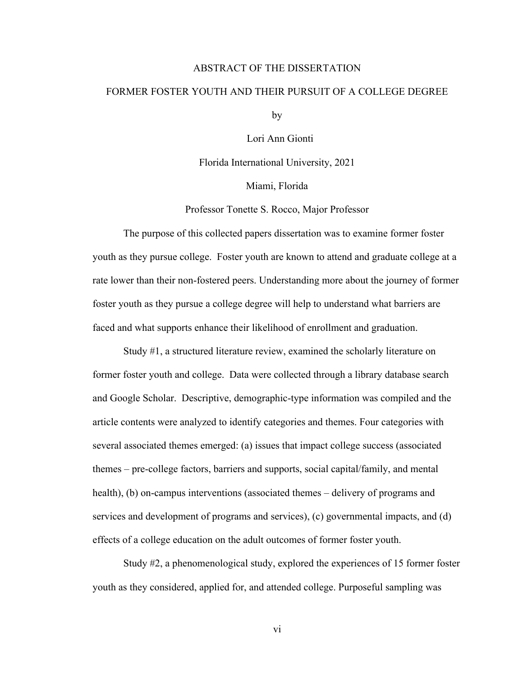#### ABSTRACT OF THE DISSERTATION

#### FORMER FOSTER YOUTH AND THEIR PURSUIT OF A COLLEGE DEGREE

by

Lori Ann Gionti

Florida International University, 2021

Miami, Florida

Professor Tonette S. Rocco, Major Professor

The purpose of this collected papers dissertation was to examine former foster youth as they pursue college. Foster youth are known to attend and graduate college at a rate lower than their non-fostered peers. Understanding more about the journey of former foster youth as they pursue a college degree will help to understand what barriers are faced and what supports enhance their likelihood of enrollment and graduation.

Study #1, a structured literature review, examined the scholarly literature on former foster youth and college. Data were collected through a library database search and Google Scholar. Descriptive, demographic-type information was compiled and the article contents were analyzed to identify categories and themes. Four categories with several associated themes emerged: (a) issues that impact college success (associated themes – pre-college factors, barriers and supports, social capital/family, and mental health), (b) on-campus interventions (associated themes – delivery of programs and services and development of programs and services), (c) governmental impacts, and (d) effects of a college education on the adult outcomes of former foster youth.

Study #2, a phenomenological study, explored the experiences of 15 former foster youth as they considered, applied for, and attended college. Purposeful sampling was

vi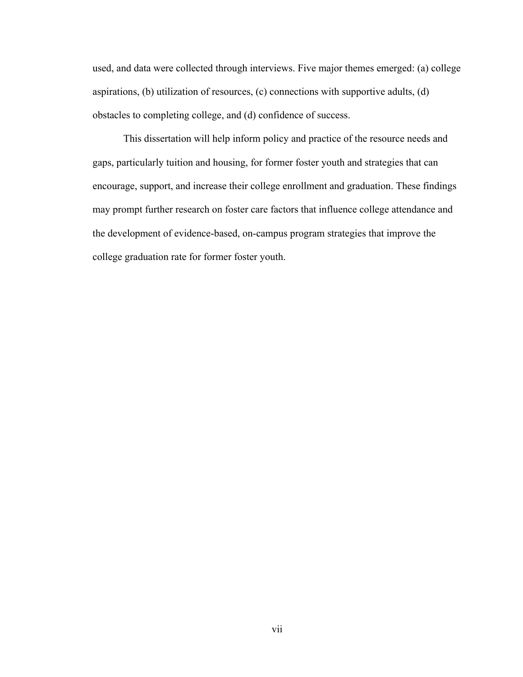used, and data were collected through interviews. Five major themes emerged: (a) college aspirations, (b) utilization of resources, (c) connections with supportive adults, (d) obstacles to completing college, and (d) confidence of success.

This dissertation will help inform policy and practice of the resource needs and gaps, particularly tuition and housing, for former foster youth and strategies that can encourage, support, and increase their college enrollment and graduation. These findings may prompt further research on foster care factors that influence college attendance and the development of evidence-based, on-campus program strategies that improve the college graduation rate for former foster youth.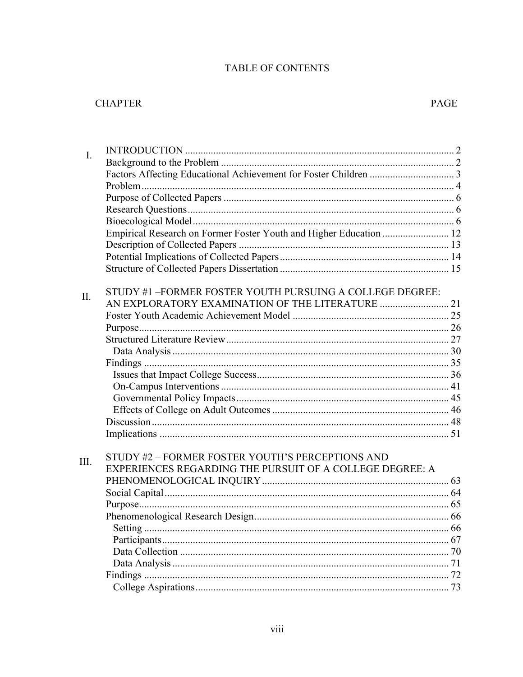# TABLE OF CONTENTS

# **CHAPTER**

| I.  |                                                                    |    |
|-----|--------------------------------------------------------------------|----|
|     |                                                                    |    |
|     |                                                                    |    |
|     |                                                                    |    |
|     |                                                                    |    |
|     |                                                                    |    |
|     |                                                                    |    |
|     | Empirical Research on Former Foster Youth and Higher Education  12 |    |
|     |                                                                    |    |
|     |                                                                    |    |
|     |                                                                    |    |
|     |                                                                    |    |
| II. | STUDY #1-FORMER FOSTER YOUTH PURSUING A COLLEGE DEGREE:            |    |
|     |                                                                    |    |
|     |                                                                    |    |
|     |                                                                    |    |
|     |                                                                    |    |
|     |                                                                    |    |
|     |                                                                    |    |
|     |                                                                    |    |
|     |                                                                    |    |
|     |                                                                    |    |
|     |                                                                    |    |
|     |                                                                    |    |
|     |                                                                    |    |
|     |                                                                    |    |
| Ш.  | STUDY #2 - FORMER FOSTER YOUTH'S PERCEPTIONS AND                   |    |
|     | EXPERIENCES REGARDING THE PURSUIT OF A COLLEGE DEGREE: A           |    |
|     |                                                                    |    |
|     |                                                                    |    |
|     |                                                                    |    |
|     |                                                                    |    |
|     |                                                                    |    |
|     |                                                                    | 67 |
|     |                                                                    | 70 |
|     |                                                                    | 71 |
|     |                                                                    | 72 |
|     |                                                                    |    |
|     |                                                                    |    |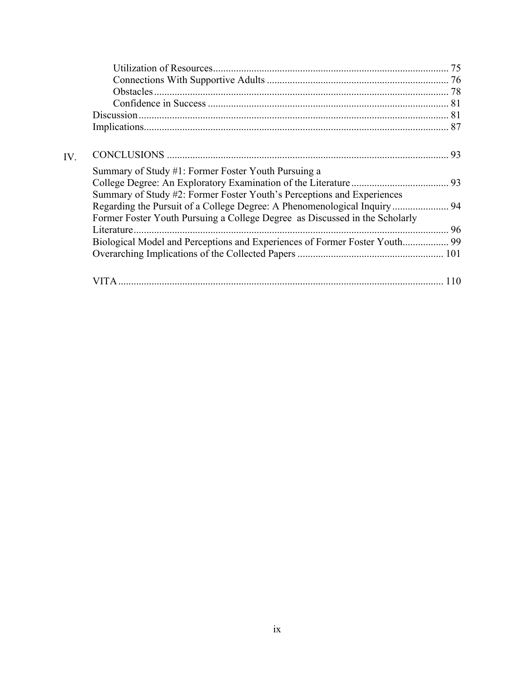| IV. |                                                                             |  |
|-----|-----------------------------------------------------------------------------|--|
|     | Summary of Study #1: Former Foster Youth Pursuing a                         |  |
|     |                                                                             |  |
|     | Summary of Study #2: Former Foster Youth's Perceptions and Experiences      |  |
|     |                                                                             |  |
|     | Former Foster Youth Pursuing a College Degree as Discussed in the Scholarly |  |
|     | Literature.                                                                 |  |
|     | Biological Model and Perceptions and Experiences of Former Foster Youth 99  |  |
|     |                                                                             |  |
|     | <b>VITA</b>                                                                 |  |
|     |                                                                             |  |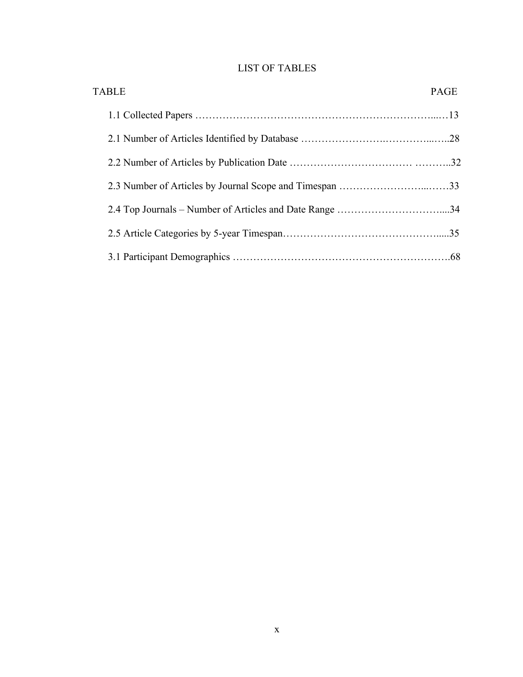# LIST OF TABLES

| <b>TABLE</b> | <b>PAGE</b> |
|--------------|-------------|
|              |             |
|              |             |
|              |             |
|              |             |
|              |             |
|              |             |
|              |             |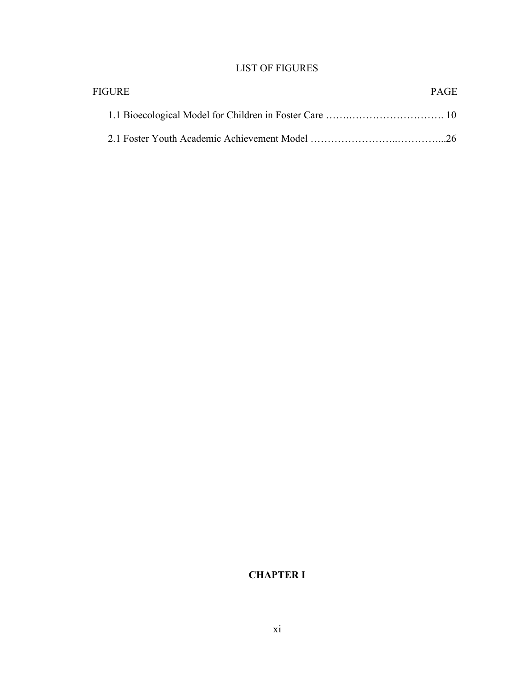# LIST OF FIGURES

| FIGURE | <b>PAGE</b> |
|--------|-------------|
|        |             |
|        |             |

# **CHAPTER I**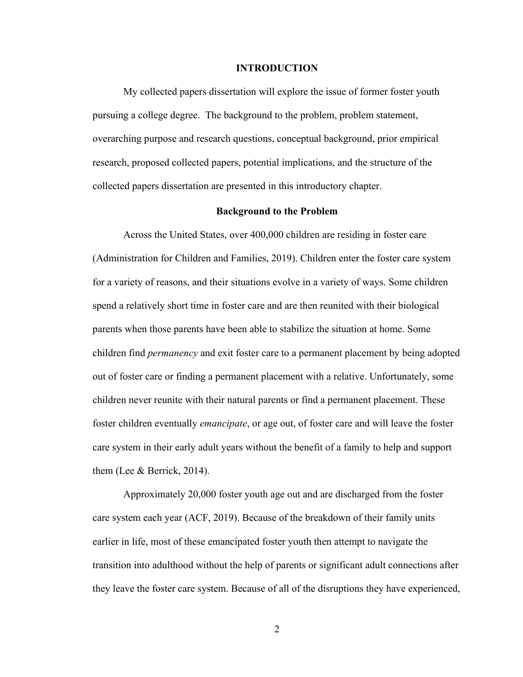#### **INTRODUCTION**

My collected papers dissertation will explore the issue of former foster youth pursuing a college degree. The background to the problem, problem statement, overarching purpose and research questions, conceptual background, prior empirical research, proposed collected papers, potential implications, and the structure of the collected papers dissertation are presented in this introductory chapter.

#### **Background to the Problem**

Across the United States, over 400,000 children are residing in foster care (Administration for Children and Families, 2019). Children enter the foster care system for a variety of reasons, and their situations evolve in a variety of ways. Some children spend a relatively short time in foster care and are then reunited with their biological parents when those parents have been able to stabilize the situation at home. Some children find *permanency* and exit foster care to a permanent placement by being adopted out of foster care or finding a permanent placement with a relative. Unfortunately, some children never reunite with their natural parents or find a permanent placement. These foster children eventually *emancipate*, or age out, of foster care and will leave the foster care system in their early adult years without the benefit of a family to help and support them (Lee & Berrick, 2014).

Approximately 20,000 foster youth age out and are discharged from the foster care system each year (ACF, 2019). Because of the breakdown of their family units earlier in life, most of these emancipated foster youth then attempt to navigate the transition into adulthood without the help of parents or significant adult connections after they leave the foster care system. Because of all of the disruptions they have experienced,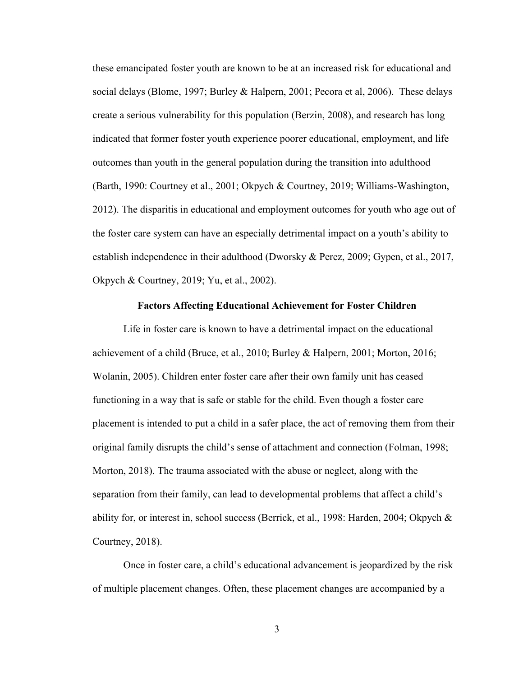these emancipated foster youth are known to be at an increased risk for educational and social delays (Blome, 1997; Burley & Halpern, 2001; Pecora et al, 2006). These delays create a serious vulnerability for this population (Berzin, 2008), and research has long indicated that former foster youth experience poorer educational, employment, and life outcomes than youth in the general population during the transition into adulthood (Barth, 1990: Courtney et al., 2001; Okpych & Courtney, 2019; Williams-Washington, 2012). The disparitis in educational and employment outcomes for youth who age out of the foster care system can have an especially detrimental impact on a youth's ability to establish independence in their adulthood (Dworsky & Perez, 2009; Gypen, et al., 2017, Okpych & Courtney, 2019; Yu, et al., 2002).

#### **Factors Affecting Educational Achievement for Foster Children**

Life in foster care is known to have a detrimental impact on the educational achievement of a child (Bruce, et al., 2010; Burley & Halpern, 2001; Morton, 2016; Wolanin, 2005). Children enter foster care after their own family unit has ceased functioning in a way that is safe or stable for the child. Even though a foster care placement is intended to put a child in a safer place, the act of removing them from their original family disrupts the child's sense of attachment and connection (Folman, 1998; Morton, 2018). The trauma associated with the abuse or neglect, along with the separation from their family, can lead to developmental problems that affect a child's ability for, or interest in, school success (Berrick, et al., 1998: Harden, 2004; Okpych & Courtney, 2018).

Once in foster care, a child's educational advancement is jeopardized by the risk of multiple placement changes. Often, these placement changes are accompanied by a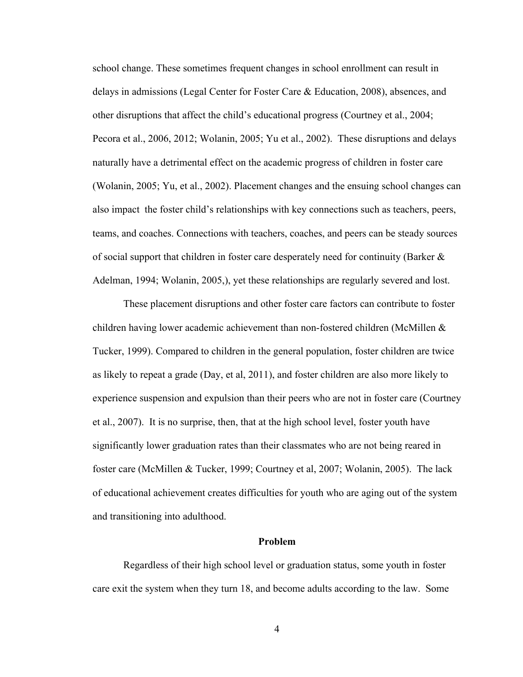school change. These sometimes frequent changes in school enrollment can result in delays in admissions (Legal Center for Foster Care & Education, 2008), absences, and other disruptions that affect the child's educational progress (Courtney et al., 2004; Pecora et al., 2006, 2012; Wolanin, 2005; Yu et al., 2002). These disruptions and delays naturally have a detrimental effect on the academic progress of children in foster care (Wolanin, 2005; Yu, et al., 2002). Placement changes and the ensuing school changes can also impact the foster child's relationships with key connections such as teachers, peers, teams, and coaches. Connections with teachers, coaches, and peers can be steady sources of social support that children in foster care desperately need for continuity (Barker  $\&$ Adelman, 1994; Wolanin, 2005,), yet these relationships are regularly severed and lost.

These placement disruptions and other foster care factors can contribute to foster children having lower academic achievement than non-fostered children (McMillen & Tucker, 1999). Compared to children in the general population, foster children are twice as likely to repeat a grade (Day, et al, 2011), and foster children are also more likely to experience suspension and expulsion than their peers who are not in foster care (Courtney et al., 2007). It is no surprise, then, that at the high school level, foster youth have significantly lower graduation rates than their classmates who are not being reared in foster care (McMillen & Tucker, 1999; Courtney et al, 2007; Wolanin, 2005). The lack of educational achievement creates difficulties for youth who are aging out of the system and transitioning into adulthood.

#### **Problem**

Regardless of their high school level or graduation status, some youth in foster care exit the system when they turn 18, and become adults according to the law. Some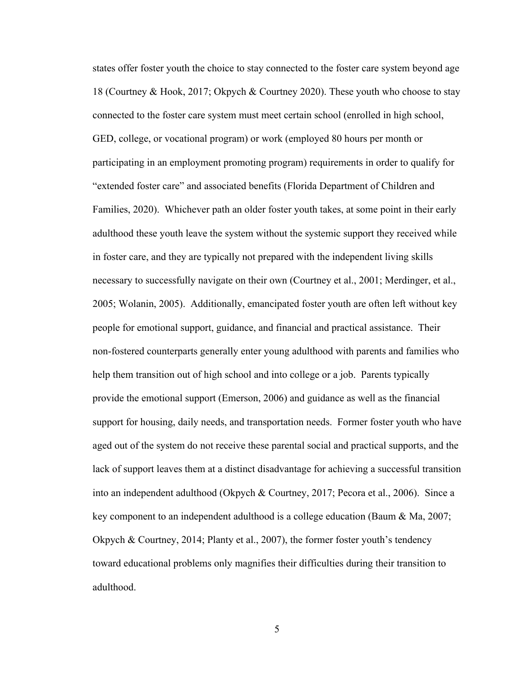states offer foster youth the choice to stay connected to the foster care system beyond age 18 (Courtney & Hook, 2017; Okpych & Courtney 2020). These youth who choose to stay connected to the foster care system must meet certain school (enrolled in high school, GED, college, or vocational program) or work (employed 80 hours per month or participating in an employment promoting program) requirements in order to qualify for "extended foster care" and associated benefits (Florida Department of Children and Families, 2020). Whichever path an older foster youth takes, at some point in their early adulthood these youth leave the system without the systemic support they received while in foster care, and they are typically not prepared with the independent living skills necessary to successfully navigate on their own (Courtney et al., 2001; Merdinger, et al., 2005; Wolanin, 2005). Additionally, emancipated foster youth are often left without key people for emotional support, guidance, and financial and practical assistance. Their non-fostered counterparts generally enter young adulthood with parents and families who help them transition out of high school and into college or a job. Parents typically provide the emotional support (Emerson, 2006) and guidance as well as the financial support for housing, daily needs, and transportation needs. Former foster youth who have aged out of the system do not receive these parental social and practical supports, and the lack of support leaves them at a distinct disadvantage for achieving a successful transition into an independent adulthood (Okpych & Courtney, 2017; Pecora et al., 2006). Since a key component to an independent adulthood is a college education (Baum & Ma, 2007; Okpych & Courtney, 2014; Planty et al., 2007), the former foster youth's tendency toward educational problems only magnifies their difficulties during their transition to adulthood.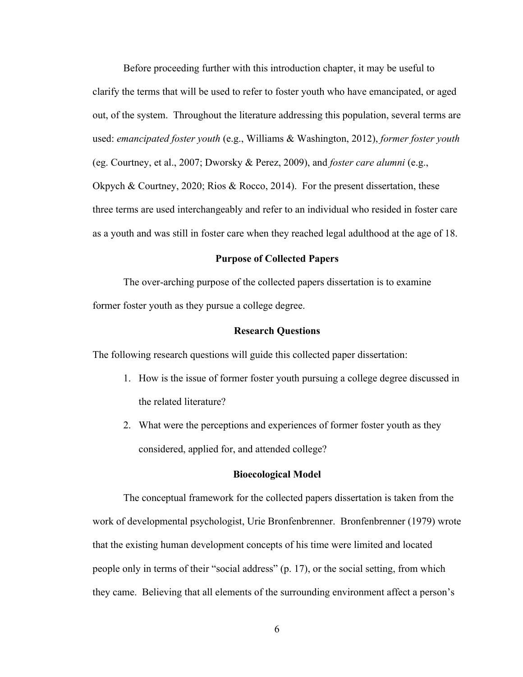Before proceeding further with this introduction chapter, it may be useful to clarify the terms that will be used to refer to foster youth who have emancipated, or aged out, of the system. Throughout the literature addressing this population, several terms are used: *emancipated foster youth* (e.g., Williams & Washington, 2012), *former foster youth* (eg. Courtney, et al., 2007; Dworsky & Perez, 2009), and *foster care alumni* (e.g., Okpych & Courtney, 2020; Rios & Rocco, 2014). For the present dissertation, these three terms are used interchangeably and refer to an individual who resided in foster care as a youth and was still in foster care when they reached legal adulthood at the age of 18.

#### **Purpose of Collected Papers**

The over-arching purpose of the collected papers dissertation is to examine former foster youth as they pursue a college degree.

#### **Research Questions**

The following research questions will guide this collected paper dissertation:

- 1. How is the issue of former foster youth pursuing a college degree discussed in the related literature?
- 2. What were the perceptions and experiences of former foster youth as they considered, applied for, and attended college?

#### **Bioecological Model**

The conceptual framework for the collected papers dissertation is taken from the work of developmental psychologist, Urie Bronfenbrenner. Bronfenbrenner (1979) wrote that the existing human development concepts of his time were limited and located people only in terms of their "social address" (p. 17), or the social setting, from which they came. Believing that all elements of the surrounding environment affect a person's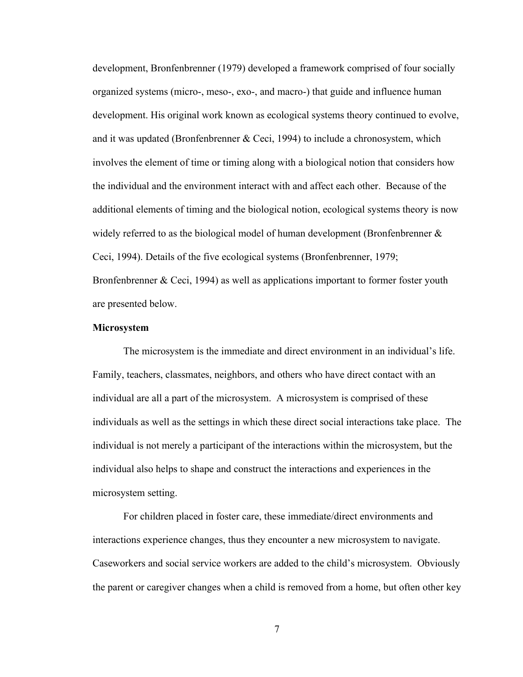development, Bronfenbrenner (1979) developed a framework comprised of four socially organized systems (micro-, meso-, exo-, and macro-) that guide and influence human development. His original work known as ecological systems theory continued to evolve, and it was updated (Bronfenbrenner & Ceci, 1994) to include a chronosystem, which involves the element of time or timing along with a biological notion that considers how the individual and the environment interact with and affect each other. Because of the additional elements of timing and the biological notion, ecological systems theory is now widely referred to as the biological model of human development (Bronfenbrenner  $\&$ Ceci, 1994). Details of the five ecological systems (Bronfenbrenner, 1979; Bronfenbrenner & Ceci, 1994) as well as applications important to former foster youth are presented below.

#### **Microsystem**

The microsystem is the immediate and direct environment in an individual's life. Family, teachers, classmates, neighbors, and others who have direct contact with an individual are all a part of the microsystem. A microsystem is comprised of these individuals as well as the settings in which these direct social interactions take place. The individual is not merely a participant of the interactions within the microsystem, but the individual also helps to shape and construct the interactions and experiences in the microsystem setting.

For children placed in foster care, these immediate/direct environments and interactions experience changes, thus they encounter a new microsystem to navigate. Caseworkers and social service workers are added to the child's microsystem. Obviously the parent or caregiver changes when a child is removed from a home, but often other key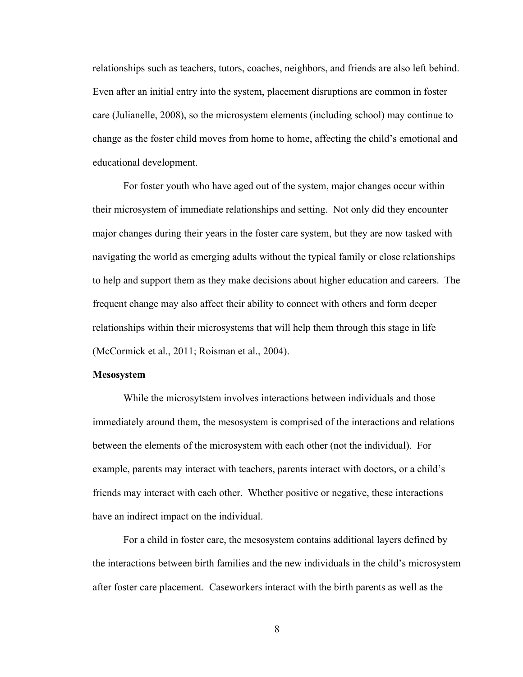relationships such as teachers, tutors, coaches, neighbors, and friends are also left behind. Even after an initial entry into the system, placement disruptions are common in foster care (Julianelle, 2008), so the microsystem elements (including school) may continue to change as the foster child moves from home to home, affecting the child's emotional and educational development.

For foster youth who have aged out of the system, major changes occur within their microsystem of immediate relationships and setting. Not only did they encounter major changes during their years in the foster care system, but they are now tasked with navigating the world as emerging adults without the typical family or close relationships to help and support them as they make decisions about higher education and careers. The frequent change may also affect their ability to connect with others and form deeper relationships within their microsystems that will help them through this stage in life (McCormick et al., 2011; Roisman et al., 2004).

#### **Mesosystem**

While the microsytstem involves interactions between individuals and those immediately around them, the mesosystem is comprised of the interactions and relations between the elements of the microsystem with each other (not the individual). For example, parents may interact with teachers, parents interact with doctors, or a child's friends may interact with each other. Whether positive or negative, these interactions have an indirect impact on the individual.

For a child in foster care, the mesosystem contains additional layers defined by the interactions between birth families and the new individuals in the child's microsystem after foster care placement. Caseworkers interact with the birth parents as well as the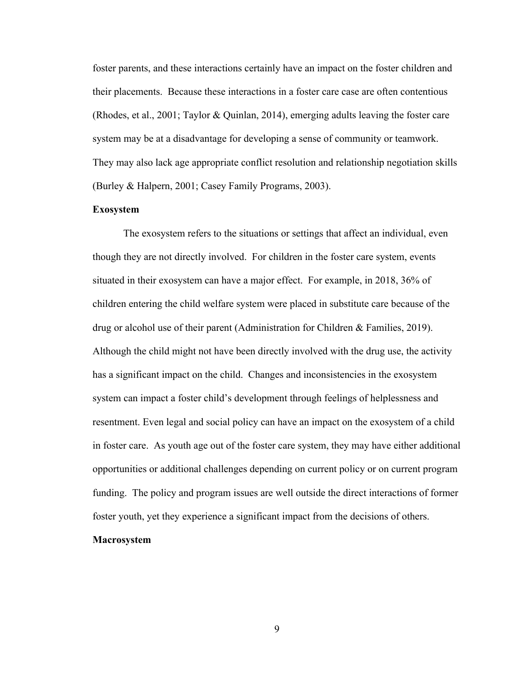foster parents, and these interactions certainly have an impact on the foster children and their placements. Because these interactions in a foster care case are often contentious (Rhodes, et al., 2001; Taylor & Quinlan, 2014), emerging adults leaving the foster care system may be at a disadvantage for developing a sense of community or teamwork. They may also lack age appropriate conflict resolution and relationship negotiation skills (Burley & Halpern, 2001; Casey Family Programs, 2003).

#### **Exosystem**

The exosystem refers to the situations or settings that affect an individual, even though they are not directly involved. For children in the foster care system, events situated in their exosystem can have a major effect. For example, in 2018, 36% of children entering the child welfare system were placed in substitute care because of the drug or alcohol use of their parent (Administration for Children & Families, 2019). Although the child might not have been directly involved with the drug use, the activity has a significant impact on the child. Changes and inconsistencies in the exosystem system can impact a foster child's development through feelings of helplessness and resentment. Even legal and social policy can have an impact on the exosystem of a child in foster care. As youth age out of the foster care system, they may have either additional opportunities or additional challenges depending on current policy or on current program funding. The policy and program issues are well outside the direct interactions of former foster youth, yet they experience a significant impact from the decisions of others.

#### **Macrosystem**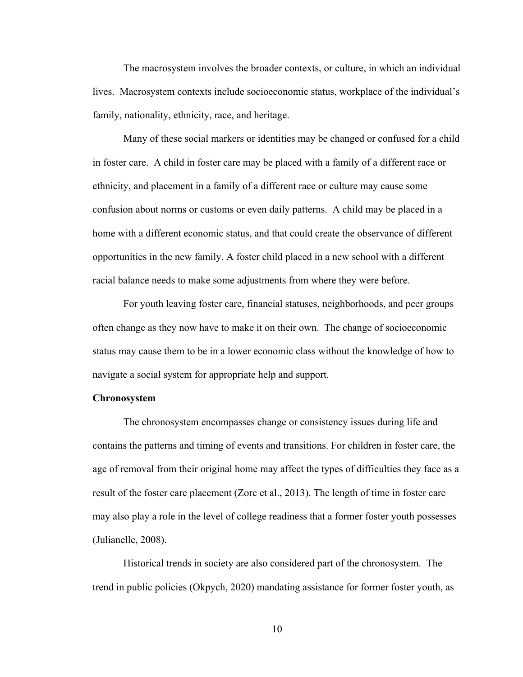The macrosystem involves the broader contexts, or culture, in which an individual lives. Macrosystem contexts include socioeconomic status, workplace of the individual's family, nationality, ethnicity, race, and heritage.

Many of these social markers or identities may be changed or confused for a child in foster care. A child in foster care may be placed with a family of a different race or ethnicity, and placement in a family of a different race or culture may cause some confusion about norms or customs or even daily patterns. A child may be placed in a home with a different economic status, and that could create the observance of different opportunities in the new family. A foster child placed in a new school with a different racial balance needs to make some adjustments from where they were before.

For youth leaving foster care, financial statuses, neighborhoods, and peer groups often change as they now have to make it on their own. The change of socioeconomic status may cause them to be in a lower economic class without the knowledge of how to navigate a social system for appropriate help and support.

#### **Chronosystem**

The chronosystem encompasses change or consistency issues during life and contains the patterns and timing of events and transitions. For children in foster care, the age of removal from their original home may affect the types of difficulties they face as a result of the foster care placement (Zorc et al., 2013). The length of time in foster care may also play a role in the level of college readiness that a former foster youth possesses (Julianelle, 2008).

Historical trends in society are also considered part of the chronosystem. The trend in public policies (Okpych, 2020) mandating assistance for former foster youth, as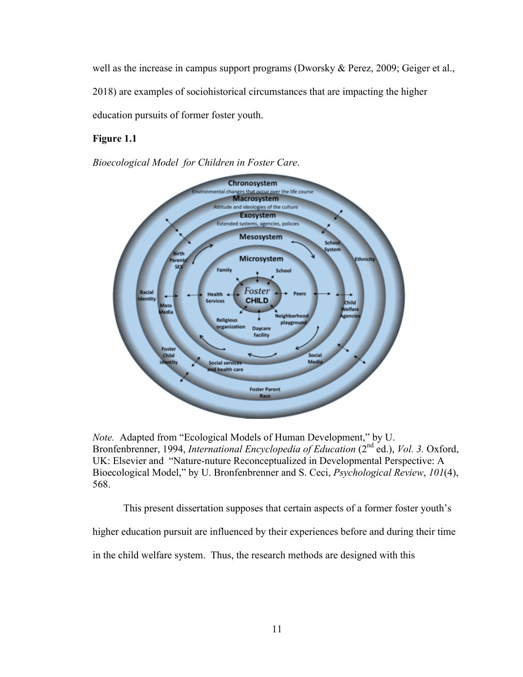well as the increase in campus support programs (Dworsky & Perez, 2009; Geiger et al.,

2018) are examples of sociohistorical circumstances that are impacting the higher

education pursuits of former foster youth.

### **Figure 1.1**

*Bioecological Model for Children in Foster Care*.



*Note.* Adapted from "Ecological Models of Human Development," by U. Bronfenbrenner, 1994, *International Encyclopedia of Education* (2<sup>nd</sup> ed.), *Vol. 3.* Oxford, UK: Elsevier and "Nature-nuture Reconceptualized in Developmental Perspective: A Bioecological Model," by U. Bronfenbrenner and S. Ceci, *Psychological Review*, *101*(4), 568.

This present dissertation supposes that certain aspects of a former foster youth's

higher education pursuit are influenced by their experiences before and during their time

in the child welfare system. Thus, the research methods are designed with this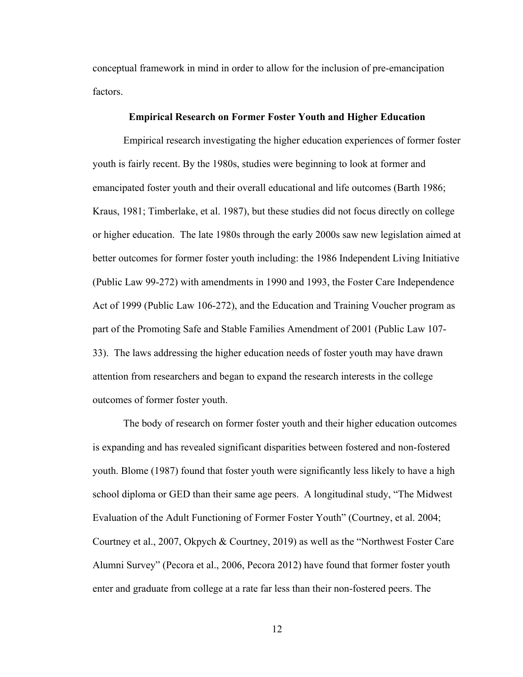conceptual framework in mind in order to allow for the inclusion of pre-emancipation factors.

#### **Empirical Research on Former Foster Youth and Higher Education**

Empirical research investigating the higher education experiences of former foster youth is fairly recent. By the 1980s, studies were beginning to look at former and emancipated foster youth and their overall educational and life outcomes (Barth 1986; Kraus, 1981; Timberlake, et al. 1987), but these studies did not focus directly on college or higher education. The late 1980s through the early 2000s saw new legislation aimed at better outcomes for former foster youth including: the 1986 Independent Living Initiative (Public Law 99-272) with amendments in 1990 and 1993, the Foster Care Independence Act of 1999 (Public Law 106-272), and the Education and Training Voucher program as part of the Promoting Safe and Stable Families Amendment of 2001 (Public Law 107- 33). The laws addressing the higher education needs of foster youth may have drawn attention from researchers and began to expand the research interests in the college outcomes of former foster youth.

The body of research on former foster youth and their higher education outcomes is expanding and has revealed significant disparities between fostered and non-fostered youth. Blome (1987) found that foster youth were significantly less likely to have a high school diploma or GED than their same age peers. A longitudinal study, "The Midwest Evaluation of the Adult Functioning of Former Foster Youth" (Courtney, et al. 2004; Courtney et al., 2007, Okpych & Courtney, 2019) as well as the "Northwest Foster Care Alumni Survey" (Pecora et al., 2006, Pecora 2012) have found that former foster youth enter and graduate from college at a rate far less than their non-fostered peers. The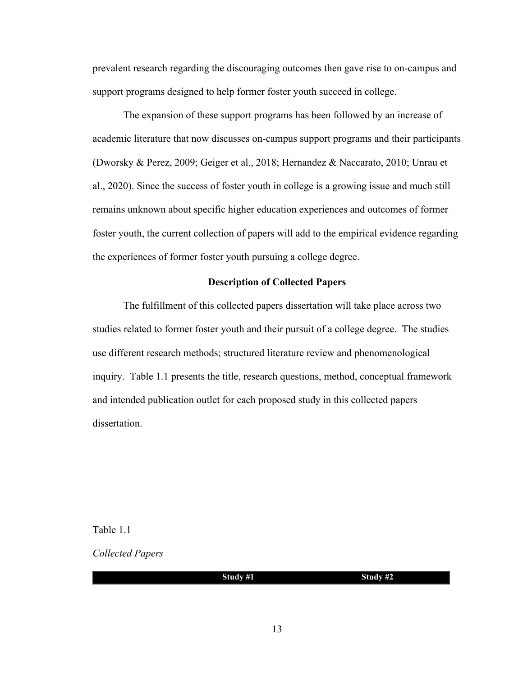prevalent research regarding the discouraging outcomes then gave rise to on-campus and support programs designed to help former foster youth succeed in college.

The expansion of these support programs has been followed by an increase of academic literature that now discusses on-campus support programs and their participants (Dworsky & Perez, 2009; Geiger et al., 2018; Hernandez & Naccarato, 2010; Unrau et al., 2020). Since the success of foster youth in college is a growing issue and much still remains unknown about specific higher education experiences and outcomes of former foster youth, the current collection of papers will add to the empirical evidence regarding the experiences of former foster youth pursuing a college degree.

#### **Description of Collected Papers**

The fulfillment of this collected papers dissertation will take place across two studies related to former foster youth and their pursuit of a college degree. The studies use different research methods; structured literature review and phenomenological inquiry. Table 1.1 presents the title, research questions, method, conceptual framework and intended publication outlet for each proposed study in this collected papers dissertation.

Table 1.1

*Collected Papers*

| Study #1 | Study $#2$ |
|----------|------------|
|          |            |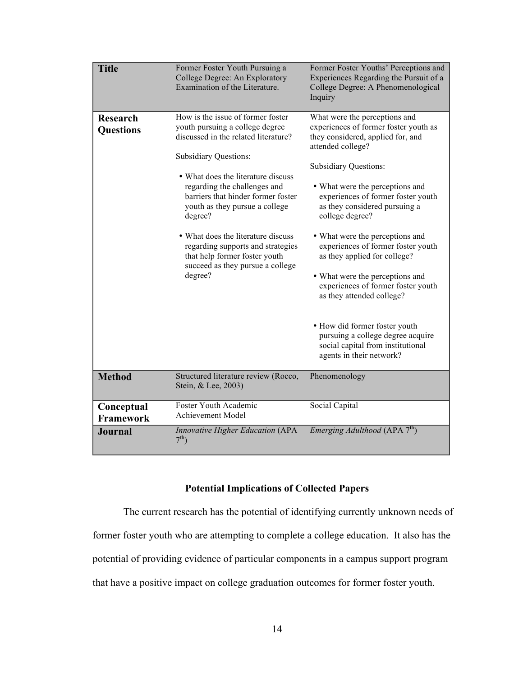| <b>Title</b>                        | Former Foster Youth Pursuing a<br>College Degree: An Exploratory<br>Examination of the Literature.                                                                                                                                                                                                                                                                                                                                                               | Former Foster Youths' Perceptions and<br>Experiences Regarding the Pursuit of a<br>College Degree: A Phenomenological<br>Inquiry                                                                                                                                                                                                                                                                                                                                                                                                                                                                                                                    |
|-------------------------------------|------------------------------------------------------------------------------------------------------------------------------------------------------------------------------------------------------------------------------------------------------------------------------------------------------------------------------------------------------------------------------------------------------------------------------------------------------------------|-----------------------------------------------------------------------------------------------------------------------------------------------------------------------------------------------------------------------------------------------------------------------------------------------------------------------------------------------------------------------------------------------------------------------------------------------------------------------------------------------------------------------------------------------------------------------------------------------------------------------------------------------------|
| <b>Research</b><br><b>Questions</b> | How is the issue of former foster<br>youth pursuing a college degree<br>discussed in the related literature?<br><b>Subsidiary Questions:</b><br>• What does the literature discuss<br>regarding the challenges and<br>barriers that hinder former foster<br>youth as they pursue a college<br>degree?<br>• What does the literature discuss<br>regarding supports and strategies<br>that help former foster youth<br>succeed as they pursue a college<br>degree? | What were the perceptions and<br>experiences of former foster youth as<br>they considered, applied for, and<br>attended college?<br><b>Subsidiary Questions:</b><br>• What were the perceptions and<br>experiences of former foster youth<br>as they considered pursuing a<br>college degree?<br>• What were the perceptions and<br>experiences of former foster youth<br>as they applied for college?<br>• What were the perceptions and<br>experiences of former foster youth<br>as they attended college?<br>• How did former foster youth<br>pursuing a college degree acquire<br>social capital from institutional<br>agents in their network? |
| <b>Method</b>                       | Structured literature review (Rocco,<br>Stein, & Lee, 2003)                                                                                                                                                                                                                                                                                                                                                                                                      | Phenomenology                                                                                                                                                                                                                                                                                                                                                                                                                                                                                                                                                                                                                                       |
| Conceptual<br><b>Framework</b>      | Foster Youth Academic<br><b>Achievement Model</b>                                                                                                                                                                                                                                                                                                                                                                                                                | Social Capital                                                                                                                                                                                                                                                                                                                                                                                                                                                                                                                                                                                                                                      |
| <b>Journal</b>                      | <b>Innovative Higher Education (APA</b><br>7 <sup>th</sup>                                                                                                                                                                                                                                                                                                                                                                                                       | <i>Emerging Adulthood</i> (APA $7th$ )                                                                                                                                                                                                                                                                                                                                                                                                                                                                                                                                                                                                              |

### **Potential Implications of Collected Papers**

The current research has the potential of identifying currently unknown needs of former foster youth who are attempting to complete a college education. It also has the potential of providing evidence of particular components in a campus support program that have a positive impact on college graduation outcomes for former foster youth.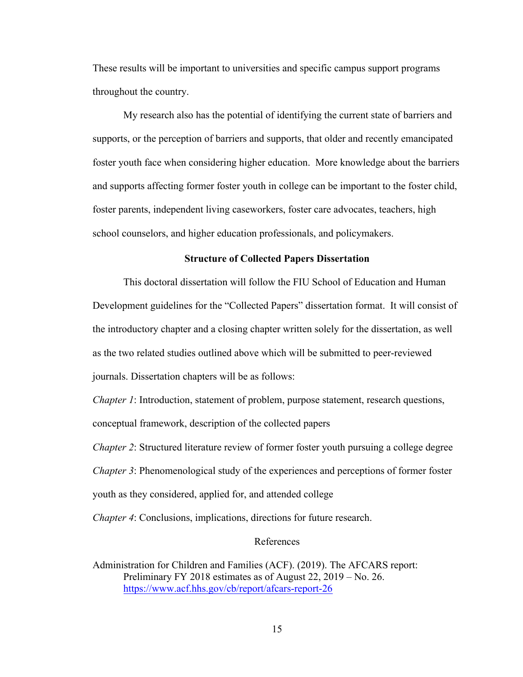These results will be important to universities and specific campus support programs throughout the country.

My research also has the potential of identifying the current state of barriers and supports, or the perception of barriers and supports, that older and recently emancipated foster youth face when considering higher education. More knowledge about the barriers and supports affecting former foster youth in college can be important to the foster child, foster parents, independent living caseworkers, foster care advocates, teachers, high school counselors, and higher education professionals, and policymakers.

#### **Structure of Collected Papers Dissertation**

This doctoral dissertation will follow the FIU School of Education and Human Development guidelines for the "Collected Papers" dissertation format. It will consist of the introductory chapter and a closing chapter written solely for the dissertation, as well as the two related studies outlined above which will be submitted to peer-reviewed journals. Dissertation chapters will be as follows:

*Chapter 1*: Introduction, statement of problem, purpose statement, research questions, conceptual framework, description of the collected papers

*Chapter 2*: Structured literature review of former foster youth pursuing a college degree *Chapter 3*: Phenomenological study of the experiences and perceptions of former foster youth as they considered, applied for, and attended college

*Chapter 4*: Conclusions, implications, directions for future research.

#### References

Administration for Children and Families (ACF). (2019). The AFCARS report: Preliminary FY 2018 estimates as of August 22, 2019 – No. 26. https://www.acf.hhs.gov/cb/report/afcars-report-26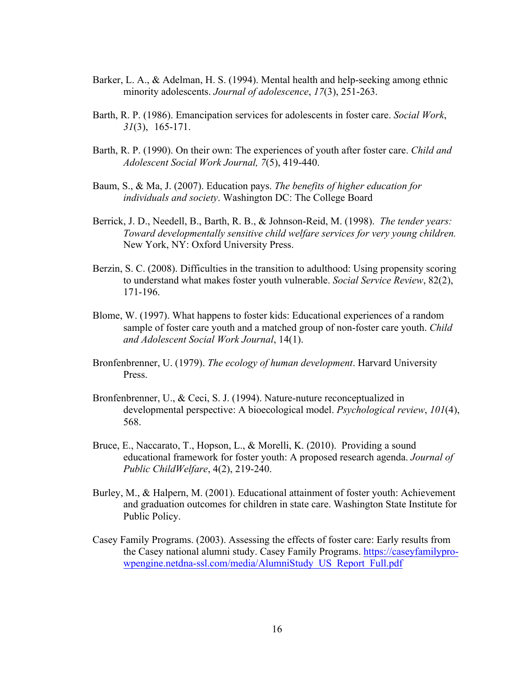- Barker, L. A., & Adelman, H. S. (1994). Mental health and help-seeking among ethnic minority adolescents. *Journal of adolescence*, *17*(3), 251-263.
- Barth, R. P. (1986). Emancipation services for adolescents in foster care. *Social Work*, *31*(3), 165-171.
- Barth, R. P. (1990). On their own: The experiences of youth after foster care. *Child and Adolescent Social Work Journal, 7*(5), 419-440.
- Baum, S., & Ma, J. (2007). Education pays. *The benefits of higher education for individuals and society*. Washington DC: The College Board
- Berrick, J. D., Needell, B., Barth, R. B., & Johnson-Reid, M. (1998). *The tender years: Toward developmentally sensitive child welfare services for very young children.* New York, NY: Oxford University Press.
- Berzin, S. C. (2008). Difficulties in the transition to adulthood: Using propensity scoring to understand what makes foster youth vulnerable. *Social Service Review*, 82(2), 171-196.
- Blome, W. (1997). What happens to foster kids: Educational experiences of a random sample of foster care youth and a matched group of non-foster care youth. *Child and Adolescent Social Work Journal*, 14(1).
- Bronfenbrenner, U. (1979). *The ecology of human development*. Harvard University Press.
- Bronfenbrenner, U., & Ceci, S. J. (1994). Nature-nuture reconceptualized in developmental perspective: A bioecological model. *Psychological review*, *101*(4), 568.
- Bruce, E., Naccarato, T., Hopson, L., & Morelli, K. (2010). Providing a sound educational framework for foster youth: A proposed research agenda. *Journal of Public ChildWelfare*, 4(2), 219-240.
- Burley, M., & Halpern, M. (2001). Educational attainment of foster youth: Achievement and graduation outcomes for children in state care. Washington State Institute for Public Policy.
- Casey Family Programs. (2003). Assessing the effects of foster care: Early results from the Casey national alumni study. Casey Family Programs. https://caseyfamilyprowpengine.netdna-ssl.com/media/AlumniStudy\_US\_Report\_Full.pdf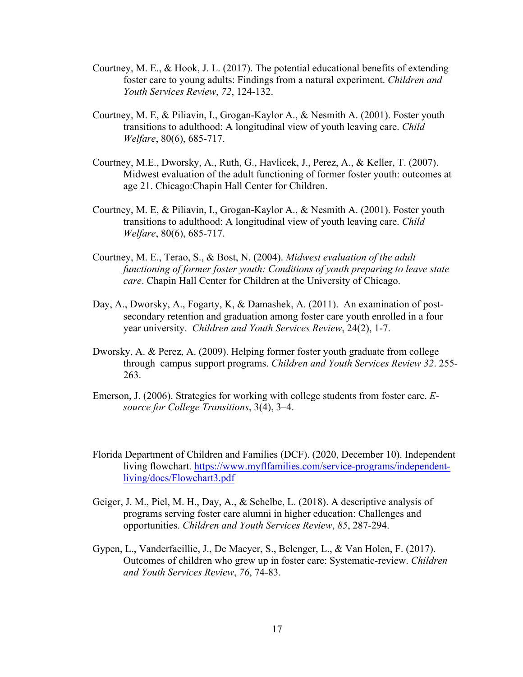- Courtney, M. E., & Hook, J. L. (2017). The potential educational benefits of extending foster care to young adults: Findings from a natural experiment. *Children and Youth Services Review*, *72*, 124-132.
- Courtney, M. E, & Piliavin, I., Grogan-Kaylor A., & Nesmith A. (2001). Foster youth transitions to adulthood: A longitudinal view of youth leaving care. *Child Welfare*, 80(6), 685-717.
- Courtney, M.E., Dworsky, A., Ruth, G., Havlicek, J., Perez, A., & Keller, T. (2007). Midwest evaluation of the adult functioning of former foster youth: outcomes at age 21. Chicago:Chapin Hall Center for Children.
- Courtney, M. E, & Piliavin, I., Grogan-Kaylor A., & Nesmith A. (2001). Foster youth transitions to adulthood: A longitudinal view of youth leaving care. *Child Welfare*, 80(6), 685-717.
- Courtney, M. E., Terao, S., & Bost, N. (2004). *Midwest evaluation of the adult functioning of former foster youth: Conditions of youth preparing to leave state care*. Chapin Hall Center for Children at the University of Chicago.
- Day, A., Dworsky, A., Fogarty, K, & Damashek, A. (2011). An examination of postsecondary retention and graduation among foster care youth enrolled in a four year university. *Children and Youth Services Review*, 24(2), 1-7.
- Dworsky, A. & Perez, A. (2009). Helping former foster youth graduate from college through campus support programs. *Children and Youth Services Review 32*. 255- 263.
- Emerson, J. (2006). Strategies for working with college students from foster care. *Esource for College Transitions*, 3(4), 3–4.
- Florida Department of Children and Families (DCF). (2020, December 10). Independent living flowchart. https://www.myflfamilies.com/service-programs/independentliving/docs/Flowchart3.pdf
- Geiger, J. M., Piel, M. H., Day, A., & Schelbe, L. (2018). A descriptive analysis of programs serving foster care alumni in higher education: Challenges and opportunities. *Children and Youth Services Review*, *85*, 287-294.
- Gypen, L., Vanderfaeillie, J., De Maeyer, S., Belenger, L., & Van Holen, F. (2017). Outcomes of children who grew up in foster care: Systematic-review. *Children and Youth Services Review*, *76*, 74-83.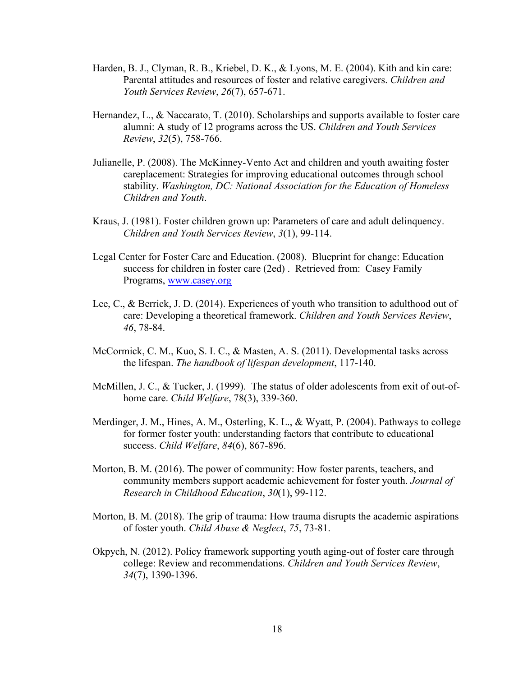- Harden, B. J., Clyman, R. B., Kriebel, D. K., & Lyons, M. E. (2004). Kith and kin care: Parental attitudes and resources of foster and relative caregivers. *Children and Youth Services Review*, *26*(7), 657-671.
- Hernandez, L., & Naccarato, T. (2010). Scholarships and supports available to foster care alumni: A study of 12 programs across the US. *Children and Youth Services Review*, *32*(5), 758-766.
- Julianelle, P. (2008). The McKinney-Vento Act and children and youth awaiting foster careplacement: Strategies for improving educational outcomes through school stability. *Washington, DC: National Association for the Education of Homeless Children and Youth*.
- Kraus, J. (1981). Foster children grown up: Parameters of care and adult delinquency. *Children and Youth Services Review*, *3*(1), 99-114.
- Legal Center for Foster Care and Education. (2008). Blueprint for change: Education success for children in foster care (2ed) . Retrieved from: Casey Family Programs, www.casey.org
- Lee, C., & Berrick, J. D. (2014). Experiences of youth who transition to adulthood out of care: Developing a theoretical framework. *Children and Youth Services Review*, *46*, 78-84.
- McCormick, C. M., Kuo, S. I. C., & Masten, A. S. (2011). Developmental tasks across the lifespan. *The handbook of lifespan development*, 117-140.
- McMillen, J. C., & Tucker, J. (1999). The status of older adolescents from exit of out-ofhome care. *Child Welfare*, 78(3), 339-360.
- Merdinger, J. M., Hines, A. M., Osterling, K. L., & Wyatt, P. (2004). Pathways to college for former foster youth: understanding factors that contribute to educational success. *Child Welfare*, *84*(6), 867-896.
- Morton, B. M. (2016). The power of community: How foster parents, teachers, and community members support academic achievement for foster youth. *Journal of Research in Childhood Education*, *30*(1), 99-112.
- Morton, B. M. (2018). The grip of trauma: How trauma disrupts the academic aspirations of foster youth. *Child Abuse & Neglect*, *75*, 73-81.
- Okpych, N. (2012). Policy framework supporting youth aging-out of foster care through college: Review and recommendations. *Children and Youth Services Review*, *34*(7), 1390-1396.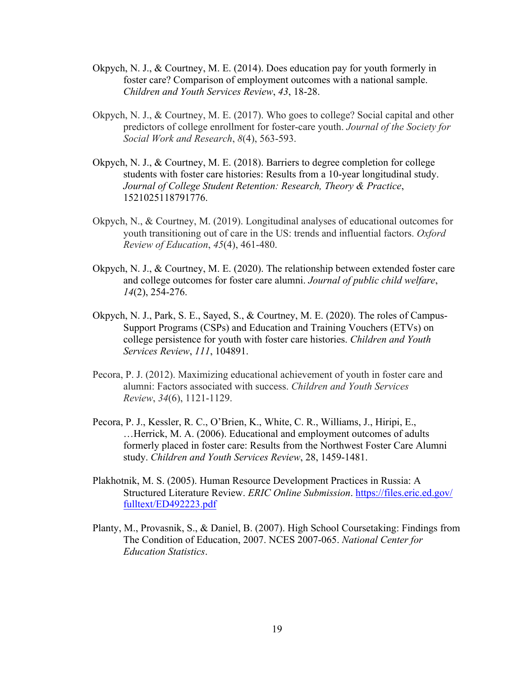- Okpych, N. J., & Courtney, M. E. (2014). Does education pay for youth formerly in foster care? Comparison of employment outcomes with a national sample. *Children and Youth Services Review*, *43*, 18-28.
- Okpych, N. J., & Courtney, M. E. (2017). Who goes to college? Social capital and other predictors of college enrollment for foster-care youth. *Journal of the Society for Social Work and Research*, *8*(4), 563-593.
- Okpych, N. J., & Courtney, M. E. (2018). Barriers to degree completion for college students with foster care histories: Results from a 10-year longitudinal study. *Journal of College Student Retention: Research, Theory & Practice*, 1521025118791776.
- Okpych, N., & Courtney, M. (2019). Longitudinal analyses of educational outcomes for youth transitioning out of care in the US: trends and influential factors. *Oxford Review of Education*, *45*(4), 461-480.
- Okpych, N. J., & Courtney, M. E. (2020). The relationship between extended foster care and college outcomes for foster care alumni. *Journal of public child welfare*, *14*(2), 254-276.
- Okpych, N. J., Park, S. E., Sayed, S., & Courtney, M. E. (2020). The roles of Campus-Support Programs (CSPs) and Education and Training Vouchers (ETVs) on college persistence for youth with foster care histories. *Children and Youth Services Review*, *111*, 104891.
- Pecora, P. J. (2012). Maximizing educational achievement of youth in foster care and alumni: Factors associated with success. *Children and Youth Services Review*, *34*(6), 1121-1129.
- Pecora, P. J., Kessler, R. C., O'Brien, K., White, C. R., Williams, J., Hiripi, E., …Herrick, M. A. (2006). Educational and employment outcomes of adults formerly placed in foster care: Results from the Northwest Foster Care Alumni study. *Children and Youth Services Review*, 28, 1459-1481.
- Plakhotnik, M. S. (2005). Human Resource Development Practices in Russia: A Structured Literature Review. *ERIC Online Submission*. https://files.eric.ed.gov/ fulltext/ED492223.pdf
- Planty, M., Provasnik, S., & Daniel, B. (2007). High School Coursetaking: Findings from The Condition of Education, 2007. NCES 2007-065. *National Center for Education Statistics*.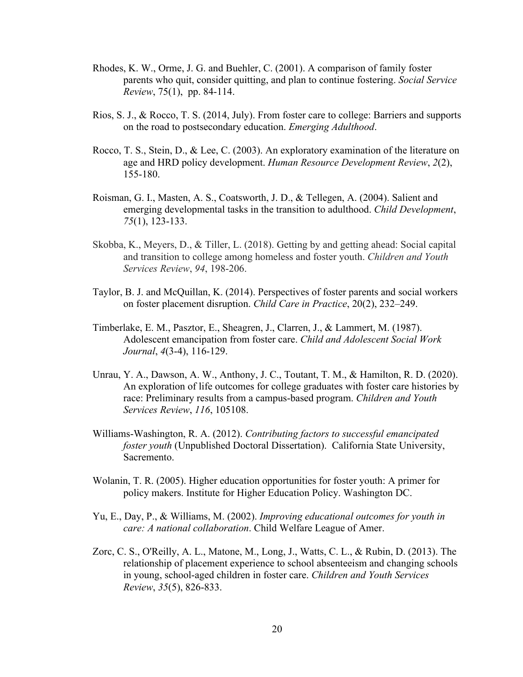- Rhodes, K. W., Orme, J. G. and Buehler, C. (2001). A comparison of family foster parents who quit, consider quitting, and plan to continue fostering. *Social Service Review*, 75(1), pp. 84-114.
- Rios, S. J., & Rocco, T. S. (2014, July). From foster care to college: Barriers and supports on the road to postsecondary education. *Emerging Adulthood*.
- Rocco, T. S., Stein, D., & Lee, C. (2003). An exploratory examination of the literature on age and HRD policy development. *Human Resource Development Review*, *2*(2), 155-180.
- Roisman, G. I., Masten, A. S., Coatsworth, J. D., & Tellegen, A. (2004). Salient and emerging developmental tasks in the transition to adulthood. *Child Development*, *75*(1), 123-133.
- Skobba, K., Meyers, D., & Tiller, L. (2018). Getting by and getting ahead: Social capital and transition to college among homeless and foster youth. *Children and Youth Services Review*, *94*, 198-206.
- Taylor, B. J. and McQuillan, K. (2014). Perspectives of foster parents and social workers on foster placement disruption. *Child Care in Practice*, 20(2), 232–249.
- Timberlake, E. M., Pasztor, E., Sheagren, J., Clarren, J., & Lammert, M. (1987). Adolescent emancipation from foster care. *Child and Adolescent Social Work Journal*, *4*(3-4), 116-129.
- Unrau, Y. A., Dawson, A. W., Anthony, J. C., Toutant, T. M., & Hamilton, R. D. (2020). An exploration of life outcomes for college graduates with foster care histories by race: Preliminary results from a campus-based program. *Children and Youth Services Review*, *116*, 105108.
- Williams-Washington, R. A. (2012). *Contributing factors to successful emancipated foster youth* (Unpublished Doctoral Dissertation). California State University, Sacremento.
- Wolanin, T. R. (2005). Higher education opportunities for foster youth: A primer for policy makers. Institute for Higher Education Policy. Washington DC.
- Yu, E., Day, P., & Williams, M. (2002). *Improving educational outcomes for youth in care: A national collaboration*. Child Welfare League of Amer.
- Zorc, C. S., O'Reilly, A. L., Matone, M., Long, J., Watts, C. L., & Rubin, D. (2013). The relationship of placement experience to school absenteeism and changing schools in young, school-aged children in foster care. *Children and Youth Services Review*, *35*(5), 826-833.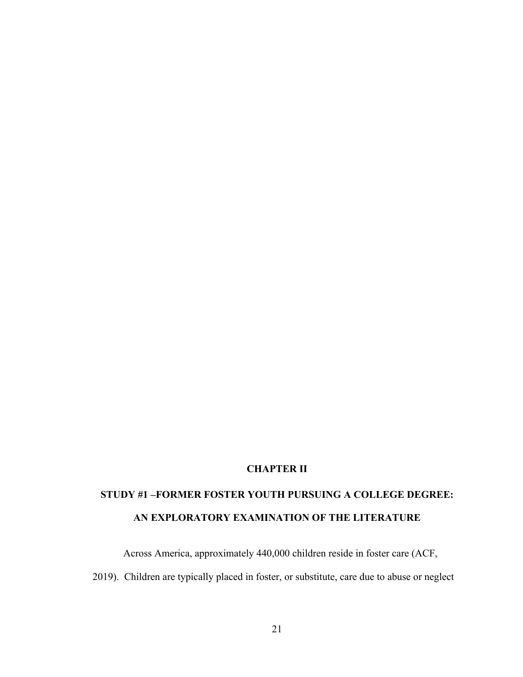## **CHAPTER II**

# **STUDY #1 –FORMER FOSTER YOUTH PURSUING A COLLEGE DEGREE: AN EXPLORATORY EXAMINATION OF THE LITERATURE**

Across America, approximately 440,000 children reside in foster care (ACF,

2019). Children are typically placed in foster, or substitute, care due to abuse or neglect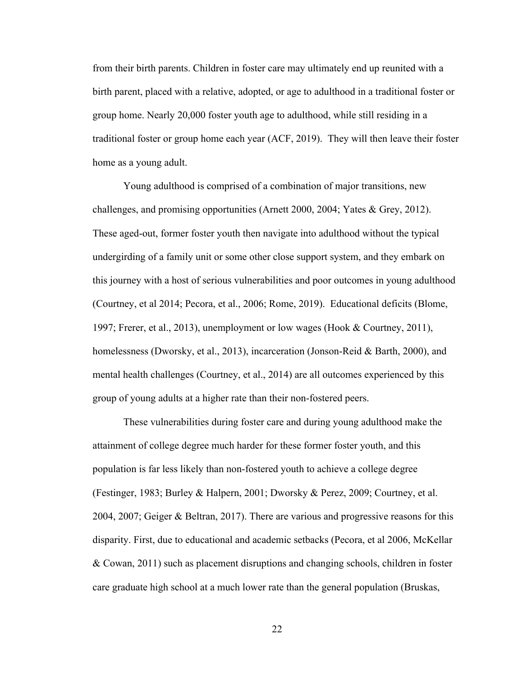from their birth parents. Children in foster care may ultimately end up reunited with a birth parent, placed with a relative, adopted, or age to adulthood in a traditional foster or group home. Nearly 20,000 foster youth age to adulthood, while still residing in a traditional foster or group home each year (ACF, 2019). They will then leave their foster home as a young adult.

Young adulthood is comprised of a combination of major transitions, new challenges, and promising opportunities (Arnett 2000, 2004; Yates & Grey, 2012). These aged-out, former foster youth then navigate into adulthood without the typical undergirding of a family unit or some other close support system, and they embark on this journey with a host of serious vulnerabilities and poor outcomes in young adulthood (Courtney, et al 2014; Pecora, et al., 2006; Rome, 2019). Educational deficits (Blome, 1997; Frerer, et al., 2013), unemployment or low wages (Hook & Courtney, 2011), homelessness (Dworsky, et al., 2013), incarceration (Jonson-Reid & Barth, 2000), and mental health challenges (Courtney, et al., 2014) are all outcomes experienced by this group of young adults at a higher rate than their non-fostered peers.

These vulnerabilities during foster care and during young adulthood make the attainment of college degree much harder for these former foster youth, and this population is far less likely than non-fostered youth to achieve a college degree (Festinger, 1983; Burley & Halpern, 2001; Dworsky & Perez, 2009; Courtney, et al. 2004, 2007; Geiger & Beltran, 2017). There are various and progressive reasons for this disparity. First, due to educational and academic setbacks (Pecora, et al 2006, McKellar & Cowan, 2011) such as placement disruptions and changing schools, children in foster care graduate high school at a much lower rate than the general population (Bruskas,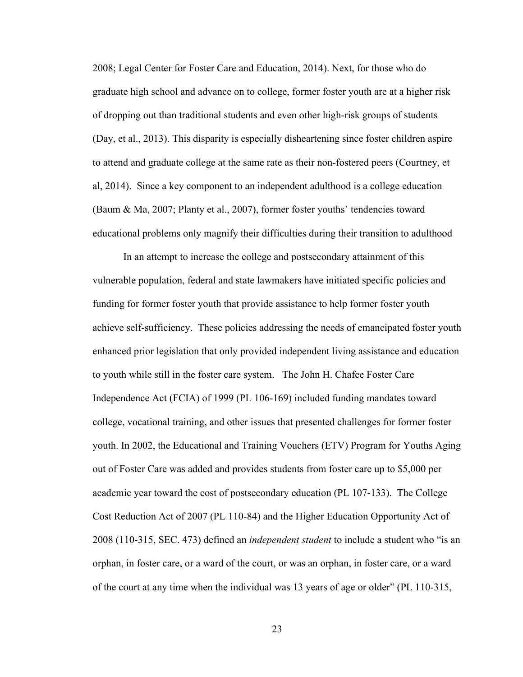2008; Legal Center for Foster Care and Education, 2014). Next, for those who do graduate high school and advance on to college, former foster youth are at a higher risk of dropping out than traditional students and even other high-risk groups of students (Day, et al., 2013). This disparity is especially disheartening since foster children aspire to attend and graduate college at the same rate as their non-fostered peers (Courtney, et al, 2014). Since a key component to an independent adulthood is a college education (Baum & Ma, 2007; Planty et al., 2007), former foster youths' tendencies toward educational problems only magnify their difficulties during their transition to adulthood

In an attempt to increase the college and postsecondary attainment of this vulnerable population, federal and state lawmakers have initiated specific policies and funding for former foster youth that provide assistance to help former foster youth achieve self-sufficiency. These policies addressing the needs of emancipated foster youth enhanced prior legislation that only provided independent living assistance and education to youth while still in the foster care system. The John H. Chafee Foster Care Independence Act (FCIA) of 1999 (PL 106-169) included funding mandates toward college, vocational training, and other issues that presented challenges for former foster youth. In 2002, the Educational and Training Vouchers (ETV) Program for Youths Aging out of Foster Care was added and provides students from foster care up to \$5,000 per academic year toward the cost of postsecondary education (PL 107-133). The College Cost Reduction Act of 2007 (PL 110-84) and the Higher Education Opportunity Act of 2008 (110-315, SEC. 473) defined an *independent student* to include a student who "is an orphan, in foster care, or a ward of the court, or was an orphan, in foster care, or a ward of the court at any time when the individual was 13 years of age or older" (PL 110-315,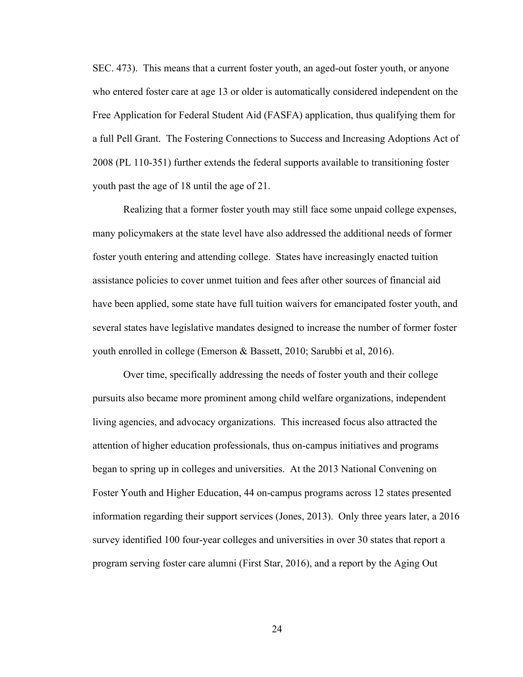SEC. 473). This means that a current foster youth, an aged-out foster youth, or anyone who entered foster care at age 13 or older is automatically considered independent on the Free Application for Federal Student Aid (FASFA) application, thus qualifying them for a full Pell Grant. The Fostering Connections to Success and Increasing Adoptions Act of 2008 (PL 110-351) further extends the federal supports available to transitioning foster youth past the age of 18 until the age of 21.

Realizing that a former foster youth may still face some unpaid college expenses, many policymakers at the state level have also addressed the additional needs of former foster youth entering and attending college. States have increasingly enacted tuition assistance policies to cover unmet tuition and fees after other sources of financial aid have been applied, some state have full tuition waivers for emancipated foster youth, and several states have legislative mandates designed to increase the number of former foster youth enrolled in college (Emerson & Bassett, 2010; Sarubbi et al, 2016).

Over time, specifically addressing the needs of foster youth and their college pursuits also became more prominent among child welfare organizations, independent living agencies, and advocacy organizations. This increased focus also attracted the attention of higher education professionals, thus on-campus initiatives and programs began to spring up in colleges and universities. At the 2013 National Convening on Foster Youth and Higher Education, 44 on-campus programs across 12 states presented information regarding their support services (Jones, 2013). Only three years later, a 2016 survey identified 100 four-year colleges and universities in over 30 states that report a program serving foster care alumni (First Star, 2016), and a report by the Aging Out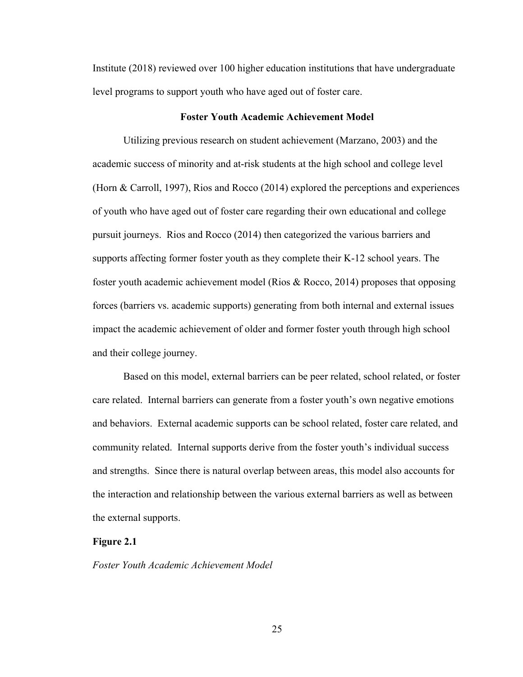Institute (2018) reviewed over 100 higher education institutions that have undergraduate level programs to support youth who have aged out of foster care.

#### **Foster Youth Academic Achievement Model**

Utilizing previous research on student achievement (Marzano, 2003) and the academic success of minority and at-risk students at the high school and college level (Horn & Carroll, 1997), Rios and Rocco (2014) explored the perceptions and experiences of youth who have aged out of foster care regarding their own educational and college pursuit journeys. Rios and Rocco (2014) then categorized the various barriers and supports affecting former foster youth as they complete their K-12 school years. The foster youth academic achievement model (Rios & Rocco, 2014) proposes that opposing forces (barriers vs. academic supports) generating from both internal and external issues impact the academic achievement of older and former foster youth through high school and their college journey.

Based on this model, external barriers can be peer related, school related, or foster care related. Internal barriers can generate from a foster youth's own negative emotions and behaviors. External academic supports can be school related, foster care related, and community related. Internal supports derive from the foster youth's individual success and strengths. Since there is natural overlap between areas, this model also accounts for the interaction and relationship between the various external barriers as well as between the external supports.

#### **Figure 2.1**

*Foster Youth Academic Achievement Model*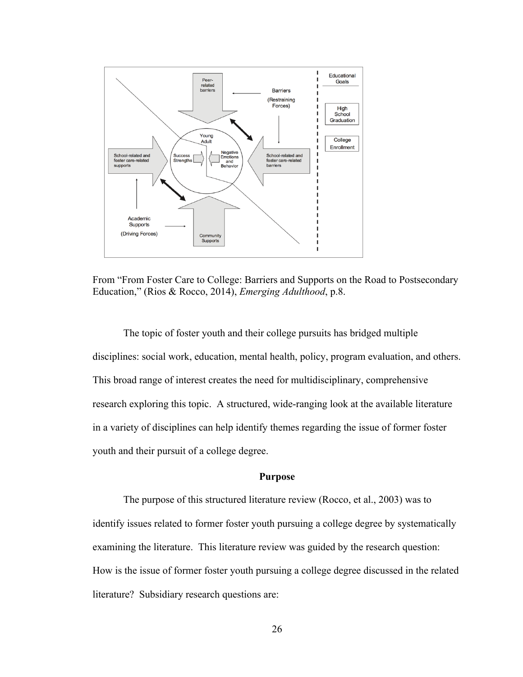

From "From Foster Care to College: Barriers and Supports on the Road to Postsecondary Education," (Rios & Rocco, 2014), *Emerging Adulthood*, p.8.

The topic of foster youth and their college pursuits has bridged multiple disciplines: social work, education, mental health, policy, program evaluation, and others. This broad range of interest creates the need for multidisciplinary, comprehensive research exploring this topic. A structured, wide-ranging look at the available literature in a variety of disciplines can help identify themes regarding the issue of former foster youth and their pursuit of a college degree.

# **Purpose**

The purpose of this structured literature review (Rocco, et al., 2003) was to identify issues related to former foster youth pursuing a college degree by systematically examining the literature. This literature review was guided by the research question: How is the issue of former foster youth pursuing a college degree discussed in the related literature? Subsidiary research questions are: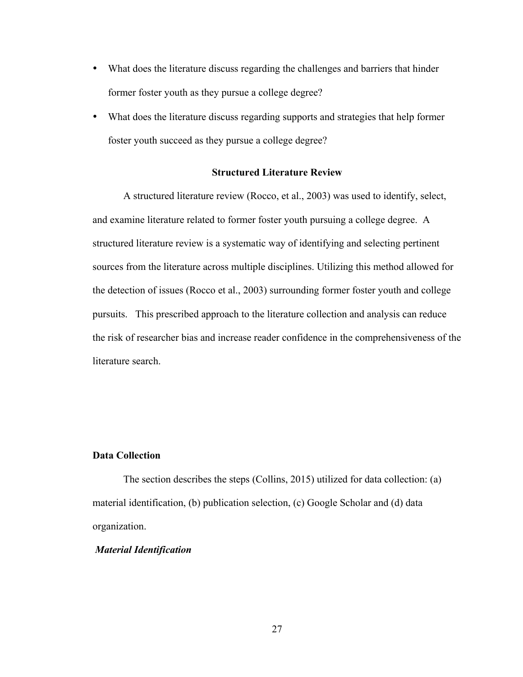- What does the literature discuss regarding the challenges and barriers that hinder former foster youth as they pursue a college degree?
- What does the literature discuss regarding supports and strategies that help former foster youth succeed as they pursue a college degree?

### **Structured Literature Review**

A structured literature review (Rocco, et al., 2003) was used to identify, select, and examine literature related to former foster youth pursuing a college degree. A structured literature review is a systematic way of identifying and selecting pertinent sources from the literature across multiple disciplines. Utilizing this method allowed for the detection of issues (Rocco et al., 2003) surrounding former foster youth and college pursuits. This prescribed approach to the literature collection and analysis can reduce the risk of researcher bias and increase reader confidence in the comprehensiveness of the literature search.

# **Data Collection**

The section describes the steps (Collins, 2015) utilized for data collection: (a) material identification, (b) publication selection, (c) Google Scholar and (d) data organization.

# *Material Identification*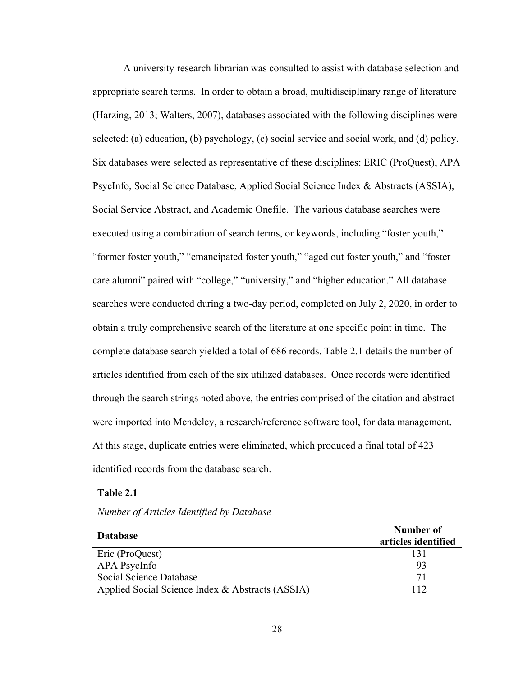A university research librarian was consulted to assist with database selection and appropriate search terms. In order to obtain a broad, multidisciplinary range of literature (Harzing, 2013; Walters, 2007), databases associated with the following disciplines were selected: (a) education, (b) psychology, (c) social service and social work, and (d) policy. Six databases were selected as representative of these disciplines: ERIC (ProQuest), APA PsycInfo, Social Science Database, Applied Social Science Index & Abstracts (ASSIA), Social Service Abstract, and Academic Onefile. The various database searches were executed using a combination of search terms, or keywords, including "foster youth," "former foster youth," "emancipated foster youth," "aged out foster youth," and "foster care alumni" paired with "college," "university," and "higher education." All database searches were conducted during a two-day period, completed on July 2, 2020, in order to obtain a truly comprehensive search of the literature at one specific point in time. The complete database search yielded a total of 686 records. Table 2.1 details the number of articles identified from each of the six utilized databases. Once records were identified through the search strings noted above, the entries comprised of the citation and abstract were imported into Mendeley, a research/reference software tool, for data management. At this stage, duplicate entries were eliminated, which produced a final total of 423 identified records from the database search.

# **Table 2.1**

| <b>Database</b>                                  | Number of<br>articles identified |
|--------------------------------------------------|----------------------------------|
| Eric (ProQuest)                                  | 131                              |
| APA PsycInfo                                     | 93                               |
| Social Science Database                          | 71                               |
| Applied Social Science Index & Abstracts (ASSIA) | 112                              |

*Number of Articles Identified by Database*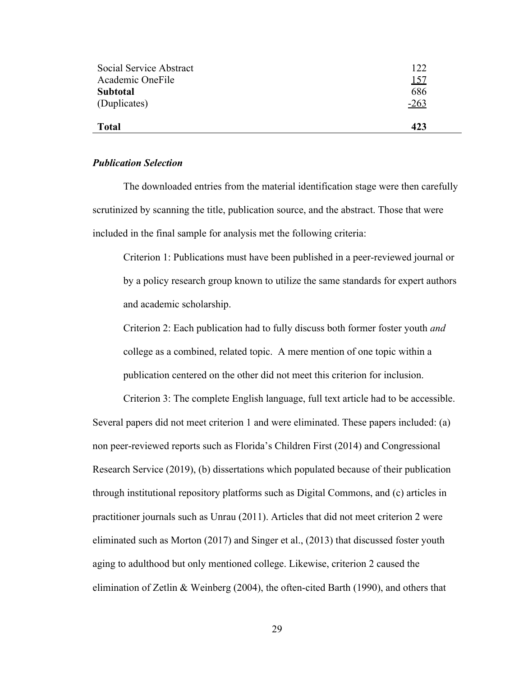| <b>Subtotal</b> | 686    |
|-----------------|--------|
| (Duplicates)    | $-263$ |
| <b>Total</b>    | 423    |

#### *Publication Selection*

The downloaded entries from the material identification stage were then carefully scrutinized by scanning the title, publication source, and the abstract. Those that were included in the final sample for analysis met the following criteria:

Criterion 1: Publications must have been published in a peer-reviewed journal or by a policy research group known to utilize the same standards for expert authors and academic scholarship.

Criterion 2: Each publication had to fully discuss both former foster youth *and* college as a combined, related topic. A mere mention of one topic within a publication centered on the other did not meet this criterion for inclusion.

Criterion 3: The complete English language, full text article had to be accessible. Several papers did not meet criterion 1 and were eliminated. These papers included: (a) non peer-reviewed reports such as Florida's Children First (2014) and Congressional Research Service (2019), (b) dissertations which populated because of their publication through institutional repository platforms such as Digital Commons, and (c) articles in practitioner journals such as Unrau (2011). Articles that did not meet criterion 2 were eliminated such as Morton (2017) and Singer et al., (2013) that discussed foster youth aging to adulthood but only mentioned college. Likewise, criterion 2 caused the elimination of Zetlin & Weinberg (2004), the often-cited Barth (1990), and others that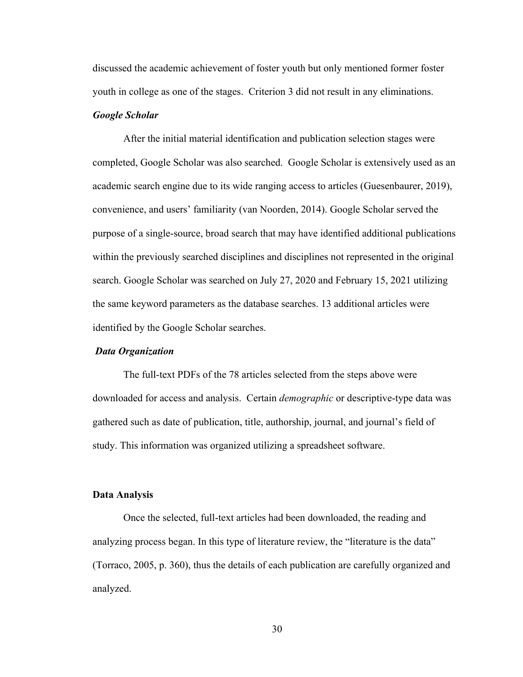discussed the academic achievement of foster youth but only mentioned former foster youth in college as one of the stages. Criterion 3 did not result in any eliminations.

### *Google Scholar*

After the initial material identification and publication selection stages were completed, Google Scholar was also searched. Google Scholar is extensively used as an academic search engine due to its wide ranging access to articles (Guesenbaurer, 2019), convenience, and users' familiarity (van Noorden, 2014). Google Scholar served the purpose of a single-source, broad search that may have identified additional publications within the previously searched disciplines and disciplines not represented in the original search. Google Scholar was searched on July 27, 2020 and February 15, 2021 utilizing the same keyword parameters as the database searches. 13 additional articles were identified by the Google Scholar searches.

#### *Data Organization*

The full-text PDFs of the 78 articles selected from the steps above were downloaded for access and analysis. Certain *demographic* or descriptive-type data was gathered such as date of publication, title, authorship, journal, and journal's field of study. This information was organized utilizing a spreadsheet software.

## **Data Analysis**

Once the selected, full-text articles had been downloaded, the reading and analyzing process began. In this type of literature review, the "literature is the data" (Torraco, 2005, p. 360), thus the details of each publication are carefully organized and analyzed.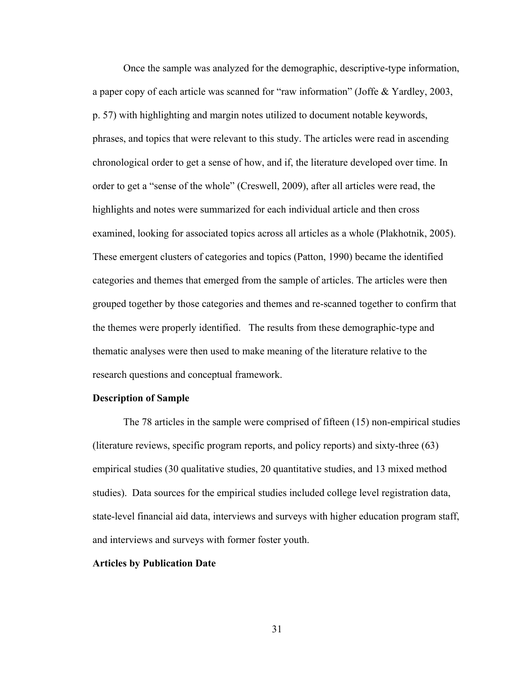Once the sample was analyzed for the demographic, descriptive-type information, a paper copy of each article was scanned for "raw information" (Joffe & Yardley, 2003, p. 57) with highlighting and margin notes utilized to document notable keywords, phrases, and topics that were relevant to this study. The articles were read in ascending chronological order to get a sense of how, and if, the literature developed over time. In order to get a "sense of the whole" (Creswell, 2009), after all articles were read, the highlights and notes were summarized for each individual article and then cross examined, looking for associated topics across all articles as a whole (Plakhotnik, 2005). These emergent clusters of categories and topics (Patton, 1990) became the identified categories and themes that emerged from the sample of articles. The articles were then grouped together by those categories and themes and re-scanned together to confirm that the themes were properly identified. The results from these demographic-type and thematic analyses were then used to make meaning of the literature relative to the research questions and conceptual framework.

### **Description of Sample**

The 78 articles in the sample were comprised of fifteen (15) non-empirical studies (literature reviews, specific program reports, and policy reports) and sixty-three (63) empirical studies (30 qualitative studies, 20 quantitative studies, and 13 mixed method studies). Data sources for the empirical studies included college level registration data, state-level financial aid data, interviews and surveys with higher education program staff, and interviews and surveys with former foster youth.

### **Articles by Publication Date**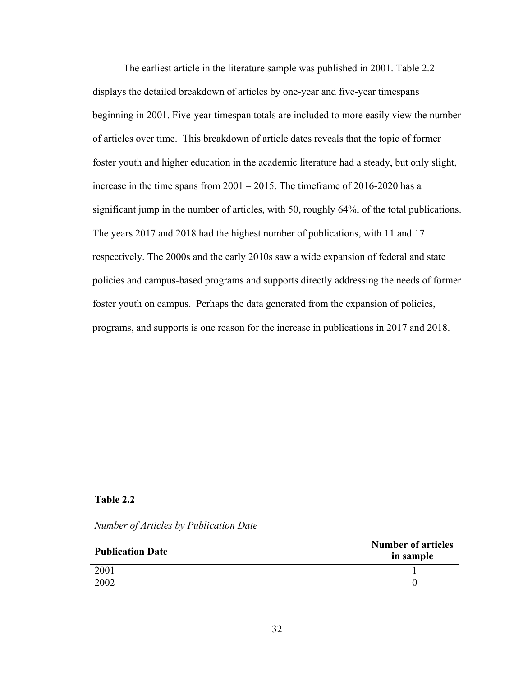The earliest article in the literature sample was published in 2001. Table 2.2 displays the detailed breakdown of articles by one-year and five-year timespans beginning in 2001. Five-year timespan totals are included to more easily view the number of articles over time. This breakdown of article dates reveals that the topic of former foster youth and higher education in the academic literature had a steady, but only slight, increase in the time spans from 2001 – 2015. The timeframe of 2016-2020 has a significant jump in the number of articles, with 50, roughly 64%, of the total publications. The years 2017 and 2018 had the highest number of publications, with 11 and 17 respectively. The 2000s and the early 2010s saw a wide expansion of federal and state policies and campus-based programs and supports directly addressing the needs of former foster youth on campus. Perhaps the data generated from the expansion of policies, programs, and supports is one reason for the increase in publications in 2017 and 2018.

# **Table 2.2**

|  |  | Number of Articles by Publication Date |  |  |  |  |
|--|--|----------------------------------------|--|--|--|--|
|--|--|----------------------------------------|--|--|--|--|

| <b>Publication Date</b> | <b>Number of articles</b><br>in sample |
|-------------------------|----------------------------------------|
| 2001                    |                                        |
| 2002                    |                                        |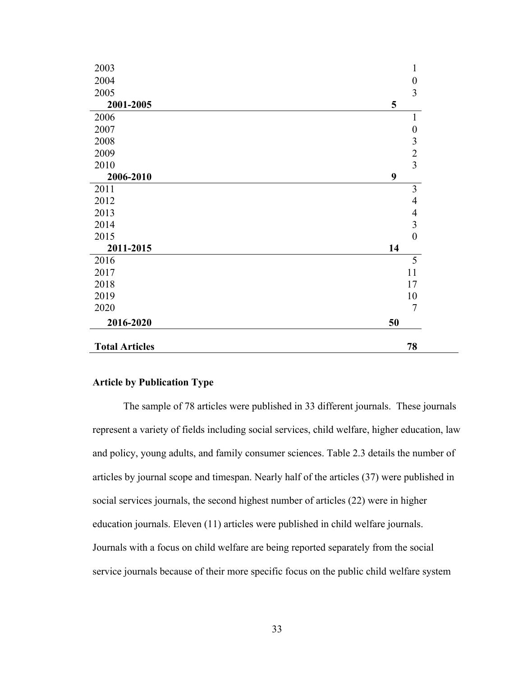| 2003                  |    | 1                                          |
|-----------------------|----|--------------------------------------------|
| 2004                  |    | $\boldsymbol{0}$                           |
| 2005                  |    | 3                                          |
| 2001-2005             | 5  |                                            |
| 2006                  |    | 1                                          |
| 2007                  |    | 0                                          |
| 2008                  |    |                                            |
| 2009                  |    | $\begin{array}{c} 3 \\ 2 \\ 3 \end{array}$ |
| 2010                  |    |                                            |
| 2006-2010             | 9  |                                            |
| 2011                  |    | $\overline{3}$                             |
| 2012                  |    | $\overline{4}$                             |
| 2013                  |    | $\overline{4}$                             |
| 2014                  |    | $\overline{3}$                             |
| 2015                  |    | $\overline{0}$                             |
| 2011-2015             | 14 |                                            |
| 2016                  |    | 5                                          |
| 2017                  |    | 11                                         |
| 2018                  |    | 17                                         |
| 2019                  |    | 10                                         |
| 2020                  |    | $\overline{7}$                             |
| 2016-2020             | 50 |                                            |
| <b>Total Articles</b> |    | 78                                         |

# **Article by Publication Type**

The sample of 78 articles were published in 33 different journals. These journals represent a variety of fields including social services, child welfare, higher education, law and policy, young adults, and family consumer sciences. Table 2.3 details the number of articles by journal scope and timespan. Nearly half of the articles (37) were published in social services journals, the second highest number of articles (22) were in higher education journals. Eleven (11) articles were published in child welfare journals. Journals with a focus on child welfare are being reported separately from the social service journals because of their more specific focus on the public child welfare system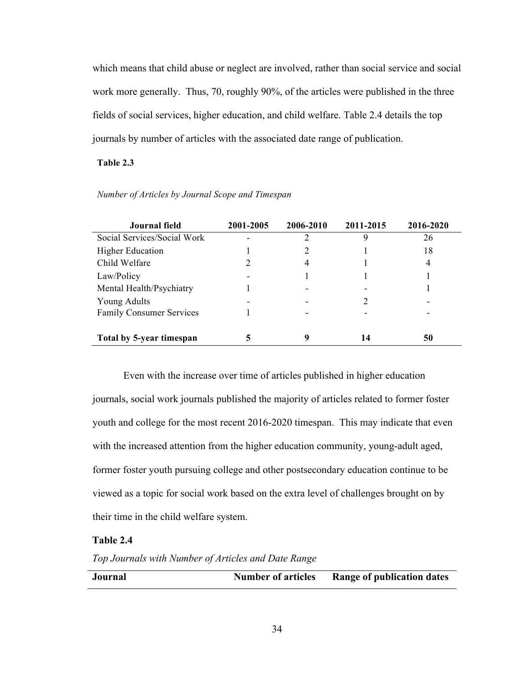which means that child abuse or neglect are involved, rather than social service and social work more generally. Thus, 70, roughly 90%, of the articles were published in the three fields of social services, higher education, and child welfare. Table 2.4 details the top journals by number of articles with the associated date range of publication.

# **Table 2.3**

| Journal field                   | 2001-2005 | 2006-2010 | 2011-2015 | 2016-2020 |
|---------------------------------|-----------|-----------|-----------|-----------|
| Social Services/Social Work     |           | 2         | Q         | 26        |
| <b>Higher Education</b>         |           | 2         |           | 18        |
| Child Welfare                   |           | 4         |           | 4         |
| Law/Policy                      |           |           |           |           |
| Mental Health/Psychiatry        |           |           |           |           |
| <b>Young Adults</b>             |           |           |           |           |
| <b>Family Consumer Services</b> |           |           |           |           |
|                                 |           |           |           |           |
| Total by 5-year timespan        |           |           | 14        | 50        |

### *Number of Articles by Journal Scope and Timespan*

Even with the increase over time of articles published in higher education journals, social work journals published the majority of articles related to former foster youth and college for the most recent 2016-2020 timespan. This may indicate that even with the increased attention from the higher education community, young-adult aged, former foster youth pursuing college and other postsecondary education continue to be viewed as a topic for social work based on the extra level of challenges brought on by their time in the child welfare system.

### **Table 2.4**

*Top Journals with Number of Articles and Date Range*

|  | Journal | <b>Number of articles</b> | <b>Range of publication dates</b> |
|--|---------|---------------------------|-----------------------------------|
|--|---------|---------------------------|-----------------------------------|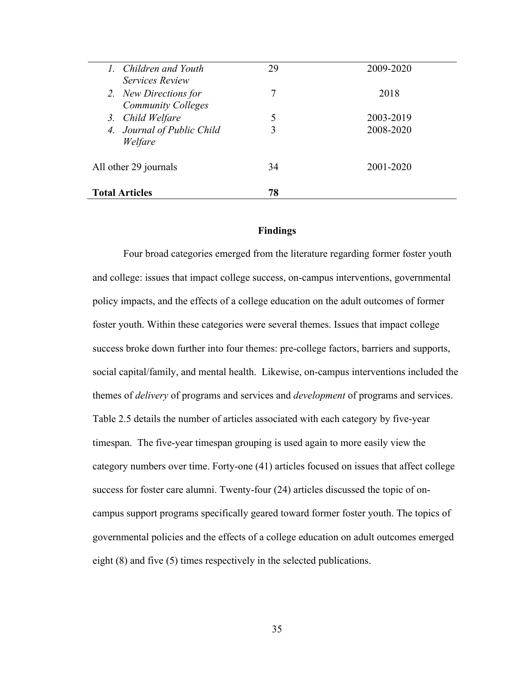| <b>Total Articles</b>                         | 78 |           |
|-----------------------------------------------|----|-----------|
| All other 29 journals                         | 34 | 2001-2020 |
| 4. Journal of Public Child<br>Welfare         | 3  | 2008-2020 |
| <b>Community Colleges</b><br>3. Child Welfare | 5  | 2003-2019 |
| 2. New Directions for                         | 7  | 2018      |
| 1. Children and Youth<br>Services Review      | 29 | 2009-2020 |

### **Findings**

Four broad categories emerged from the literature regarding former foster youth and college: issues that impact college success, on-campus interventions, governmental policy impacts, and the effects of a college education on the adult outcomes of former foster youth. Within these categories were several themes. Issues that impact college success broke down further into four themes: pre-college factors, barriers and supports, social capital/family, and mental health. Likewise, on-campus interventions included the themes of *delivery* of programs and services and *development* of programs and services. Table 2.5 details the number of articles associated with each category by five-year timespan. The five-year timespan grouping is used again to more easily view the category numbers over time. Forty-one (41) articles focused on issues that affect college success for foster care alumni. Twenty-four (24) articles discussed the topic of oncampus support programs specifically geared toward former foster youth. The topics of governmental policies and the effects of a college education on adult outcomes emerged eight (8) and five (5) times respectively in the selected publications.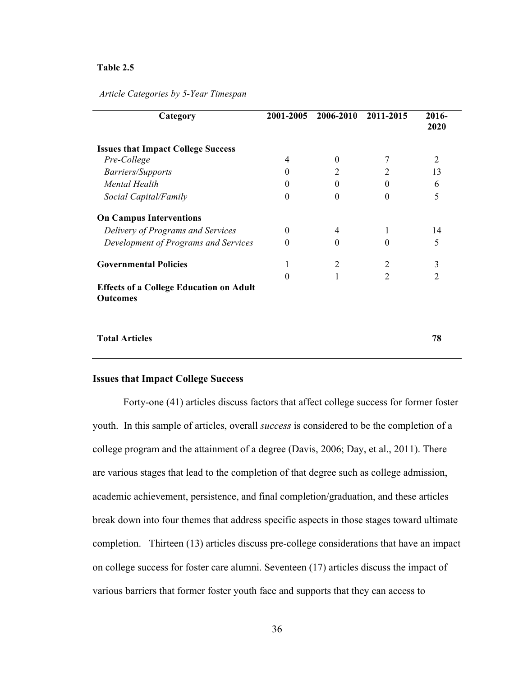#### **Table 2.5**

| Article Categories by 5-Year Timespan |  |  |  |  |  |
|---------------------------------------|--|--|--|--|--|
|---------------------------------------|--|--|--|--|--|

| Category                                                          | 2001-2005 | 2006-2010      | 2011-2015      | 2016-          |
|-------------------------------------------------------------------|-----------|----------------|----------------|----------------|
|                                                                   |           |                |                | 2020           |
| <b>Issues that Impact College Success</b>                         |           |                |                |                |
| Pre-College                                                       | 4         | $\theta$       |                | 2              |
| Barriers/Supports                                                 | $\Omega$  | 2              | 2              | 13             |
| Mental Health                                                     | 0         | $\theta$       | $\theta$       | 6              |
| Social Capital/Family                                             | 0         | $\theta$       | $\Omega$       | 5              |
| <b>On Campus Interventions</b>                                    |           |                |                |                |
| Delivery of Programs and Services                                 | 0         | 4              |                | 14             |
| Development of Programs and Services                              | 0         | $\theta$       | $\Omega$       | 5              |
| <b>Governmental Policies</b>                                      |           | $\overline{2}$ | 2              | 3              |
|                                                                   |           |                | $\overline{2}$ | $\overline{c}$ |
| <b>Effects of a College Education on Adult</b><br><b>Outcomes</b> |           |                |                |                |
|                                                                   |           |                |                |                |
| <b>Total Articles</b>                                             |           |                |                | 78             |

### **Issues that Impact College Success**

Forty-one (41) articles discuss factors that affect college success for former foster youth. In this sample of articles, overall *success* is considered to be the completion of a college program and the attainment of a degree (Davis, 2006; Day, et al., 2011). There are various stages that lead to the completion of that degree such as college admission, academic achievement, persistence, and final completion/graduation, and these articles break down into four themes that address specific aspects in those stages toward ultimate completion. Thirteen (13) articles discuss pre-college considerations that have an impact on college success for foster care alumni. Seventeen (17) articles discuss the impact of various barriers that former foster youth face and supports that they can access to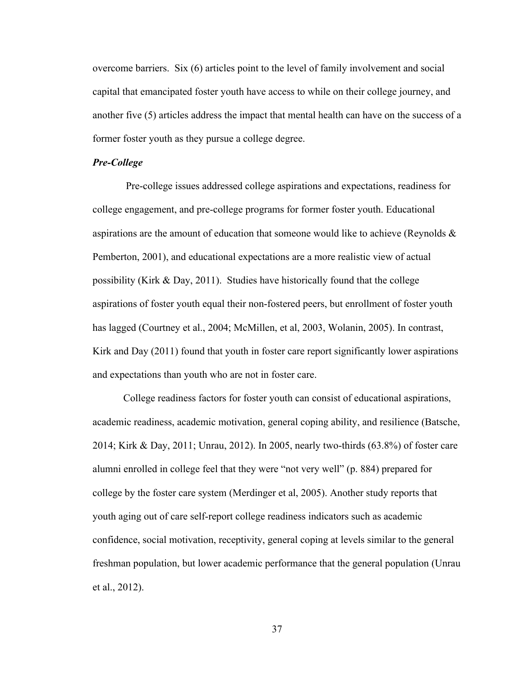overcome barriers. Six (6) articles point to the level of family involvement and social capital that emancipated foster youth have access to while on their college journey, and another five (5) articles address the impact that mental health can have on the success of a former foster youth as they pursue a college degree.

### *Pre-College*

Pre-college issues addressed college aspirations and expectations, readiness for college engagement, and pre-college programs for former foster youth. Educational aspirations are the amount of education that someone would like to achieve (Reynolds  $\&$ Pemberton, 2001), and educational expectations are a more realistic view of actual possibility (Kirk & Day, 2011). Studies have historically found that the college aspirations of foster youth equal their non-fostered peers, but enrollment of foster youth has lagged (Courtney et al., 2004; McMillen, et al, 2003, Wolanin, 2005). In contrast, Kirk and Day (2011) found that youth in foster care report significantly lower aspirations and expectations than youth who are not in foster care.

College readiness factors for foster youth can consist of educational aspirations, academic readiness, academic motivation, general coping ability, and resilience (Batsche, 2014; Kirk & Day, 2011; Unrau, 2012). In 2005, nearly two-thirds (63.8%) of foster care alumni enrolled in college feel that they were "not very well" (p. 884) prepared for college by the foster care system (Merdinger et al, 2005). Another study reports that youth aging out of care self-report college readiness indicators such as academic confidence, social motivation, receptivity, general coping at levels similar to the general freshman population, but lower academic performance that the general population (Unrau et al., 2012).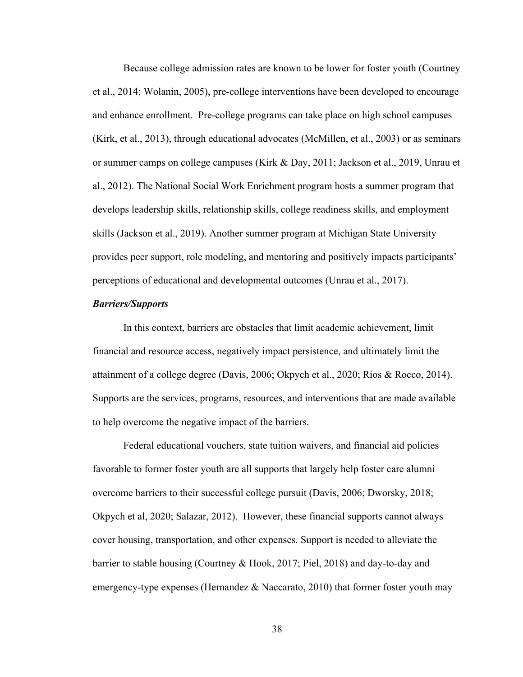Because college admission rates are known to be lower for foster youth (Courtney et al., 2014; Wolanin, 2005), pre-college interventions have been developed to encourage and enhance enrollment. Pre-college programs can take place on high school campuses (Kirk, et al., 2013), through educational advocates (McMillen, et al., 2003) or as seminars or summer camps on college campuses (Kirk & Day, 2011; Jackson et al., 2019, Unrau et al., 2012). The National Social Work Enrichment program hosts a summer program that develops leadership skills, relationship skills, college readiness skills, and employment skills (Jackson et al., 2019). Another summer program at Michigan State University provides peer support, role modeling, and mentoring and positively impacts participants' perceptions of educational and developmental outcomes (Unrau et al., 2017).

## *Barriers/Supports*

In this context, barriers are obstacles that limit academic achievement, limit financial and resource access, negatively impact persistence, and ultimately limit the attainment of a college degree (Davis, 2006; Okpych et al., 2020; Rios & Rocco, 2014). Supports are the services, programs, resources, and interventions that are made available to help overcome the negative impact of the barriers.

Federal educational vouchers, state tuition waivers, and financial aid policies favorable to former foster youth are all supports that largely help foster care alumni overcome barriers to their successful college pursuit (Davis, 2006; Dworsky, 2018; Okpych et al, 2020; Salazar, 2012). However, these financial supports cannot always cover housing, transportation, and other expenses. Support is needed to alleviate the barrier to stable housing (Courtney & Hook, 2017; Piel, 2018) and day-to-day and emergency-type expenses (Hernandez & Naccarato, 2010) that former foster youth may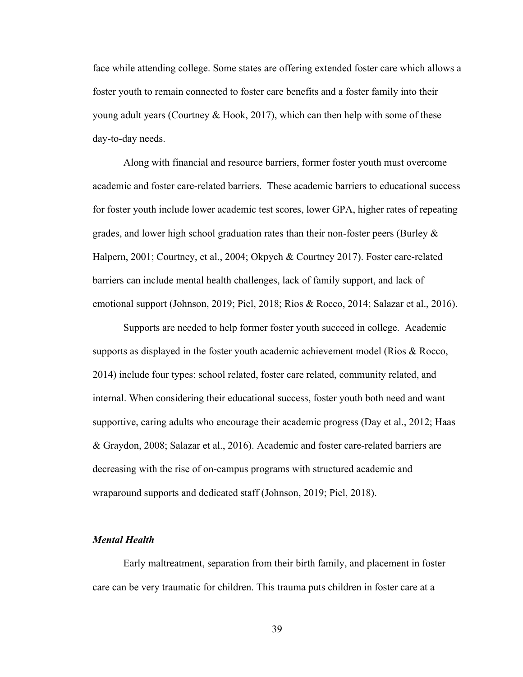face while attending college. Some states are offering extended foster care which allows a foster youth to remain connected to foster care benefits and a foster family into their young adult years (Courtney & Hook, 2017), which can then help with some of these day-to-day needs.

Along with financial and resource barriers, former foster youth must overcome academic and foster care-related barriers. These academic barriers to educational success for foster youth include lower academic test scores, lower GPA, higher rates of repeating grades, and lower high school graduation rates than their non-foster peers (Burley & Halpern, 2001; Courtney, et al., 2004; Okpych & Courtney 2017). Foster care-related barriers can include mental health challenges, lack of family support, and lack of emotional support (Johnson, 2019; Piel, 2018; Rios & Rocco, 2014; Salazar et al., 2016).

Supports are needed to help former foster youth succeed in college. Academic supports as displayed in the foster youth academic achievement model (Rios & Rocco, 2014) include four types: school related, foster care related, community related, and internal. When considering their educational success, foster youth both need and want supportive, caring adults who encourage their academic progress (Day et al., 2012; Haas & Graydon, 2008; Salazar et al., 2016). Academic and foster care-related barriers are decreasing with the rise of on-campus programs with structured academic and wraparound supports and dedicated staff (Johnson, 2019; Piel, 2018).

#### *Mental Health*

Early maltreatment, separation from their birth family, and placement in foster care can be very traumatic for children. This trauma puts children in foster care at a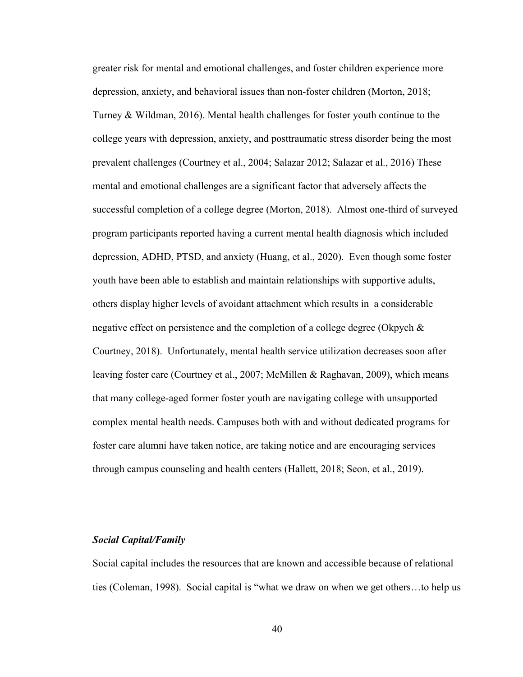greater risk for mental and emotional challenges, and foster children experience more depression, anxiety, and behavioral issues than non-foster children (Morton, 2018; Turney & Wildman, 2016). Mental health challenges for foster youth continue to the college years with depression, anxiety, and posttraumatic stress disorder being the most prevalent challenges (Courtney et al., 2004; Salazar 2012; Salazar et al., 2016) These mental and emotional challenges are a significant factor that adversely affects the successful completion of a college degree (Morton, 2018). Almost one-third of surveyed program participants reported having a current mental health diagnosis which included depression, ADHD, PTSD, and anxiety (Huang, et al., 2020). Even though some foster youth have been able to establish and maintain relationships with supportive adults, others display higher levels of avoidant attachment which results in a considerable negative effect on persistence and the completion of a college degree (Okpych & Courtney, 2018). Unfortunately, mental health service utilization decreases soon after leaving foster care (Courtney et al., 2007; McMillen & Raghavan, 2009), which means that many college-aged former foster youth are navigating college with unsupported complex mental health needs. Campuses both with and without dedicated programs for foster care alumni have taken notice, are taking notice and are encouraging services through campus counseling and health centers (Hallett, 2018; Seon, et al., 2019).

### *Social Capital/Family*

Social capital includes the resources that are known and accessible because of relational ties (Coleman, 1998). Social capital is "what we draw on when we get others…to help us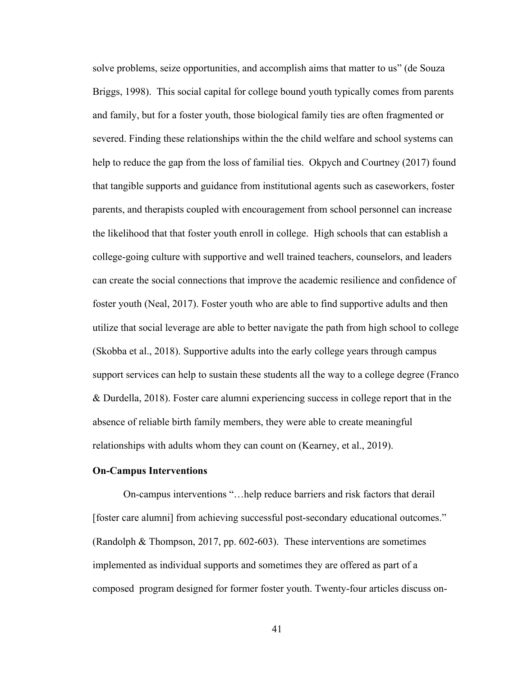solve problems, seize opportunities, and accomplish aims that matter to us" (de Souza Briggs, 1998). This social capital for college bound youth typically comes from parents and family, but for a foster youth, those biological family ties are often fragmented or severed. Finding these relationships within the the child welfare and school systems can help to reduce the gap from the loss of familial ties. Okpych and Courtney (2017) found that tangible supports and guidance from institutional agents such as caseworkers, foster parents, and therapists coupled with encouragement from school personnel can increase the likelihood that that foster youth enroll in college. High schools that can establish a college-going culture with supportive and well trained teachers, counselors, and leaders can create the social connections that improve the academic resilience and confidence of foster youth (Neal, 2017). Foster youth who are able to find supportive adults and then utilize that social leverage are able to better navigate the path from high school to college (Skobba et al., 2018). Supportive adults into the early college years through campus support services can help to sustain these students all the way to a college degree (Franco & Durdella, 2018). Foster care alumni experiencing success in college report that in the absence of reliable birth family members, they were able to create meaningful relationships with adults whom they can count on (Kearney, et al., 2019).

### **On-Campus Interventions**

On-campus interventions "…help reduce barriers and risk factors that derail [foster care alumni] from achieving successful post-secondary educational outcomes." (Randolph & Thompson, 2017, pp. 602-603). These interventions are sometimes implemented as individual supports and sometimes they are offered as part of a composed program designed for former foster youth. Twenty-four articles discuss on-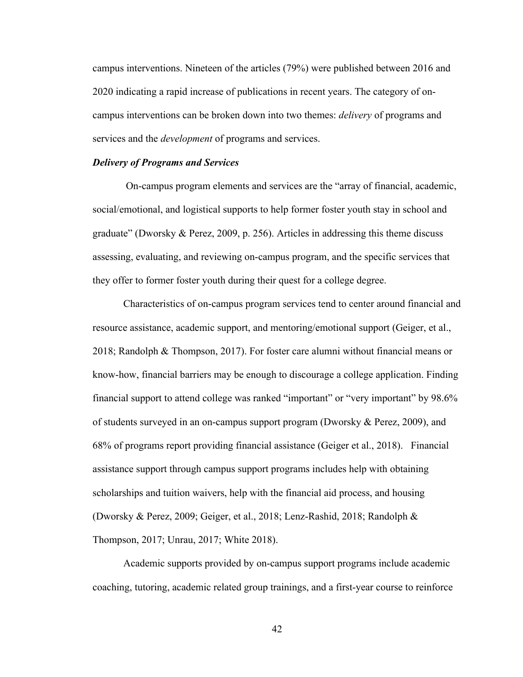campus interventions. Nineteen of the articles (79%) were published between 2016 and 2020 indicating a rapid increase of publications in recent years. The category of oncampus interventions can be broken down into two themes: *delivery* of programs and services and the *development* of programs and services.

### *Delivery of Programs and Services*

On-campus program elements and services are the "array of financial, academic, social/emotional, and logistical supports to help former foster youth stay in school and graduate" (Dworsky & Perez, 2009, p. 256). Articles in addressing this theme discuss assessing, evaluating, and reviewing on-campus program, and the specific services that they offer to former foster youth during their quest for a college degree.

Characteristics of on-campus program services tend to center around financial and resource assistance, academic support, and mentoring/emotional support (Geiger, et al., 2018; Randolph & Thompson, 2017). For foster care alumni without financial means or know-how, financial barriers may be enough to discourage a college application. Finding financial support to attend college was ranked "important" or "very important" by 98.6% of students surveyed in an on-campus support program (Dworsky  $\&$  Perez, 2009), and 68% of programs report providing financial assistance (Geiger et al., 2018). Financial assistance support through campus support programs includes help with obtaining scholarships and tuition waivers, help with the financial aid process, and housing (Dworsky & Perez, 2009; Geiger, et al., 2018; Lenz-Rashid, 2018; Randolph & Thompson, 2017; Unrau, 2017; White 2018).

Academic supports provided by on-campus support programs include academic coaching, tutoring, academic related group trainings, and a first-year course to reinforce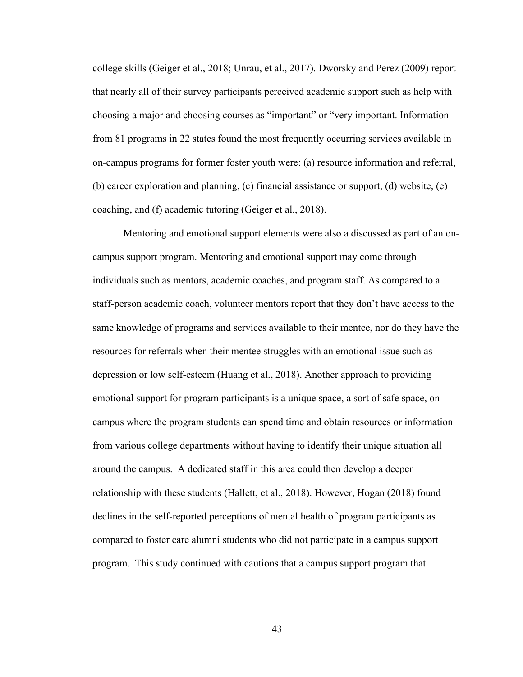college skills (Geiger et al., 2018; Unrau, et al., 2017). Dworsky and Perez (2009) report that nearly all of their survey participants perceived academic support such as help with choosing a major and choosing courses as "important" or "very important. Information from 81 programs in 22 states found the most frequently occurring services available in on-campus programs for former foster youth were: (a) resource information and referral, (b) career exploration and planning, (c) financial assistance or support, (d) website, (e) coaching, and (f) academic tutoring (Geiger et al., 2018).

Mentoring and emotional support elements were also a discussed as part of an oncampus support program. Mentoring and emotional support may come through individuals such as mentors, academic coaches, and program staff. As compared to a staff-person academic coach, volunteer mentors report that they don't have access to the same knowledge of programs and services available to their mentee, nor do they have the resources for referrals when their mentee struggles with an emotional issue such as depression or low self-esteem (Huang et al., 2018). Another approach to providing emotional support for program participants is a unique space, a sort of safe space, on campus where the program students can spend time and obtain resources or information from various college departments without having to identify their unique situation all around the campus. A dedicated staff in this area could then develop a deeper relationship with these students (Hallett, et al., 2018). However, Hogan (2018) found declines in the self-reported perceptions of mental health of program participants as compared to foster care alumni students who did not participate in a campus support program. This study continued with cautions that a campus support program that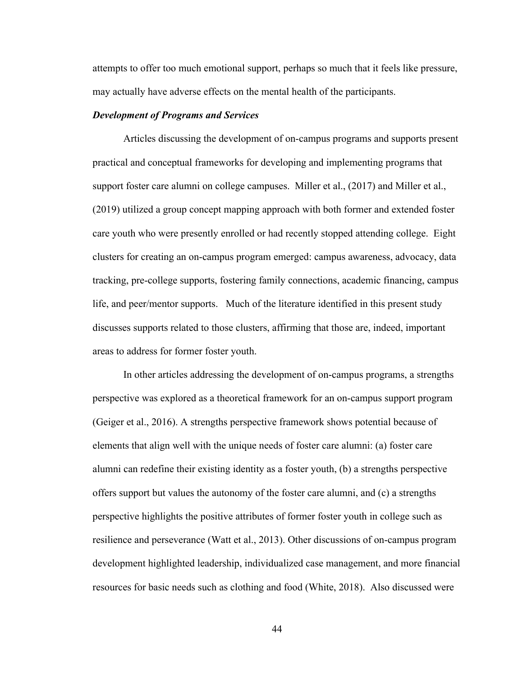attempts to offer too much emotional support, perhaps so much that it feels like pressure, may actually have adverse effects on the mental health of the participants.

#### *Development of Programs and Services*

Articles discussing the development of on-campus programs and supports present practical and conceptual frameworks for developing and implementing programs that support foster care alumni on college campuses. Miller et al., (2017) and Miller et al., (2019) utilized a group concept mapping approach with both former and extended foster care youth who were presently enrolled or had recently stopped attending college. Eight clusters for creating an on-campus program emerged: campus awareness, advocacy, data tracking, pre-college supports, fostering family connections, academic financing, campus life, and peer/mentor supports. Much of the literature identified in this present study discusses supports related to those clusters, affirming that those are, indeed, important areas to address for former foster youth.

In other articles addressing the development of on-campus programs, a strengths perspective was explored as a theoretical framework for an on-campus support program (Geiger et al., 2016). A strengths perspective framework shows potential because of elements that align well with the unique needs of foster care alumni: (a) foster care alumni can redefine their existing identity as a foster youth, (b) a strengths perspective offers support but values the autonomy of the foster care alumni, and (c) a strengths perspective highlights the positive attributes of former foster youth in college such as resilience and perseverance (Watt et al., 2013). Other discussions of on-campus program development highlighted leadership, individualized case management, and more financial resources for basic needs such as clothing and food (White, 2018). Also discussed were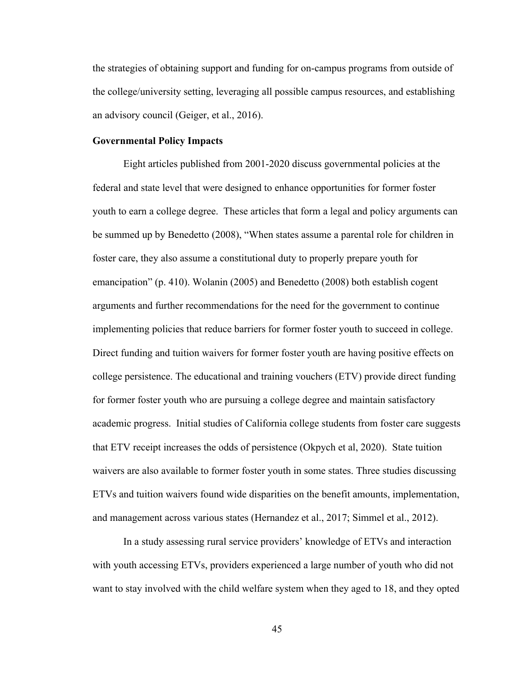the strategies of obtaining support and funding for on-campus programs from outside of the college/university setting, leveraging all possible campus resources, and establishing an advisory council (Geiger, et al., 2016).

# **Governmental Policy Impacts**

Eight articles published from 2001-2020 discuss governmental policies at the federal and state level that were designed to enhance opportunities for former foster youth to earn a college degree. These articles that form a legal and policy arguments can be summed up by Benedetto (2008), "When states assume a parental role for children in foster care, they also assume a constitutional duty to properly prepare youth for emancipation" (p. 410). Wolanin (2005) and Benedetto (2008) both establish cogent arguments and further recommendations for the need for the government to continue implementing policies that reduce barriers for former foster youth to succeed in college. Direct funding and tuition waivers for former foster youth are having positive effects on college persistence. The educational and training vouchers (ETV) provide direct funding for former foster youth who are pursuing a college degree and maintain satisfactory academic progress. Initial studies of California college students from foster care suggests that ETV receipt increases the odds of persistence (Okpych et al, 2020). State tuition waivers are also available to former foster youth in some states. Three studies discussing ETVs and tuition waivers found wide disparities on the benefit amounts, implementation, and management across various states (Hernandez et al., 2017; Simmel et al., 2012).

In a study assessing rural service providers' knowledge of ETVs and interaction with youth accessing ETVs, providers experienced a large number of youth who did not want to stay involved with the child welfare system when they aged to 18, and they opted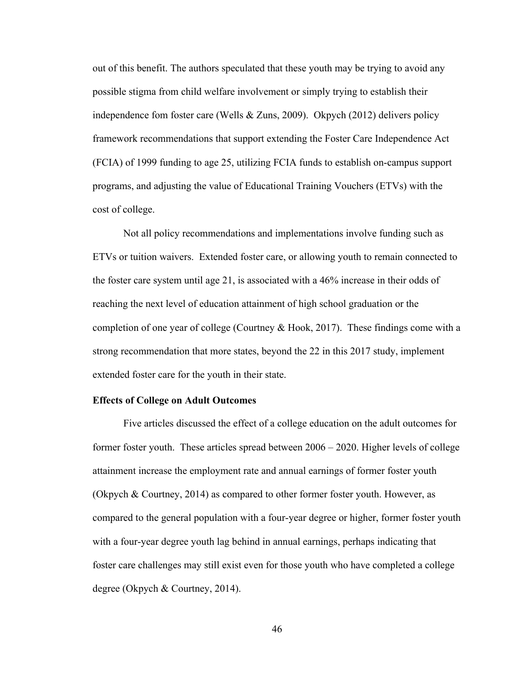out of this benefit. The authors speculated that these youth may be trying to avoid any possible stigma from child welfare involvement or simply trying to establish their independence fom foster care (Wells & Zuns, 2009). Okpych (2012) delivers policy framework recommendations that support extending the Foster Care Independence Act (FCIA) of 1999 funding to age 25, utilizing FCIA funds to establish on-campus support programs, and adjusting the value of Educational Training Vouchers (ETVs) with the cost of college.

Not all policy recommendations and implementations involve funding such as ETVs or tuition waivers. Extended foster care, or allowing youth to remain connected to the foster care system until age 21, is associated with a 46% increase in their odds of reaching the next level of education attainment of high school graduation or the completion of one year of college (Courtney & Hook, 2017). These findings come with a strong recommendation that more states, beyond the 22 in this 2017 study, implement extended foster care for the youth in their state.

#### **Effects of College on Adult Outcomes**

Five articles discussed the effect of a college education on the adult outcomes for former foster youth. These articles spread between 2006 – 2020. Higher levels of college attainment increase the employment rate and annual earnings of former foster youth (Okpych & Courtney, 2014) as compared to other former foster youth. However, as compared to the general population with a four-year degree or higher, former foster youth with a four-year degree youth lag behind in annual earnings, perhaps indicating that foster care challenges may still exist even for those youth who have completed a college degree (Okpych & Courtney, 2014).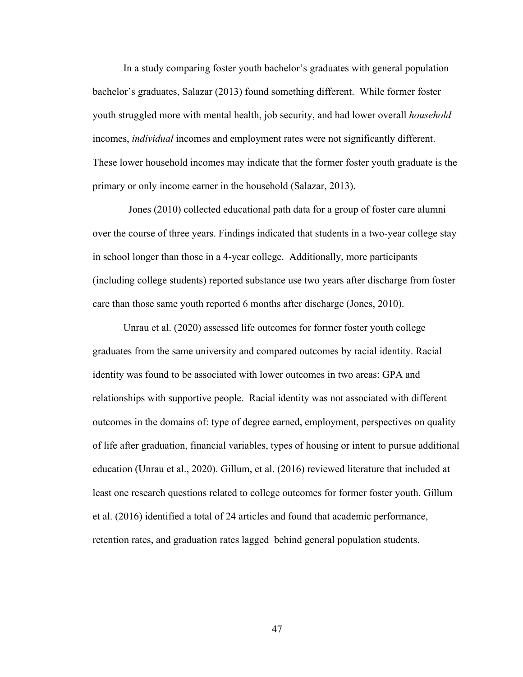In a study comparing foster youth bachelor's graduates with general population bachelor's graduates, Salazar (2013) found something different. While former foster youth struggled more with mental health, job security, and had lower overall *household* incomes, *individual* incomes and employment rates were not significantly different. These lower household incomes may indicate that the former foster youth graduate is the primary or only income earner in the household (Salazar, 2013).

 Jones (2010) collected educational path data for a group of foster care alumni over the course of three years. Findings indicated that students in a two-year college stay in school longer than those in a 4-year college. Additionally, more participants (including college students) reported substance use two years after discharge from foster care than those same youth reported 6 months after discharge (Jones, 2010).

Unrau et al. (2020) assessed life outcomes for former foster youth college graduates from the same university and compared outcomes by racial identity. Racial identity was found to be associated with lower outcomes in two areas: GPA and relationships with supportive people. Racial identity was not associated with different outcomes in the domains of: type of degree earned, employment, perspectives on quality of life after graduation, financial variables, types of housing or intent to pursue additional education (Unrau et al., 2020). Gillum, et al. (2016) reviewed literature that included at least one research questions related to college outcomes for former foster youth. Gillum et al. (2016) identified a total of 24 articles and found that academic performance, retention rates, and graduation rates lagged behind general population students.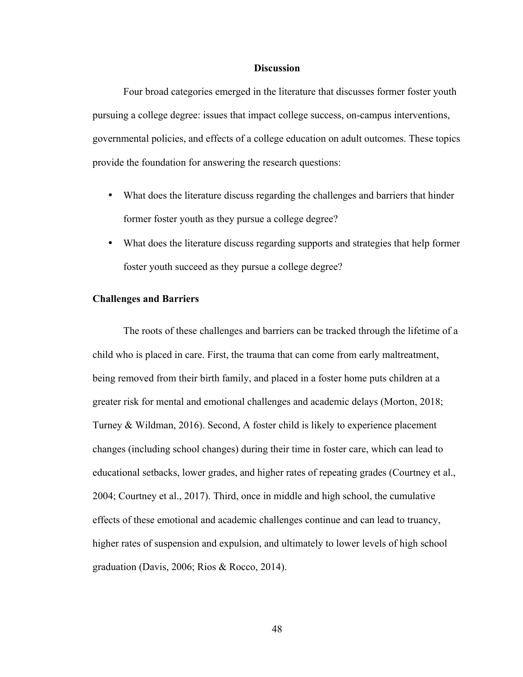#### **Discussion**

Four broad categories emerged in the literature that discusses former foster youth pursuing a college degree: issues that impact college success, on-campus interventions, governmental policies, and effects of a college education on adult outcomes. These topics provide the foundation for answering the research questions:

- What does the literature discuss regarding the challenges and barriers that hinder former foster youth as they pursue a college degree?
- What does the literature discuss regarding supports and strategies that help former foster youth succeed as they pursue a college degree?

### **Challenges and Barriers**

The roots of these challenges and barriers can be tracked through the lifetime of a child who is placed in care. First, the trauma that can come from early maltreatment, being removed from their birth family, and placed in a foster home puts children at a greater risk for mental and emotional challenges and academic delays (Morton, 2018; Turney & Wildman, 2016). Second, A foster child is likely to experience placement changes (including school changes) during their time in foster care, which can lead to educational setbacks, lower grades, and higher rates of repeating grades (Courtney et al., 2004; Courtney et al., 2017). Third, once in middle and high school, the cumulative effects of these emotional and academic challenges continue and can lead to truancy, higher rates of suspension and expulsion, and ultimately to lower levels of high school graduation (Davis, 2006; Rios & Rocco, 2014).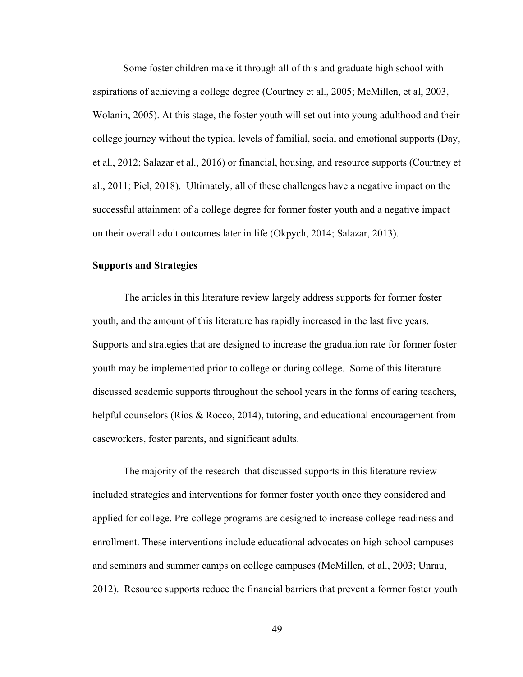Some foster children make it through all of this and graduate high school with aspirations of achieving a college degree (Courtney et al., 2005; McMillen, et al, 2003, Wolanin, 2005). At this stage, the foster youth will set out into young adulthood and their college journey without the typical levels of familial, social and emotional supports (Day, et al., 2012; Salazar et al., 2016) or financial, housing, and resource supports (Courtney et al., 2011; Piel, 2018). Ultimately, all of these challenges have a negative impact on the successful attainment of a college degree for former foster youth and a negative impact on their overall adult outcomes later in life (Okpych, 2014; Salazar, 2013).

# **Supports and Strategies**

The articles in this literature review largely address supports for former foster youth, and the amount of this literature has rapidly increased in the last five years. Supports and strategies that are designed to increase the graduation rate for former foster youth may be implemented prior to college or during college. Some of this literature discussed academic supports throughout the school years in the forms of caring teachers, helpful counselors (Rios & Rocco, 2014), tutoring, and educational encouragement from caseworkers, foster parents, and significant adults.

The majority of the research that discussed supports in this literature review included strategies and interventions for former foster youth once they considered and applied for college. Pre-college programs are designed to increase college readiness and enrollment. These interventions include educational advocates on high school campuses and seminars and summer camps on college campuses (McMillen, et al., 2003; Unrau, 2012). Resource supports reduce the financial barriers that prevent a former foster youth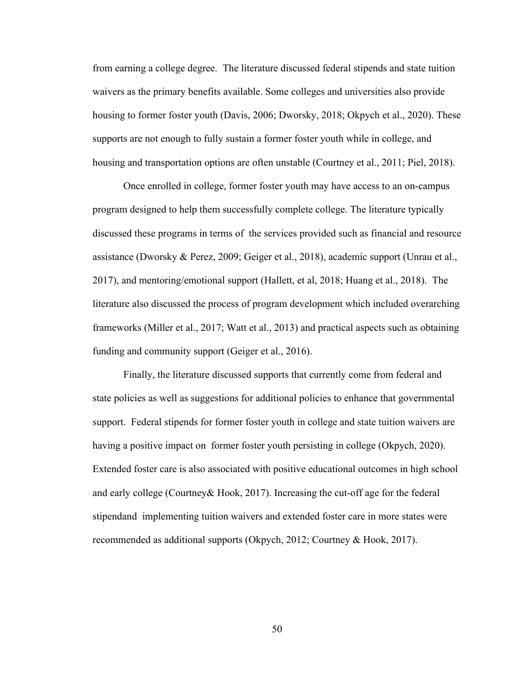from earning a college degree. The literature discussed federal stipends and state tuition waivers as the primary benefits available. Some colleges and universities also provide housing to former foster youth (Davis, 2006; Dworsky, 2018; Okpych et al., 2020). These supports are not enough to fully sustain a former foster youth while in college, and housing and transportation options are often unstable (Courtney et al., 2011; Piel, 2018).

Once enrolled in college, former foster youth may have access to an on-campus program designed to help them successfully complete college. The literature typically discussed these programs in terms of the services provided such as financial and resource assistance (Dworsky & Perez, 2009; Geiger et al., 2018), academic support (Unrau et al., 2017), and mentoring/emotional support (Hallett, et al, 2018; Huang et al., 2018). The literature also discussed the process of program development which included overarching frameworks (Miller et al., 2017; Watt et al., 2013) and practical aspects such as obtaining funding and community support (Geiger et al., 2016).

Finally, the literature discussed supports that currently come from federal and state policies as well as suggestions for additional policies to enhance that governmental support. Federal stipends for former foster youth in college and state tuition waivers are having a positive impact on former foster youth persisting in college (Okpych, 2020). Extended foster care is also associated with positive educational outcomes in high school and early college (Courtney& Hook, 2017). Increasing the cut-off age for the federal stipendand implementing tuition waivers and extended foster care in more states were recommended as additional supports (Okpych, 2012; Courtney & Hook, 2017).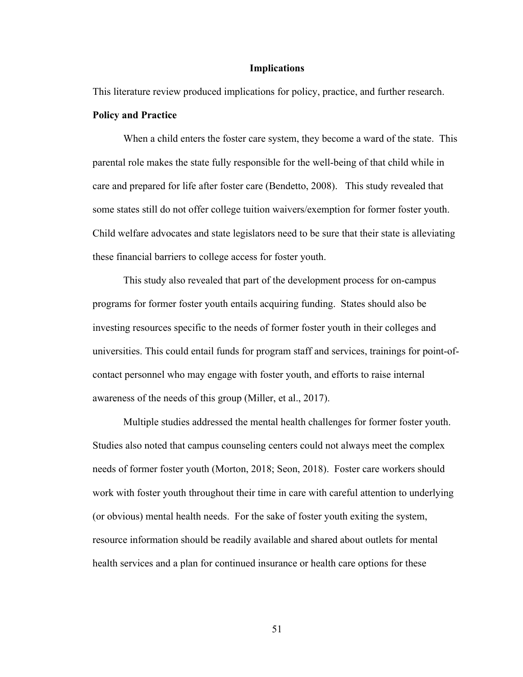### **Implications**

This literature review produced implications for policy, practice, and further research.

### **Policy and Practice**

When a child enters the foster care system, they become a ward of the state. This parental role makes the state fully responsible for the well-being of that child while in care and prepared for life after foster care (Bendetto, 2008). This study revealed that some states still do not offer college tuition waivers/exemption for former foster youth. Child welfare advocates and state legislators need to be sure that their state is alleviating these financial barriers to college access for foster youth.

This study also revealed that part of the development process for on-campus programs for former foster youth entails acquiring funding. States should also be investing resources specific to the needs of former foster youth in their colleges and universities. This could entail funds for program staff and services, trainings for point-ofcontact personnel who may engage with foster youth, and efforts to raise internal awareness of the needs of this group (Miller, et al., 2017).

Multiple studies addressed the mental health challenges for former foster youth. Studies also noted that campus counseling centers could not always meet the complex needs of former foster youth (Morton, 2018; Seon, 2018). Foster care workers should work with foster youth throughout their time in care with careful attention to underlying (or obvious) mental health needs. For the sake of foster youth exiting the system, resource information should be readily available and shared about outlets for mental health services and a plan for continued insurance or health care options for these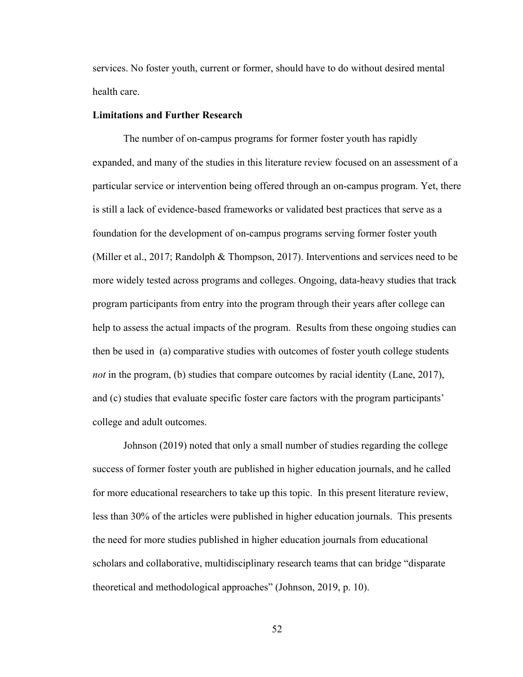services. No foster youth, current or former, should have to do without desired mental health care.

### **Limitations and Further Research**

The number of on-campus programs for former foster youth has rapidly expanded, and many of the studies in this literature review focused on an assessment of a particular service or intervention being offered through an on-campus program. Yet, there is still a lack of evidence-based frameworks or validated best practices that serve as a foundation for the development of on-campus programs serving former foster youth (Miller et al., 2017; Randolph & Thompson, 2017). Interventions and services need to be more widely tested across programs and colleges. Ongoing, data-heavy studies that track program participants from entry into the program through their years after college can help to assess the actual impacts of the program. Results from these ongoing studies can then be used in (a) comparative studies with outcomes of foster youth college students *not* in the program, (b) studies that compare outcomes by racial identity (Lane, 2017), and (c) studies that evaluate specific foster care factors with the program participants' college and adult outcomes.

Johnson (2019) noted that only a small number of studies regarding the college success of former foster youth are published in higher education journals, and he called for more educational researchers to take up this topic. In this present literature review, less than 30% of the articles were published in higher education journals. This presents the need for more studies published in higher education journals from educational scholars and collaborative, multidisciplinary research teams that can bridge "disparate theoretical and methodological approaches" (Johnson, 2019, p. 10).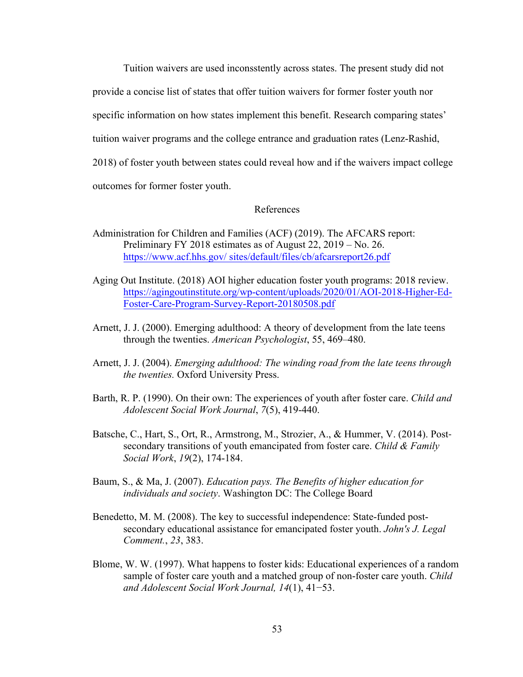Tuition waivers are used inconsstently across states. The present study did not

provide a concise list of states that offer tuition waivers for former foster youth nor

specific information on how states implement this benefit. Research comparing states'

tuition waiver programs and the college entrance and graduation rates (Lenz-Rashid,

2018) of foster youth between states could reveal how and if the waivers impact college

outcomes for former foster youth.

# References

- Administration for Children and Families (ACF) (2019). The AFCARS report: Preliminary FY 2018 estimates as of August 22, 2019 – No. 26. https://www.acf.hhs.gov/ sites/default/files/cb/afcarsreport26.pdf
- Aging Out Institute. (2018) AOI higher education foster youth programs: 2018 review. https://agingoutinstitute.org/wp-content/uploads/2020/01/AOI-2018-Higher-Ed-Foster-Care-Program-Survey-Report-20180508.pdf
- Arnett, J. J. (2000). Emerging adulthood: A theory of development from the late teens through the twenties. *American Psychologist*, 55, 469–480.
- Arnett, J. J. (2004). *Emerging adulthood: The winding road from the late teens through the twenties.* Oxford University Press.
- Barth, R. P. (1990). On their own: The experiences of youth after foster care. *Child and Adolescent Social Work Journal*, *7*(5), 419-440.
- Batsche, C., Hart, S., Ort, R., Armstrong, M., Strozier, A., & Hummer, V. (2014). Postsecondary transitions of youth emancipated from foster care. *Child & Family Social Work*, *19*(2), 174-184.
- Baum, S., & Ma, J. (2007). *Education pays. The Benefits of higher education for individuals and society*. Washington DC: The College Board
- Benedetto, M. M. (2008). The key to successful independence: State-funded postsecondary educational assistance for emancipated foster youth. *John's J. Legal Comment.*, *23*, 383.
- Blome, W. W. (1997). What happens to foster kids: Educational experiences of a random sample of foster care youth and a matched group of non-foster care youth. *Child and Adolescent Social Work Journal, 14*(1), 41−53.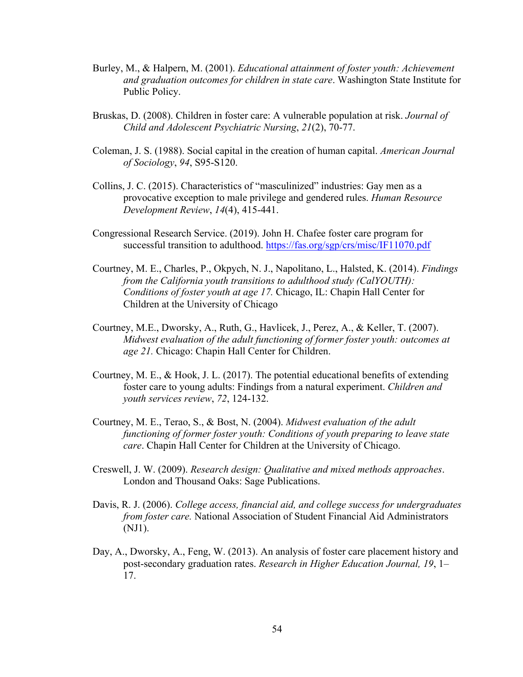- Burley, M., & Halpern, M. (2001). *Educational attainment of foster youth: Achievement and graduation outcomes for children in state care*. Washington State Institute for Public Policy.
- Bruskas, D. (2008). Children in foster care: A vulnerable population at risk. *Journal of Child and Adolescent Psychiatric Nursing*, *21*(2), 70-77.
- Coleman, J. S. (1988). Social capital in the creation of human capital. *American Journal of Sociology*, *94*, S95-S120.
- Collins, J. C. (2015). Characteristics of "masculinized" industries: Gay men as a provocative exception to male privilege and gendered rules. *Human Resource Development Review*, *14*(4), 415-441.
- Congressional Research Service. (2019). John H. Chafee foster care program for successful transition to adulthood. https://fas.org/sgp/crs/misc/IF11070.pdf
- Courtney, M. E., Charles, P., Okpych, N. J., Napolitano, L., Halsted, K. (2014). *Findings from the California youth transitions to adulthood study (CalYOUTH): Conditions of foster youth at age 17.* Chicago, IL: Chapin Hall Center for Children at the University of Chicago
- Courtney, M.E., Dworsky, A., Ruth, G., Havlicek, J., Perez, A., & Keller, T. (2007). *Midwest evaluation of the adult functioning of former foster youth: outcomes at age 21.* Chicago: Chapin Hall Center for Children.
- Courtney, M. E., & Hook, J. L. (2017). The potential educational benefits of extending foster care to young adults: Findings from a natural experiment. *Children and youth services review*, *72*, 124-132.
- Courtney, M. E., Terao, S., & Bost, N. (2004). *Midwest evaluation of the adult functioning of former foster youth: Conditions of youth preparing to leave state care*. Chapin Hall Center for Children at the University of Chicago.
- Creswell, J. W. (2009). *Research design: Qualitative and mixed methods approaches*. London and Thousand Oaks: Sage Publications.
- Davis, R. J. (2006). *College access, financial aid, and college success for undergraduates from foster care.* National Association of Student Financial Aid Administrators (NJ1).
- Day, A., Dworsky, A., Feng, W. (2013). An analysis of foster care placement history and post-secondary graduation rates. *Research in Higher Education Journal, 19*, 1– 17.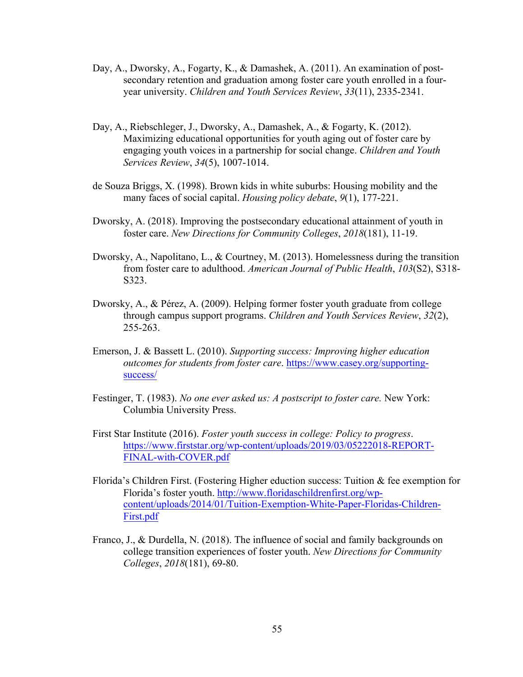- Day, A., Dworsky, A., Fogarty, K., & Damashek, A. (2011). An examination of postsecondary retention and graduation among foster care youth enrolled in a fouryear university. *Children and Youth Services Review*, *33*(11), 2335-2341.
- Day, A., Riebschleger, J., Dworsky, A., Damashek, A., & Fogarty, K. (2012). Maximizing educational opportunities for youth aging out of foster care by engaging youth voices in a partnership for social change. *Children and Youth Services Review*, *34*(5), 1007-1014.
- de Souza Briggs, X. (1998). Brown kids in white suburbs: Housing mobility and the many faces of social capital. *Housing policy debate*, *9*(1), 177-221.
- Dworsky, A. (2018). Improving the postsecondary educational attainment of youth in foster care. *New Directions for Community Colleges*, *2018*(181), 11-19.
- Dworsky, A., Napolitano, L., & Courtney, M. (2013). Homelessness during the transition from foster care to adulthood. *American Journal of Public Health*, *103*(S2), S318- S323.
- Dworsky, A., & Pérez, A. (2009). Helping former foster youth graduate from college through campus support programs. *Children and Youth Services Review*, *32*(2), 255-263.
- Emerson, J. & Bassett L. (2010). *Supporting success: Improving higher education outcomes for students from foster care*. https://www.casey.org/supportingsuccess/
- Festinger, T. (1983). *No one ever asked us: A postscript to foster care.* New York: Columbia University Press.
- First Star Institute (2016). *Foster youth success in college: Policy to progress*. https://www.firststar.org/wp-content/uploads/2019/03/05222018-REPORT-FINAL-with-COVER.pdf
- Florida's Children First. (Fostering Higher eduction success: Tuition & fee exemption for Florida's foster youth. http://www.floridaschildrenfirst.org/wpcontent/uploads/2014/01/Tuition-Exemption-White-Paper-Floridas-Children-First.pdf
- Franco, J., & Durdella, N. (2018). The influence of social and family backgrounds on college transition experiences of foster youth. *New Directions for Community Colleges*, *2018*(181), 69-80.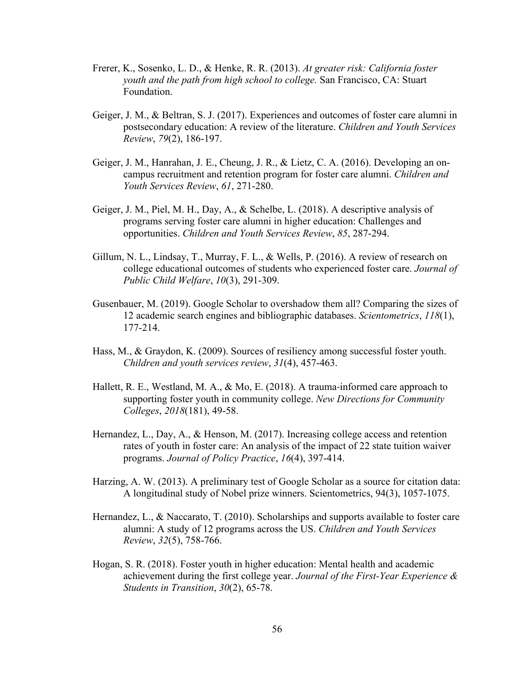- Frerer, K., Sosenko, L. D., & Henke, R. R. (2013). *At greater risk: California foster youth and the path from high school to college.* San Francisco, CA: Stuart Foundation.
- Geiger, J. M., & Beltran, S. J. (2017). Experiences and outcomes of foster care alumni in postsecondary education: A review of the literature. *Children and Youth Services Review*, *79*(2), 186-197.
- Geiger, J. M., Hanrahan, J. E., Cheung, J. R., & Lietz, C. A. (2016). Developing an oncampus recruitment and retention program for foster care alumni. *Children and Youth Services Review*, *61*, 271-280.
- Geiger, J. M., Piel, M. H., Day, A., & Schelbe, L. (2018). A descriptive analysis of programs serving foster care alumni in higher education: Challenges and opportunities. *Children and Youth Services Review*, *85*, 287-294.
- Gillum, N. L., Lindsay, T., Murray, F. L., & Wells, P. (2016). A review of research on college educational outcomes of students who experienced foster care. *Journal of Public Child Welfare*, *10*(3), 291-309.
- Gusenbauer, M. (2019). Google Scholar to overshadow them all? Comparing the sizes of 12 academic search engines and bibliographic databases. *Scientometrics*, *118*(1), 177-214.
- Hass, M., & Graydon, K. (2009). Sources of resiliency among successful foster youth. *Children and youth services review*, *31*(4), 457-463.
- Hallett, R. E., Westland, M. A., & Mo, E. (2018). A trauma-informed care approach to supporting foster youth in community college. *New Directions for Community Colleges*, *2018*(181), 49-58.
- Hernandez, L., Day, A., & Henson, M. (2017). Increasing college access and retention rates of youth in foster care: An analysis of the impact of 22 state tuition waiver programs. *Journal of Policy Practice*, *16*(4), 397-414.
- Harzing, A. W. (2013). A preliminary test of Google Scholar as a source for citation data: A longitudinal study of Nobel prize winners. Scientometrics, 94(3), 1057-1075.
- Hernandez, L., & Naccarato, T. (2010). Scholarships and supports available to foster care alumni: A study of 12 programs across the US. *Children and Youth Services Review*, *32*(5), 758-766.
- Hogan, S. R. (2018). Foster youth in higher education: Mental health and academic achievement during the first college year. *Journal of the First-Year Experience & Students in Transition*, *30*(2), 65-78.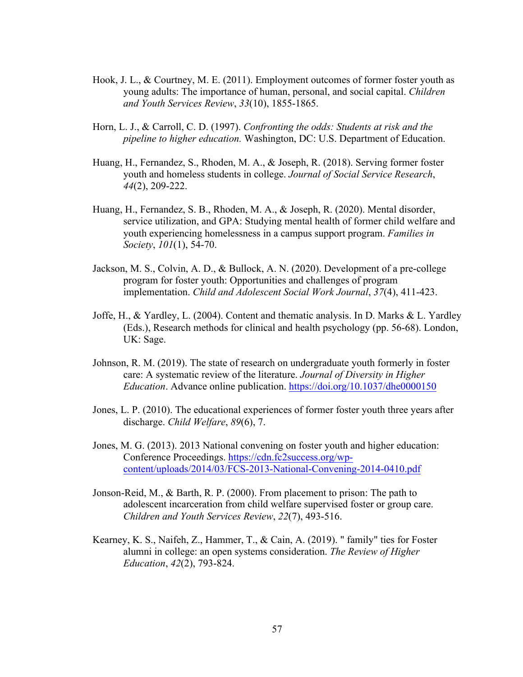- Hook, J. L., & Courtney, M. E. (2011). Employment outcomes of former foster youth as young adults: The importance of human, personal, and social capital. *Children and Youth Services Review*, *33*(10), 1855-1865.
- Horn, L. J., & Carroll, C. D. (1997). *Confronting the odds: Students at risk and the pipeline to higher education.* Washington, DC: U.S. Department of Education.
- Huang, H., Fernandez, S., Rhoden, M. A., & Joseph, R. (2018). Serving former foster youth and homeless students in college. *Journal of Social Service Research*, *44*(2), 209-222.
- Huang, H., Fernandez, S. B., Rhoden, M. A., & Joseph, R. (2020). Mental disorder, service utilization, and GPA: Studying mental health of former child welfare and youth experiencing homelessness in a campus support program. *Families in Society*, *101*(1), 54-70.
- Jackson, M. S., Colvin, A. D., & Bullock, A. N. (2020). Development of a pre-college program for foster youth: Opportunities and challenges of program implementation. *Child and Adolescent Social Work Journal*, *37*(4), 411-423.
- Joffe, H., & Yardley, L. (2004). Content and thematic analysis. In D. Marks & L. Yardley (Eds.), Research methods for clinical and health psychology (pp. 56-68). London, UK: Sage.
- Johnson, R. M. (2019). The state of research on undergraduate youth formerly in foster care: A systematic review of the literature. *Journal of Diversity in Higher Education*. Advance online publication. https://doi.org/10.1037/dhe0000150
- Jones, L. P. (2010). The educational experiences of former foster youth three years after discharge. *Child Welfare*, *89*(6), 7.
- Jones, M. G. (2013). 2013 National convening on foster youth and higher education: Conference Proceedings. https://cdn.fc2success.org/wpcontent/uploads/2014/03/FCS-2013-National-Convening-2014-0410.pdf
- Jonson-Reid, M., & Barth, R. P. (2000). From placement to prison: The path to adolescent incarceration from child welfare supervised foster or group care. *Children and Youth Services Review*, *22*(7), 493-516.
- Kearney, K. S., Naifeh, Z., Hammer, T., & Cain, A. (2019). " family" ties for Foster alumni in college: an open systems consideration. *The Review of Higher Education*, *42*(2), 793-824.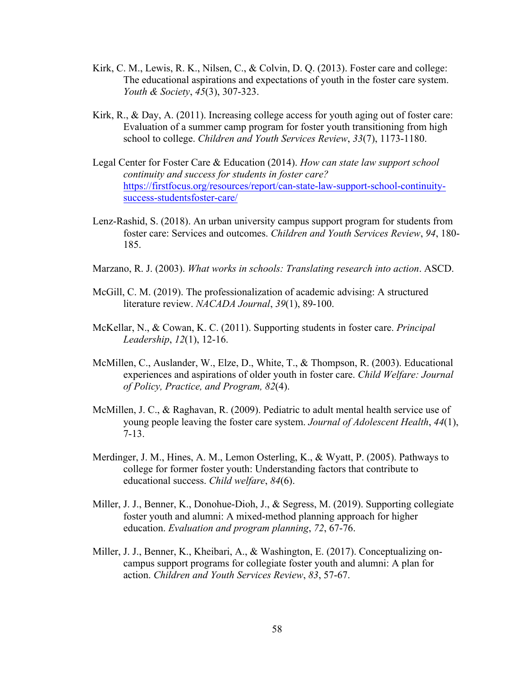- Kirk, C. M., Lewis, R. K., Nilsen, C., & Colvin, D. Q. (2013). Foster care and college: The educational aspirations and expectations of youth in the foster care system. *Youth & Society*, *45*(3), 307-323.
- Kirk,  $R_{11}$ , & Day, A. (2011). Increasing college access for youth aging out of foster care: Evaluation of a summer camp program for foster youth transitioning from high school to college. *Children and Youth Services Review*, *33*(7), 1173-1180.
- Legal Center for Foster Care & Education (2014). *How can state law support school continuity and success for students in foster care?* https://firstfocus.org/resources/report/can-state-law-support-school-continuitysuccess-studentsfoster-care/
- Lenz-Rashid, S. (2018). An urban university campus support program for students from foster care: Services and outcomes. *Children and Youth Services Review*, *94*, 180- 185.
- Marzano, R. J. (2003). *What works in schools: Translating research into action*. ASCD.
- McGill, C. M. (2019). The professionalization of academic advising: A structured literature review. *NACADA Journal*, *39*(1), 89-100.
- McKellar, N., & Cowan, K. C. (2011). Supporting students in foster care. *Principal Leadership*, *12*(1), 12-16.
- McMillen, C., Auslander, W., Elze, D., White, T., & Thompson, R. (2003). Educational experiences and aspirations of older youth in foster care. *Child Welfare: Journal of Policy, Practice, and Program, 82*(4).
- McMillen, J. C., & Raghavan, R. (2009). Pediatric to adult mental health service use of young people leaving the foster care system. *Journal of Adolescent Health*, *44*(1), 7-13.
- Merdinger, J. M., Hines, A. M., Lemon Osterling, K., & Wyatt, P. (2005). Pathways to college for former foster youth: Understanding factors that contribute to educational success. *Child welfare*, *84*(6).
- Miller, J. J., Benner, K., Donohue-Dioh, J., & Segress, M. (2019). Supporting collegiate foster youth and alumni: A mixed-method planning approach for higher education. *Evaluation and program planning*, *72*, 67-76.
- Miller, J. J., Benner, K., Kheibari, A., & Washington, E. (2017). Conceptualizing oncampus support programs for collegiate foster youth and alumni: A plan for action. *Children and Youth Services Review*, *83*, 57-67.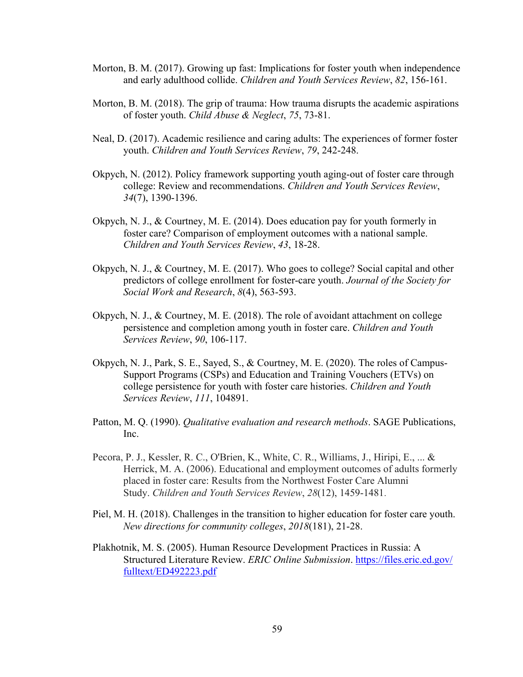- Morton, B. M. (2017). Growing up fast: Implications for foster youth when independence and early adulthood collide. *Children and Youth Services Review*, *82*, 156-161.
- Morton, B. M. (2018). The grip of trauma: How trauma disrupts the academic aspirations of foster youth. *Child Abuse & Neglect*, *75*, 73-81.
- Neal, D. (2017). Academic resilience and caring adults: The experiences of former foster youth. *Children and Youth Services Review*, *79*, 242-248.
- Okpych, N. (2012). Policy framework supporting youth aging-out of foster care through college: Review and recommendations. *Children and Youth Services Review*, *34*(7), 1390-1396.
- Okpych, N. J., & Courtney, M. E. (2014). Does education pay for youth formerly in foster care? Comparison of employment outcomes with a national sample. *Children and Youth Services Review*, *43*, 18-28.
- Okpych, N. J., & Courtney, M. E. (2017). Who goes to college? Social capital and other predictors of college enrollment for foster-care youth. *Journal of the Society for Social Work and Research*, *8*(4), 563-593.
- Okpych, N. J., & Courtney, M. E. (2018). The role of avoidant attachment on college persistence and completion among youth in foster care. *Children and Youth Services Review*, *90*, 106-117.
- Okpych, N. J., Park, S. E., Sayed, S., & Courtney, M. E. (2020). The roles of Campus-Support Programs (CSPs) and Education and Training Vouchers (ETVs) on college persistence for youth with foster care histories. *Children and Youth Services Review*, *111*, 104891.
- Patton, M. Q. (1990). *Qualitative evaluation and research methods*. SAGE Publications, Inc.
- Pecora, P. J., Kessler, R. C., O'Brien, K., White, C. R., Williams, J., Hiripi, E., ... & Herrick, M. A. (2006). Educational and employment outcomes of adults formerly placed in foster care: Results from the Northwest Foster Care Alumni Study. *Children and Youth Services Review*, *28*(12), 1459-1481.
- Piel, M. H. (2018). Challenges in the transition to higher education for foster care youth. *New directions for community colleges*, *2018*(181), 21-28.
- Plakhotnik, M. S. (2005). Human Resource Development Practices in Russia: A Structured Literature Review. *ERIC Online Submission*. https://files.eric.ed.gov/ fulltext/ED492223.pdf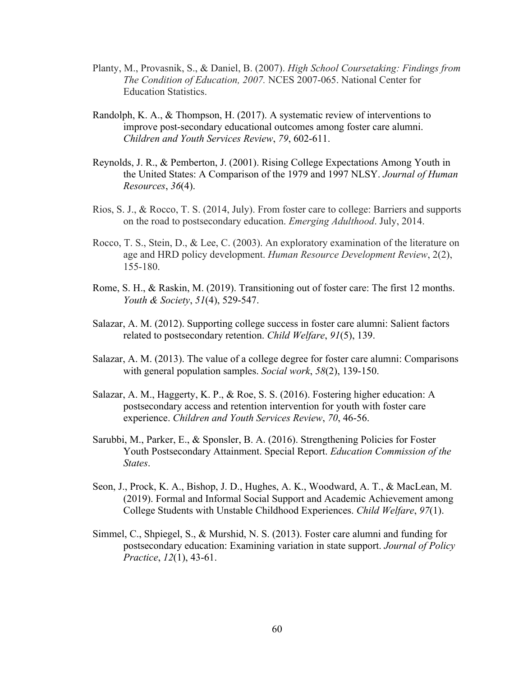- Planty, M., Provasnik, S., & Daniel, B. (2007). *High School Coursetaking: Findings from The Condition of Education, 2007.* NCES 2007-065. National Center for Education Statistics.
- Randolph, K. A., & Thompson, H. (2017). A systematic review of interventions to improve post-secondary educational outcomes among foster care alumni. *Children and Youth Services Review*, *79*, 602-611.
- Reynolds, J. R., & Pemberton, J. (2001). Rising College Expectations Among Youth in the United States: A Comparison of the 1979 and 1997 NLSY. *Journal of Human Resources*, *36*(4).
- Rios, S. J., & Rocco, T. S. (2014, July). From foster care to college: Barriers and supports on the road to postsecondary education. *Emerging Adulthood*. July, 2014.
- Rocco, T. S., Stein, D., & Lee, C. (2003). An exploratory examination of the literature on age and HRD policy development. *Human Resource Development Review*, 2(2), 155-180.
- Rome, S. H., & Raskin, M. (2019). Transitioning out of foster care: The first 12 months. *Youth & Society*, *51*(4), 529-547.
- Salazar, A. M. (2012). Supporting college success in foster care alumni: Salient factors related to postsecondary retention. *Child Welfare*, *91*(5), 139.
- Salazar, A. M. (2013). The value of a college degree for foster care alumni: Comparisons with general population samples. *Social work*, *58*(2), 139-150.
- Salazar, A. M., Haggerty, K. P., & Roe, S. S. (2016). Fostering higher education: A postsecondary access and retention intervention for youth with foster care experience. *Children and Youth Services Review*, *70*, 46-56.
- Sarubbi, M., Parker, E., & Sponsler, B. A. (2016). Strengthening Policies for Foster Youth Postsecondary Attainment. Special Report. *Education Commission of the States*.
- Seon, J., Prock, K. A., Bishop, J. D., Hughes, A. K., Woodward, A. T., & MacLean, M. (2019). Formal and Informal Social Support and Academic Achievement among College Students with Unstable Childhood Experiences. *Child Welfare*, *97*(1).
- Simmel, C., Shpiegel, S., & Murshid, N. S. (2013). Foster care alumni and funding for postsecondary education: Examining variation in state support. *Journal of Policy Practice*, *12*(1), 43-61.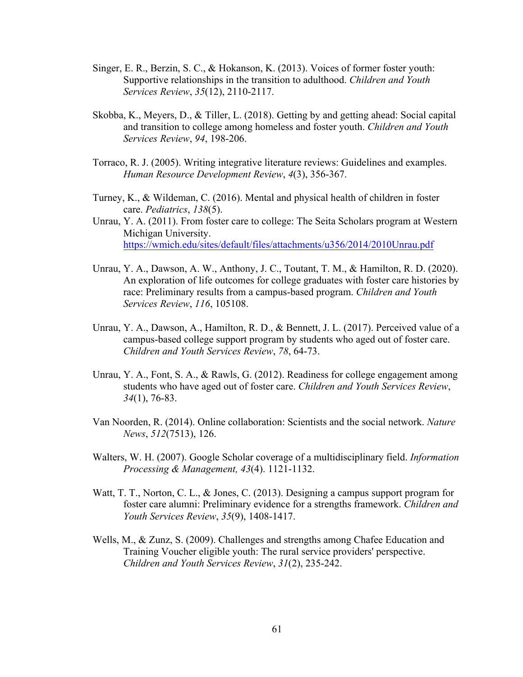- Singer, E. R., Berzin, S. C., & Hokanson, K. (2013). Voices of former foster youth: Supportive relationships in the transition to adulthood. *Children and Youth Services Review*, *35*(12), 2110-2117.
- Skobba, K., Meyers, D., & Tiller, L. (2018). Getting by and getting ahead: Social capital and transition to college among homeless and foster youth. *Children and Youth Services Review*, *94*, 198-206.
- Torraco, R. J. (2005). Writing integrative literature reviews: Guidelines and examples. *Human Resource Development Review*, *4*(3), 356-367.
- Turney, K., & Wildeman, C. (2016). Mental and physical health of children in foster care. *Pediatrics*, *138*(5).
- Unrau, Y. A. (2011). From foster care to college: The Seita Scholars program at Western Michigan University. https://wmich.edu/sites/default/files/attachments/u356/2014/2010Unrau.pdf
- Unrau, Y. A., Dawson, A. W., Anthony, J. C., Toutant, T. M., & Hamilton, R. D. (2020). An exploration of life outcomes for college graduates with foster care histories by race: Preliminary results from a campus-based program. *Children and Youth Services Review*, *116*, 105108.
- Unrau, Y. A., Dawson, A., Hamilton, R. D., & Bennett, J. L. (2017). Perceived value of a campus-based college support program by students who aged out of foster care. *Children and Youth Services Review*, *78*, 64-73.
- Unrau, Y. A., Font, S. A., & Rawls, G. (2012). Readiness for college engagement among students who have aged out of foster care. *Children and Youth Services Review*, *34*(1), 76-83.
- Van Noorden, R. (2014). Online collaboration: Scientists and the social network. *Nature News*, *512*(7513), 126.
- Walters, W. H. (2007). Google Scholar coverage of a multidisciplinary field. *Information Processing & Management, 43*(4). 1121-1132.
- Watt, T. T., Norton, C. L., & Jones, C. (2013). Designing a campus support program for foster care alumni: Preliminary evidence for a strengths framework. *Children and Youth Services Review*, *35*(9), 1408-1417.
- Wells, M., & Zunz, S. (2009). Challenges and strengths among Chafee Education and Training Voucher eligible youth: The rural service providers' perspective. *Children and Youth Services Review*, *31*(2), 235-242.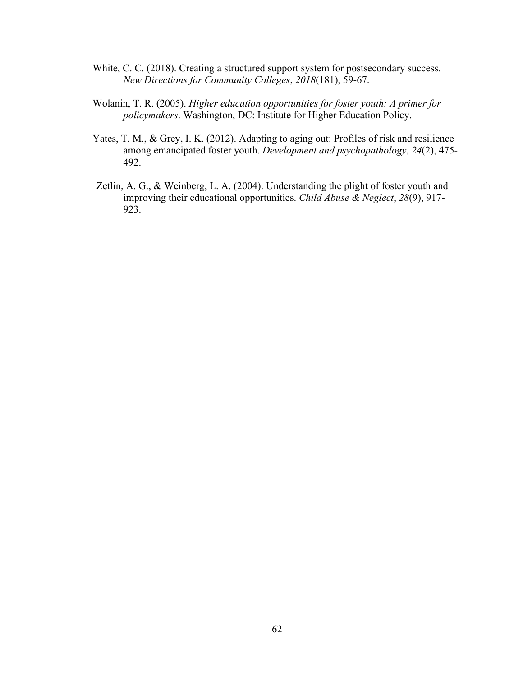- White, C. C. (2018). Creating a structured support system for postsecondary success. *New Directions for Community Colleges*, *2018*(181), 59-67.
- Wolanin, T. R. (2005). *Higher education opportunities for foster youth: A primer for policymakers*. Washington, DC: Institute for Higher Education Policy.
- Yates, T. M., & Grey, I. K. (2012). Adapting to aging out: Profiles of risk and resilience among emancipated foster youth. *Development and psychopathology*, *24*(2), 475- 492.
- Zetlin, A. G., & Weinberg, L. A. (2004). Understanding the plight of foster youth and improving their educational opportunities. *Child Abuse & Neglect*, *28*(9), 917- 923.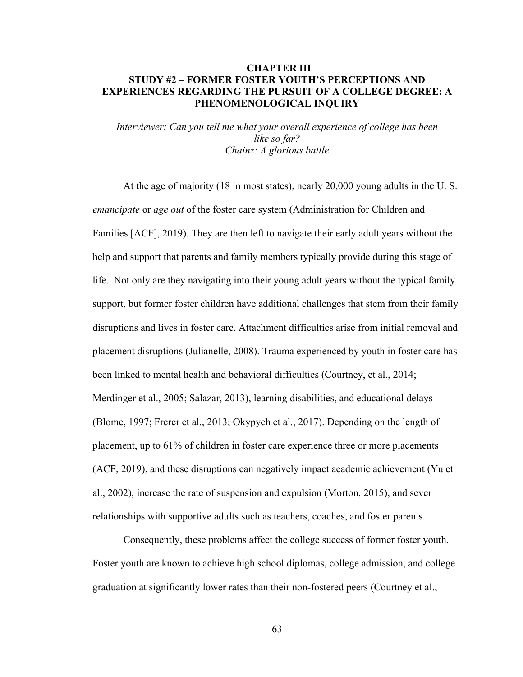# **CHAPTER III STUDY #2 – FORMER FOSTER YOUTH'S PERCEPTIONS AND EXPERIENCES REGARDING THE PURSUIT OF A COLLEGE DEGREE: A PHENOMENOLOGICAL INQUIRY**

*Interviewer: Can you tell me what your overall experience of college has been like so far? Chainz: A glorious battle*

At the age of majority (18 in most states), nearly 20,000 young adults in the U. S. *emancipate* or *age out* of the foster care system (Administration for Children and Families [ACF], 2019). They are then left to navigate their early adult years without the help and support that parents and family members typically provide during this stage of life. Not only are they navigating into their young adult years without the typical family support, but former foster children have additional challenges that stem from their family disruptions and lives in foster care. Attachment difficulties arise from initial removal and placement disruptions (Julianelle, 2008). Trauma experienced by youth in foster care has been linked to mental health and behavioral difficulties (Courtney, et al., 2014; Merdinger et al., 2005; Salazar, 2013), learning disabilities, and educational delays (Blome, 1997; Frerer et al., 2013; Okypych et al., 2017). Depending on the length of placement, up to 61% of children in foster care experience three or more placements (ACF, 2019), and these disruptions can negatively impact academic achievement (Yu et al., 2002), increase the rate of suspension and expulsion (Morton, 2015), and sever relationships with supportive adults such as teachers, coaches, and foster parents.

Consequently, these problems affect the college success of former foster youth. Foster youth are known to achieve high school diplomas, college admission, and college graduation at significantly lower rates than their non-fostered peers (Courtney et al.,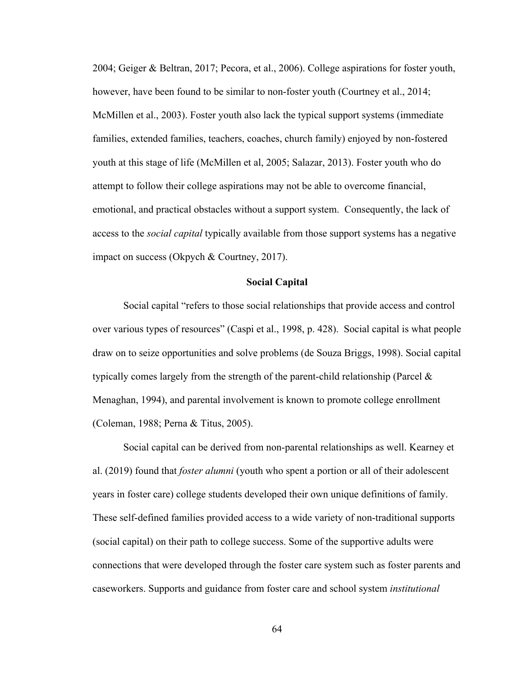2004; Geiger & Beltran, 2017; Pecora, et al., 2006). College aspirations for foster youth, however, have been found to be similar to non-foster youth (Courtney et al., 2014; McMillen et al., 2003). Foster youth also lack the typical support systems (immediate families, extended families, teachers, coaches, church family) enjoyed by non-fostered youth at this stage of life (McMillen et al, 2005; Salazar, 2013). Foster youth who do attempt to follow their college aspirations may not be able to overcome financial, emotional, and practical obstacles without a support system. Consequently, the lack of access to the *social capital* typically available from those support systems has a negative impact on success (Okpych & Courtney, 2017).

# **Social Capital**

Social capital "refers to those social relationships that provide access and control over various types of resources" (Caspi et al., 1998, p. 428). Social capital is what people draw on to seize opportunities and solve problems (de Souza Briggs, 1998). Social capital typically comes largely from the strength of the parent-child relationship (Parcel & Menaghan, 1994), and parental involvement is known to promote college enrollment (Coleman, 1988; Perna & Titus, 2005).

Social capital can be derived from non-parental relationships as well. Kearney et al. (2019) found that *foster alumni* (youth who spent a portion or all of their adolescent years in foster care) college students developed their own unique definitions of family. These self-defined families provided access to a wide variety of non-traditional supports (social capital) on their path to college success. Some of the supportive adults were connections that were developed through the foster care system such as foster parents and caseworkers. Supports and guidance from foster care and school system *institutional*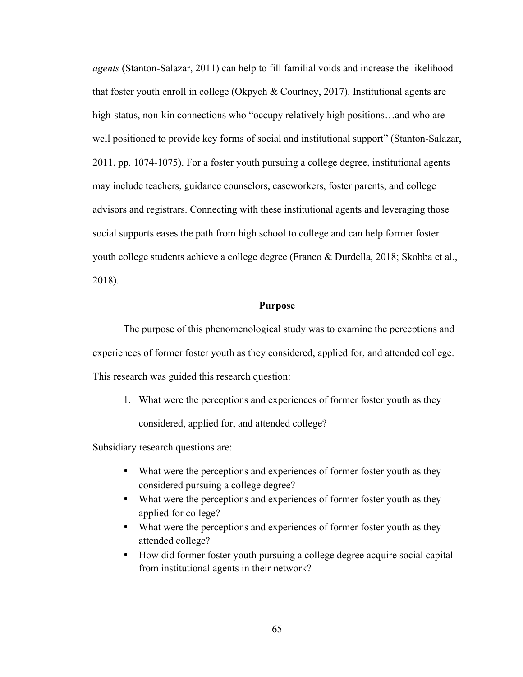*agents* (Stanton-Salazar, 2011) can help to fill familial voids and increase the likelihood that foster youth enroll in college (Okpych & Courtney, 2017). Institutional agents are high-status, non-kin connections who "occupy relatively high positions...and who are well positioned to provide key forms of social and institutional support" (Stanton-Salazar, 2011, pp. 1074-1075). For a foster youth pursuing a college degree, institutional agents may include teachers, guidance counselors, caseworkers, foster parents, and college advisors and registrars. Connecting with these institutional agents and leveraging those social supports eases the path from high school to college and can help former foster youth college students achieve a college degree (Franco & Durdella, 2018; Skobba et al., 2018).

# **Purpose**

The purpose of this phenomenological study was to examine the perceptions and experiences of former foster youth as they considered, applied for, and attended college. This research was guided this research question:

1. What were the perceptions and experiences of former foster youth as they

considered, applied for, and attended college?

Subsidiary research questions are:

- What were the perceptions and experiences of former foster youth as they considered pursuing a college degree?
- What were the perceptions and experiences of former foster youth as they applied for college?
- What were the perceptions and experiences of former foster youth as they attended college?
- How did former foster youth pursuing a college degree acquire social capital from institutional agents in their network?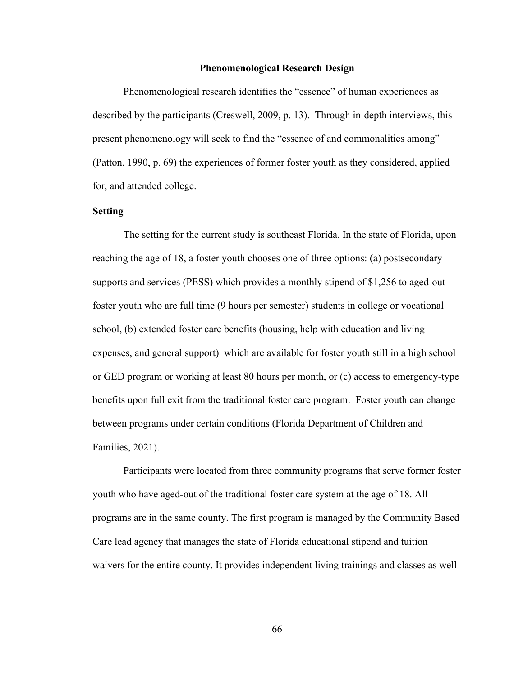#### **Phenomenological Research Design**

Phenomenological research identifies the "essence" of human experiences as described by the participants (Creswell, 2009, p. 13). Through in-depth interviews, this present phenomenology will seek to find the "essence of and commonalities among" (Patton, 1990, p. 69) the experiences of former foster youth as they considered, applied for, and attended college.

# **Setting**

The setting for the current study is southeast Florida. In the state of Florida, upon reaching the age of 18, a foster youth chooses one of three options: (a) postsecondary supports and services (PESS) which provides a monthly stipend of \$1,256 to aged-out foster youth who are full time (9 hours per semester) students in college or vocational school, (b) extended foster care benefits (housing, help with education and living expenses, and general support) which are available for foster youth still in a high school or GED program or working at least 80 hours per month, or (c) access to emergency-type benefits upon full exit from the traditional foster care program. Foster youth can change between programs under certain conditions (Florida Department of Children and Families, 2021).

Participants were located from three community programs that serve former foster youth who have aged-out of the traditional foster care system at the age of 18. All programs are in the same county. The first program is managed by the Community Based Care lead agency that manages the state of Florida educational stipend and tuition waivers for the entire county. It provides independent living trainings and classes as well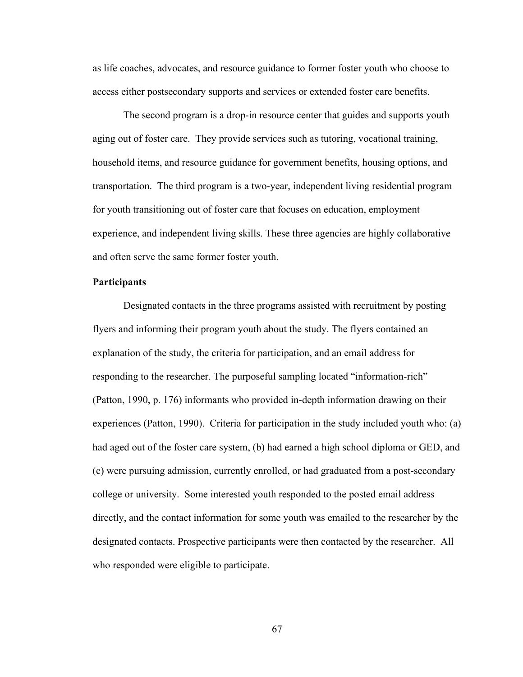as life coaches, advocates, and resource guidance to former foster youth who choose to access either postsecondary supports and services or extended foster care benefits.

The second program is a drop-in resource center that guides and supports youth aging out of foster care. They provide services such as tutoring, vocational training, household items, and resource guidance for government benefits, housing options, and transportation. The third program is a two-year, independent living residential program for youth transitioning out of foster care that focuses on education, employment experience, and independent living skills. These three agencies are highly collaborative and often serve the same former foster youth.

# **Participants**

Designated contacts in the three programs assisted with recruitment by posting flyers and informing their program youth about the study. The flyers contained an explanation of the study, the criteria for participation, and an email address for responding to the researcher. The purposeful sampling located "information-rich" (Patton, 1990, p. 176) informants who provided in-depth information drawing on their experiences (Patton, 1990). Criteria for participation in the study included youth who: (a) had aged out of the foster care system, (b) had earned a high school diploma or GED, and (c) were pursuing admission, currently enrolled, or had graduated from a post-secondary college or university. Some interested youth responded to the posted email address directly, and the contact information for some youth was emailed to the researcher by the designated contacts. Prospective participants were then contacted by the researcher. All who responded were eligible to participate.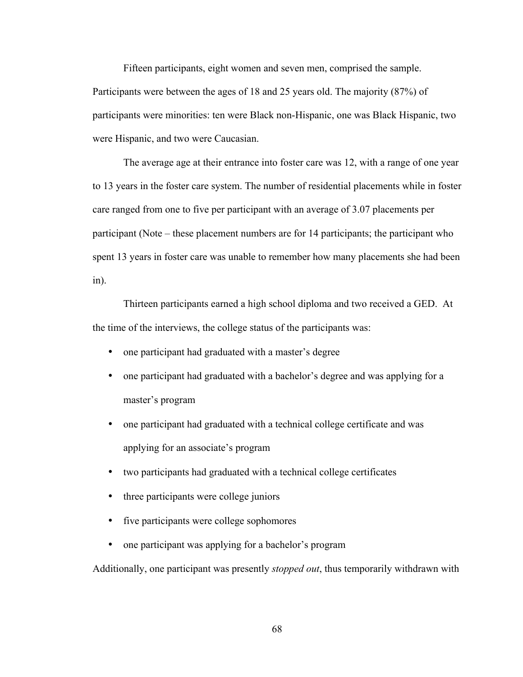Fifteen participants, eight women and seven men, comprised the sample. Participants were between the ages of 18 and 25 years old. The majority (87%) of participants were minorities: ten were Black non-Hispanic, one was Black Hispanic, two were Hispanic, and two were Caucasian.

The average age at their entrance into foster care was 12, with a range of one year to 13 years in the foster care system. The number of residential placements while in foster care ranged from one to five per participant with an average of 3.07 placements per participant (Note – these placement numbers are for 14 participants; the participant who spent 13 years in foster care was unable to remember how many placements she had been in).

Thirteen participants earned a high school diploma and two received a GED. At the time of the interviews, the college status of the participants was:

- one participant had graduated with a master's degree
- one participant had graduated with a bachelor's degree and was applying for a master's program
- one participant had graduated with a technical college certificate and was applying for an associate's program
- two participants had graduated with a technical college certificates
- three participants were college juniors
- five participants were college sophomores
- one participant was applying for a bachelor's program

Additionally, one participant was presently *stopped out*, thus temporarily withdrawn with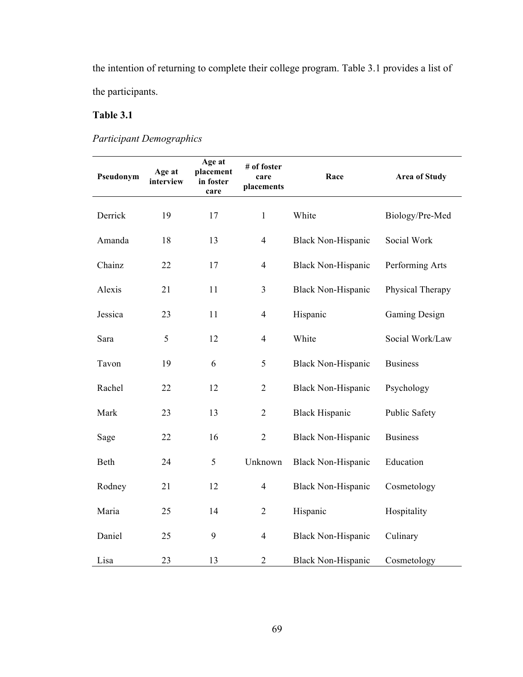the intention of returning to complete their college program. Table 3.1 provides a list of the participants.

# **Table 3.1**

*Participant Demographics*

| Pseudonym | Age at<br>interview | Age at<br>placement<br>in foster<br>care | # of foster<br>care<br>placements | Race                      | <b>Area of Study</b> |
|-----------|---------------------|------------------------------------------|-----------------------------------|---------------------------|----------------------|
| Derrick   | 19                  | 17                                       | $\mathbf{1}$                      | White                     | Biology/Pre-Med      |
| Amanda    | 18                  | 13                                       | $\overline{4}$                    | <b>Black Non-Hispanic</b> | Social Work          |
| Chainz    | 22                  | 17                                       | $\overline{4}$                    | <b>Black Non-Hispanic</b> | Performing Arts      |
| Alexis    | 21                  | 11                                       | 3                                 | <b>Black Non-Hispanic</b> | Physical Therapy     |
| Jessica   | 23                  | 11                                       | $\overline{4}$                    | Hispanic                  | <b>Gaming Design</b> |
| Sara      | 5                   | 12                                       | $\overline{4}$                    | White                     | Social Work/Law      |
| Tavon     | 19                  | 6                                        | 5                                 | <b>Black Non-Hispanic</b> | <b>Business</b>      |
| Rachel    | 22                  | 12                                       | $\overline{2}$                    | <b>Black Non-Hispanic</b> | Psychology           |
| Mark      | 23                  | 13                                       | $\overline{2}$                    | <b>Black Hispanic</b>     | Public Safety        |
| Sage      | 22                  | 16                                       | $\overline{2}$                    | <b>Black Non-Hispanic</b> | <b>Business</b>      |
| Beth      | 24                  | 5                                        | Unknown                           | <b>Black Non-Hispanic</b> | Education            |
| Rodney    | 21                  | 12                                       | $\overline{4}$                    | <b>Black Non-Hispanic</b> | Cosmetology          |
| Maria     | 25                  | 14                                       | $\overline{2}$                    | Hispanic                  | Hospitality          |
| Daniel    | 25                  | 9                                        | $\overline{4}$                    | <b>Black Non-Hispanic</b> | Culinary             |
| Lisa      | 23                  | 13                                       | $\mathbf{2}$                      | <b>Black Non-Hispanic</b> | Cosmetology          |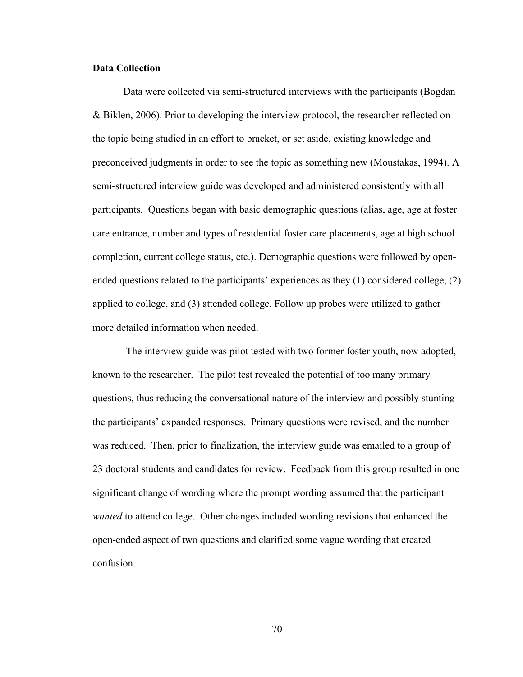# **Data Collection**

Data were collected via semi-structured interviews with the participants (Bogdan & Biklen, 2006). Prior to developing the interview protocol, the researcher reflected on the topic being studied in an effort to bracket, or set aside, existing knowledge and preconceived judgments in order to see the topic as something new (Moustakas, 1994). A semi-structured interview guide was developed and administered consistently with all participants. Questions began with basic demographic questions (alias, age, age at foster care entrance, number and types of residential foster care placements, age at high school completion, current college status, etc.). Demographic questions were followed by openended questions related to the participants' experiences as they (1) considered college, (2) applied to college, and (3) attended college. Follow up probes were utilized to gather more detailed information when needed.

The interview guide was pilot tested with two former foster youth, now adopted, known to the researcher. The pilot test revealed the potential of too many primary questions, thus reducing the conversational nature of the interview and possibly stunting the participants' expanded responses. Primary questions were revised, and the number was reduced. Then, prior to finalization, the interview guide was emailed to a group of 23 doctoral students and candidates for review. Feedback from this group resulted in one significant change of wording where the prompt wording assumed that the participant *wanted* to attend college. Other changes included wording revisions that enhanced the open-ended aspect of two questions and clarified some vague wording that created confusion.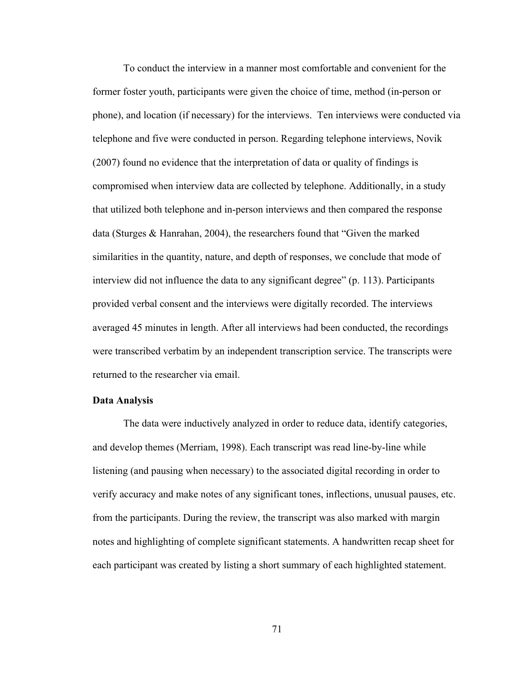To conduct the interview in a manner most comfortable and convenient for the former foster youth, participants were given the choice of time, method (in-person or phone), and location (if necessary) for the interviews. Ten interviews were conducted via telephone and five were conducted in person. Regarding telephone interviews, Novik (2007) found no evidence that the interpretation of data or quality of findings is compromised when interview data are collected by telephone. Additionally, in a study that utilized both telephone and in-person interviews and then compared the response data (Sturges & Hanrahan, 2004), the researchers found that "Given the marked similarities in the quantity, nature, and depth of responses, we conclude that mode of interview did not influence the data to any significant degree" (p. 113). Participants provided verbal consent and the interviews were digitally recorded. The interviews averaged 45 minutes in length. After all interviews had been conducted, the recordings were transcribed verbatim by an independent transcription service. The transcripts were returned to the researcher via email.

#### **Data Analysis**

The data were inductively analyzed in order to reduce data, identify categories, and develop themes (Merriam, 1998). Each transcript was read line-by-line while listening (and pausing when necessary) to the associated digital recording in order to verify accuracy and make notes of any significant tones, inflections, unusual pauses, etc. from the participants. During the review, the transcript was also marked with margin notes and highlighting of complete significant statements. A handwritten recap sheet for each participant was created by listing a short summary of each highlighted statement.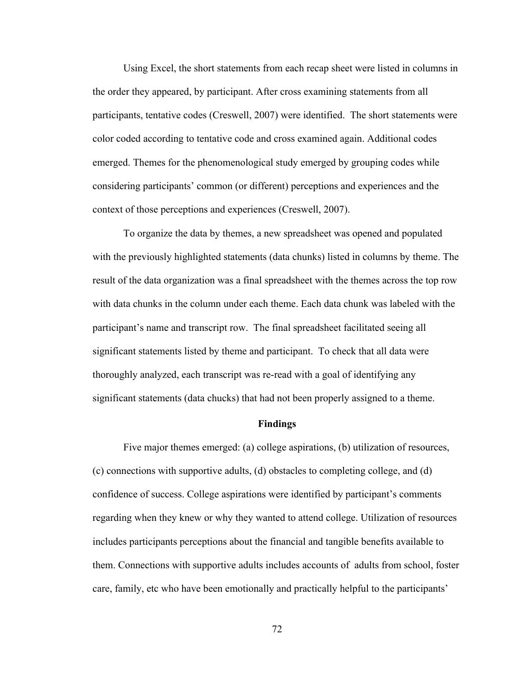Using Excel, the short statements from each recap sheet were listed in columns in the order they appeared, by participant. After cross examining statements from all participants, tentative codes (Creswell, 2007) were identified. The short statements were color coded according to tentative code and cross examined again. Additional codes emerged. Themes for the phenomenological study emerged by grouping codes while considering participants' common (or different) perceptions and experiences and the context of those perceptions and experiences (Creswell, 2007).

To organize the data by themes, a new spreadsheet was opened and populated with the previously highlighted statements (data chunks) listed in columns by theme. The result of the data organization was a final spreadsheet with the themes across the top row with data chunks in the column under each theme. Each data chunk was labeled with the participant's name and transcript row. The final spreadsheet facilitated seeing all significant statements listed by theme and participant. To check that all data were thoroughly analyzed, each transcript was re-read with a goal of identifying any significant statements (data chucks) that had not been properly assigned to a theme.

# **Findings**

Five major themes emerged: (a) college aspirations, (b) utilization of resources, (c) connections with supportive adults, (d) obstacles to completing college, and (d) confidence of success. College aspirations were identified by participant's comments regarding when they knew or why they wanted to attend college. Utilization of resources includes participants perceptions about the financial and tangible benefits available to them. Connections with supportive adults includes accounts of adults from school, foster care, family, etc who have been emotionally and practically helpful to the participants'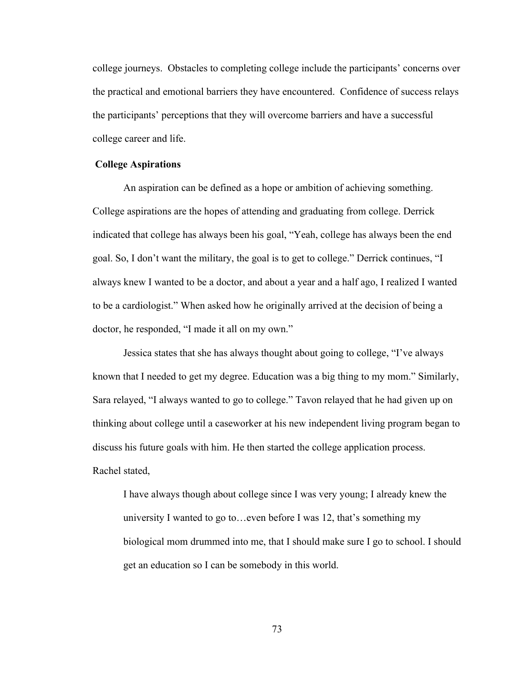college journeys. Obstacles to completing college include the participants' concerns over the practical and emotional barriers they have encountered. Confidence of success relays the participants' perceptions that they will overcome barriers and have a successful college career and life.

# **College Aspirations**

An aspiration can be defined as a hope or ambition of achieving something. College aspirations are the hopes of attending and graduating from college. Derrick indicated that college has always been his goal, "Yeah, college has always been the end goal. So, I don't want the military, the goal is to get to college." Derrick continues, "I always knew I wanted to be a doctor, and about a year and a half ago, I realized I wanted to be a cardiologist." When asked how he originally arrived at the decision of being a doctor, he responded, "I made it all on my own."

Jessica states that she has always thought about going to college, "I've always known that I needed to get my degree. Education was a big thing to my mom." Similarly, Sara relayed, "I always wanted to go to college." Tavon relayed that he had given up on thinking about college until a caseworker at his new independent living program began to discuss his future goals with him. He then started the college application process. Rachel stated,

I have always though about college since I was very young; I already knew the university I wanted to go to…even before I was 12, that's something my biological mom drummed into me, that I should make sure I go to school. I should get an education so I can be somebody in this world.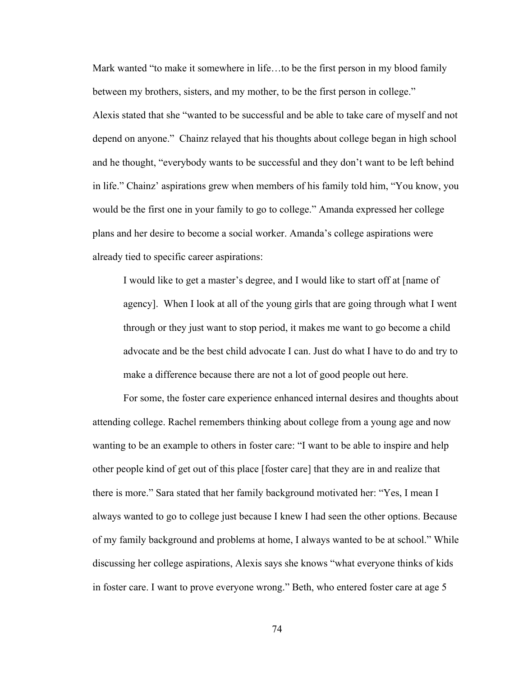Mark wanted "to make it somewhere in life…to be the first person in my blood family between my brothers, sisters, and my mother, to be the first person in college." Alexis stated that she "wanted to be successful and be able to take care of myself and not depend on anyone." Chainz relayed that his thoughts about college began in high school and he thought, "everybody wants to be successful and they don't want to be left behind in life." Chainz' aspirations grew when members of his family told him, "You know, you would be the first one in your family to go to college." Amanda expressed her college plans and her desire to become a social worker. Amanda's college aspirations were already tied to specific career aspirations:

I would like to get a master's degree, and I would like to start off at [name of agency]. When I look at all of the young girls that are going through what I went through or they just want to stop period, it makes me want to go become a child advocate and be the best child advocate I can. Just do what I have to do and try to make a difference because there are not a lot of good people out here.

For some, the foster care experience enhanced internal desires and thoughts about attending college. Rachel remembers thinking about college from a young age and now wanting to be an example to others in foster care: "I want to be able to inspire and help other people kind of get out of this place [foster care] that they are in and realize that there is more." Sara stated that her family background motivated her: "Yes, I mean I always wanted to go to college just because I knew I had seen the other options. Because of my family background and problems at home, I always wanted to be at school." While discussing her college aspirations, Alexis says she knows "what everyone thinks of kids in foster care. I want to prove everyone wrong." Beth, who entered foster care at age 5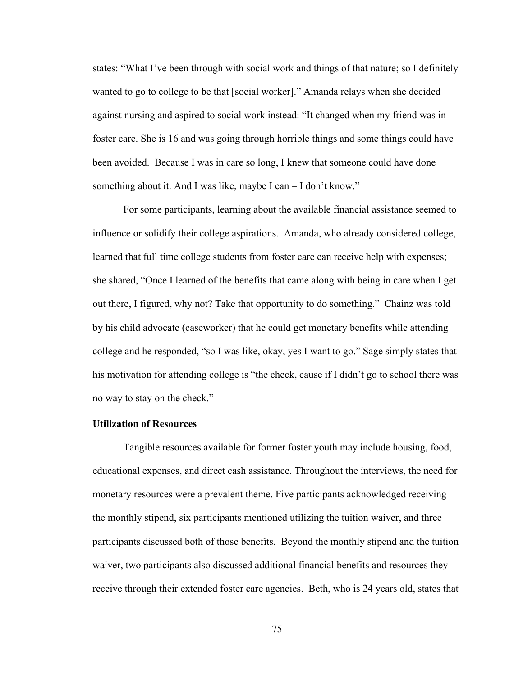states: "What I've been through with social work and things of that nature; so I definitely wanted to go to college to be that [social worker]." Amanda relays when she decided against nursing and aspired to social work instead: "It changed when my friend was in foster care. She is 16 and was going through horrible things and some things could have been avoided. Because I was in care so long, I knew that someone could have done something about it. And I was like, maybe I can – I don't know."

For some participants, learning about the available financial assistance seemed to influence or solidify their college aspirations. Amanda, who already considered college, learned that full time college students from foster care can receive help with expenses; she shared, "Once I learned of the benefits that came along with being in care when I get out there, I figured, why not? Take that opportunity to do something." Chainz was told by his child advocate (caseworker) that he could get monetary benefits while attending college and he responded, "so I was like, okay, yes I want to go." Sage simply states that his motivation for attending college is "the check, cause if I didn't go to school there was no way to stay on the check."

# **Utilization of Resources**

Tangible resources available for former foster youth may include housing, food, educational expenses, and direct cash assistance. Throughout the interviews, the need for monetary resources were a prevalent theme. Five participants acknowledged receiving the monthly stipend, six participants mentioned utilizing the tuition waiver, and three participants discussed both of those benefits. Beyond the monthly stipend and the tuition waiver, two participants also discussed additional financial benefits and resources they receive through their extended foster care agencies. Beth, who is 24 years old, states that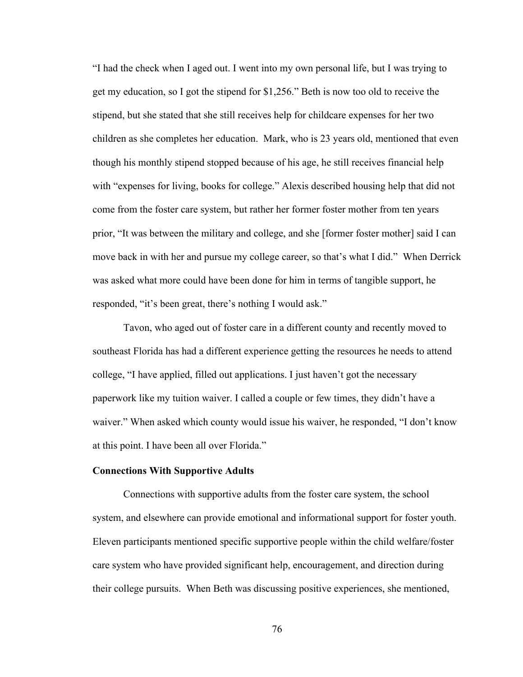"I had the check when I aged out. I went into my own personal life, but I was trying to get my education, so I got the stipend for \$1,256." Beth is now too old to receive the stipend, but she stated that she still receives help for childcare expenses for her two children as she completes her education. Mark, who is 23 years old, mentioned that even though his monthly stipend stopped because of his age, he still receives financial help with "expenses for living, books for college." Alexis described housing help that did not come from the foster care system, but rather her former foster mother from ten years prior, "It was between the military and college, and she [former foster mother] said I can move back in with her and pursue my college career, so that's what I did." When Derrick was asked what more could have been done for him in terms of tangible support, he responded, "it's been great, there's nothing I would ask."

Tavon, who aged out of foster care in a different county and recently moved to southeast Florida has had a different experience getting the resources he needs to attend college, "I have applied, filled out applications. I just haven't got the necessary paperwork like my tuition waiver. I called a couple or few times, they didn't have a waiver." When asked which county would issue his waiver, he responded, "I don't know at this point. I have been all over Florida."

# **Connections With Supportive Adults**

Connections with supportive adults from the foster care system, the school system, and elsewhere can provide emotional and informational support for foster youth. Eleven participants mentioned specific supportive people within the child welfare/foster care system who have provided significant help, encouragement, and direction during their college pursuits. When Beth was discussing positive experiences, she mentioned,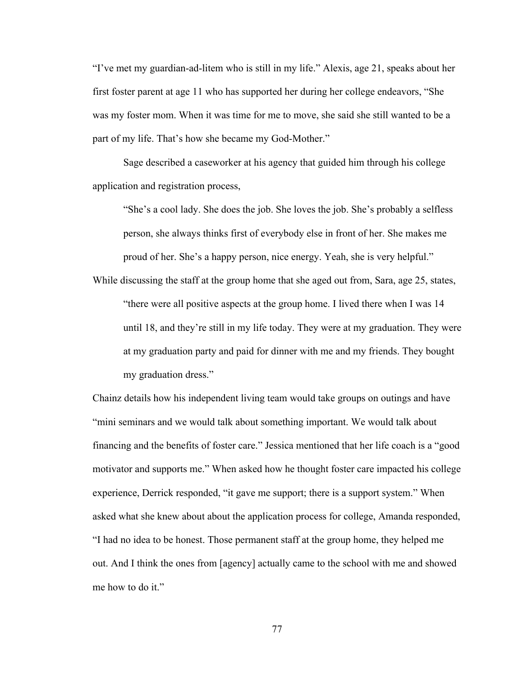"I've met my guardian-ad-litem who is still in my life." Alexis, age 21, speaks about her first foster parent at age 11 who has supported her during her college endeavors, "She was my foster mom. When it was time for me to move, she said she still wanted to be a part of my life. That's how she became my God-Mother."

Sage described a caseworker at his agency that guided him through his college application and registration process,

"She's a cool lady. She does the job. She loves the job. She's probably a selfless person, she always thinks first of everybody else in front of her. She makes me proud of her. She's a happy person, nice energy. Yeah, she is very helpful."

While discussing the staff at the group home that she aged out from, Sara, age 25, states, "there were all positive aspects at the group home. I lived there when I was 14 until 18, and they're still in my life today. They were at my graduation. They were at my graduation party and paid for dinner with me and my friends. They bought my graduation dress."

Chainz details how his independent living team would take groups on outings and have "mini seminars and we would talk about something important. We would talk about financing and the benefits of foster care." Jessica mentioned that her life coach is a "good motivator and supports me." When asked how he thought foster care impacted his college experience, Derrick responded, "it gave me support; there is a support system." When asked what she knew about about the application process for college, Amanda responded, "I had no idea to be honest. Those permanent staff at the group home, they helped me out. And I think the ones from [agency] actually came to the school with me and showed me how to do it."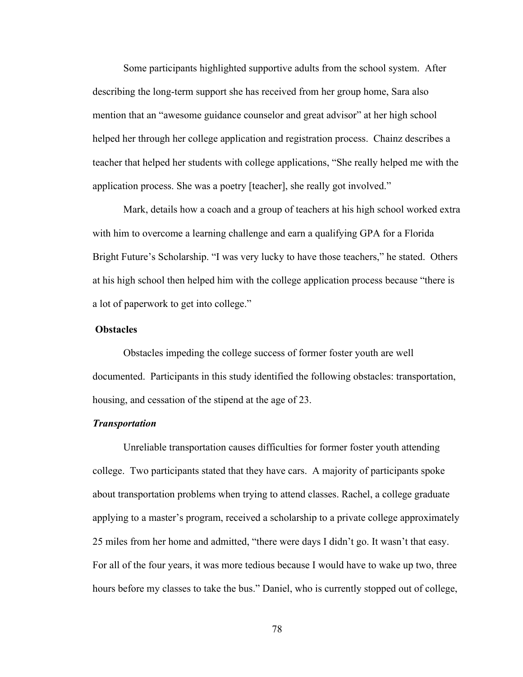Some participants highlighted supportive adults from the school system. After describing the long-term support she has received from her group home, Sara also mention that an "awesome guidance counselor and great advisor" at her high school helped her through her college application and registration process. Chainz describes a teacher that helped her students with college applications, "She really helped me with the application process. She was a poetry [teacher], she really got involved."

Mark, details how a coach and a group of teachers at his high school worked extra with him to overcome a learning challenge and earn a qualifying GPA for a Florida Bright Future's Scholarship. "I was very lucky to have those teachers," he stated. Others at his high school then helped him with the college application process because "there is a lot of paperwork to get into college."

### **Obstacles**

Obstacles impeding the college success of former foster youth are well documented. Participants in this study identified the following obstacles: transportation, housing, and cessation of the stipend at the age of 23.

### *Transportation*

Unreliable transportation causes difficulties for former foster youth attending college. Two participants stated that they have cars. A majority of participants spoke about transportation problems when trying to attend classes. Rachel, a college graduate applying to a master's program, received a scholarship to a private college approximately 25 miles from her home and admitted, "there were days I didn't go. It wasn't that easy. For all of the four years, it was more tedious because I would have to wake up two, three hours before my classes to take the bus." Daniel, who is currently stopped out of college,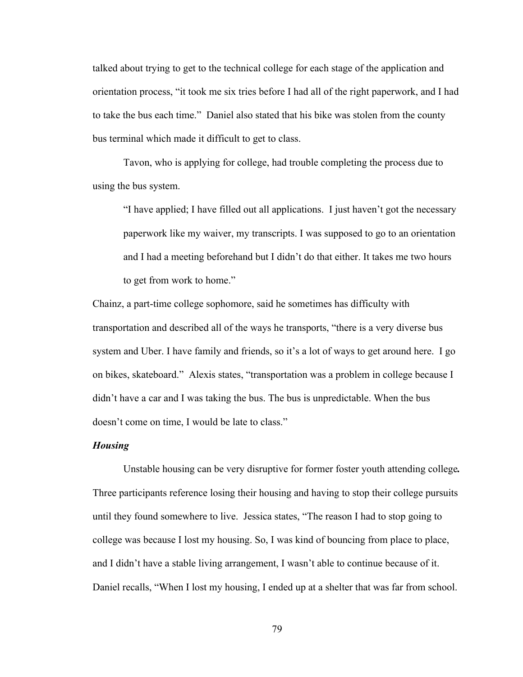talked about trying to get to the technical college for each stage of the application and orientation process, "it took me six tries before I had all of the right paperwork, and I had to take the bus each time." Daniel also stated that his bike was stolen from the county bus terminal which made it difficult to get to class.

Tavon, who is applying for college, had trouble completing the process due to using the bus system.

"I have applied; I have filled out all applications. I just haven't got the necessary paperwork like my waiver, my transcripts. I was supposed to go to an orientation and I had a meeting beforehand but I didn't do that either. It takes me two hours to get from work to home."

Chainz, a part-time college sophomore, said he sometimes has difficulty with transportation and described all of the ways he transports, "there is a very diverse bus system and Uber. I have family and friends, so it's a lot of ways to get around here. I go on bikes, skateboard." Alexis states, "transportation was a problem in college because I didn't have a car and I was taking the bus. The bus is unpredictable. When the bus doesn't come on time, I would be late to class."

#### *Housing*

Unstable housing can be very disruptive for former foster youth attending college*.*  Three participants reference losing their housing and having to stop their college pursuits until they found somewhere to live. Jessica states, "The reason I had to stop going to college was because I lost my housing. So, I was kind of bouncing from place to place, and I didn't have a stable living arrangement, I wasn't able to continue because of it. Daniel recalls, "When I lost my housing, I ended up at a shelter that was far from school.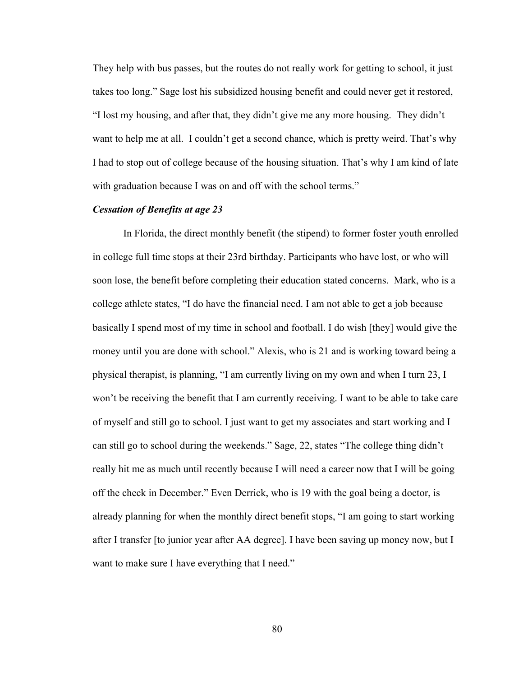They help with bus passes, but the routes do not really work for getting to school, it just takes too long." Sage lost his subsidized housing benefit and could never get it restored, "I lost my housing, and after that, they didn't give me any more housing. They didn't want to help me at all. I couldn't get a second chance, which is pretty weird. That's why I had to stop out of college because of the housing situation. That's why I am kind of late with graduation because I was on and off with the school terms."

## *Cessation of Benefits at age 23*

In Florida, the direct monthly benefit (the stipend) to former foster youth enrolled in college full time stops at their 23rd birthday. Participants who have lost, or who will soon lose, the benefit before completing their education stated concerns. Mark, who is a college athlete states, "I do have the financial need. I am not able to get a job because basically I spend most of my time in school and football. I do wish [they] would give the money until you are done with school." Alexis, who is 21 and is working toward being a physical therapist, is planning, "I am currently living on my own and when I turn 23, I won't be receiving the benefit that I am currently receiving. I want to be able to take care of myself and still go to school. I just want to get my associates and start working and I can still go to school during the weekends." Sage, 22, states "The college thing didn't really hit me as much until recently because I will need a career now that I will be going off the check in December." Even Derrick, who is 19 with the goal being a doctor, is already planning for when the monthly direct benefit stops, "I am going to start working after I transfer [to junior year after AA degree]. I have been saving up money now, but I want to make sure I have everything that I need."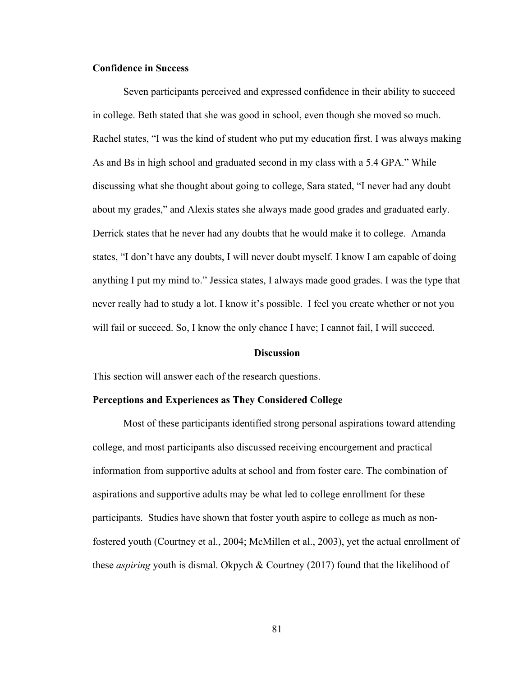# **Confidence in Success**

Seven participants perceived and expressed confidence in their ability to succeed in college. Beth stated that she was good in school, even though she moved so much. Rachel states, "I was the kind of student who put my education first. I was always making As and Bs in high school and graduated second in my class with a 5.4 GPA." While discussing what she thought about going to college, Sara stated, "I never had any doubt about my grades," and Alexis states she always made good grades and graduated early. Derrick states that he never had any doubts that he would make it to college. Amanda states, "I don't have any doubts, I will never doubt myself. I know I am capable of doing anything I put my mind to." Jessica states, I always made good grades. I was the type that never really had to study a lot. I know it's possible. I feel you create whether or not you will fail or succeed. So, I know the only chance I have; I cannot fail, I will succeed.

# **Discussion**

This section will answer each of the research questions.

#### **Perceptions and Experiences as They Considered College**

Most of these participants identified strong personal aspirations toward attending college, and most participants also discussed receiving encourgement and practical information from supportive adults at school and from foster care. The combination of aspirations and supportive adults may be what led to college enrollment for these participants. Studies have shown that foster youth aspire to college as much as nonfostered youth (Courtney et al., 2004; McMillen et al., 2003), yet the actual enrollment of these *aspiring* youth is dismal. Okpych & Courtney (2017) found that the likelihood of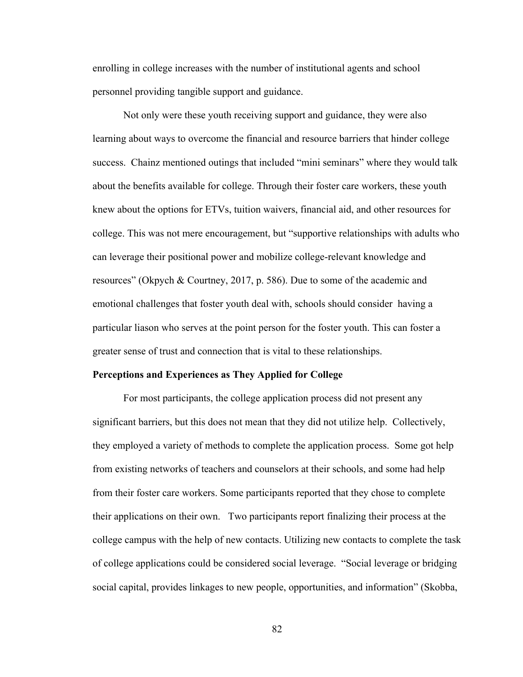enrolling in college increases with the number of institutional agents and school personnel providing tangible support and guidance.

Not only were these youth receiving support and guidance, they were also learning about ways to overcome the financial and resource barriers that hinder college success. Chainz mentioned outings that included "mini seminars" where they would talk about the benefits available for college. Through their foster care workers, these youth knew about the options for ETVs, tuition waivers, financial aid, and other resources for college. This was not mere encouragement, but "supportive relationships with adults who can leverage their positional power and mobilize college-relevant knowledge and resources" (Okpych & Courtney, 2017, p. 586). Due to some of the academic and emotional challenges that foster youth deal with, schools should consider having a particular liason who serves at the point person for the foster youth. This can foster a greater sense of trust and connection that is vital to these relationships.

#### **Perceptions and Experiences as They Applied for College**

For most participants, the college application process did not present any significant barriers, but this does not mean that they did not utilize help. Collectively, they employed a variety of methods to complete the application process. Some got help from existing networks of teachers and counselors at their schools, and some had help from their foster care workers. Some participants reported that they chose to complete their applications on their own. Two participants report finalizing their process at the college campus with the help of new contacts. Utilizing new contacts to complete the task of college applications could be considered social leverage. "Social leverage or bridging social capital, provides linkages to new people, opportunities, and information" (Skobba,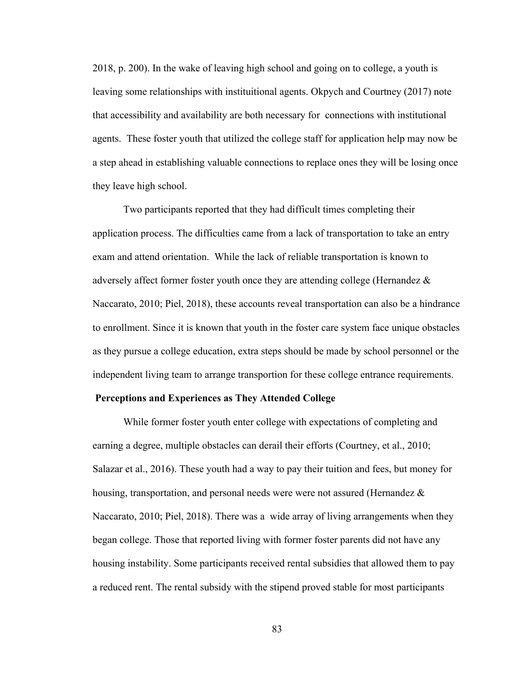2018, p. 200). In the wake of leaving high school and going on to college, a youth is leaving some relationships with instituitional agents. Okpych and Courtney (2017) note that accessibility and availability are both necessary for connections with institutional agents. These foster youth that utilized the college staff for application help may now be a step ahead in establishing valuable connections to replace ones they will be losing once they leave high school.

Two participants reported that they had difficult times completing their application process. The difficulties came from a lack of transportation to take an entry exam and attend orientation. While the lack of reliable transportation is known to adversely affect former foster youth once they are attending college (Hernandez & Naccarato, 2010; Piel, 2018), these accounts reveal transportation can also be a hindrance to enrollment. Since it is known that youth in the foster care system face unique obstacles as they pursue a college education, extra steps should be made by school personnel or the independent living team to arrange transportion for these college entrance requirements.

#### **Perceptions and Experiences as They Attended College**

While former foster youth enter college with expectations of completing and earning a degree, multiple obstacles can derail their efforts (Courtney, et al., 2010; Salazar et al., 2016). These youth had a way to pay their tuition and fees, but money for housing, transportation, and personal needs were were not assured (Hernandez  $\&$ Naccarato, 2010; Piel, 2018). There was a wide array of living arrangements when they began college. Those that reported living with former foster parents did not have any housing instability. Some participants received rental subsidies that allowed them to pay a reduced rent. The rental subsidy with the stipend proved stable for most participants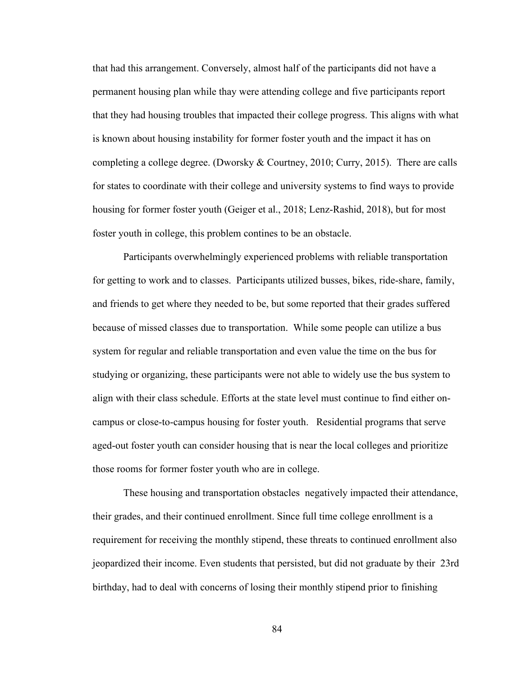that had this arrangement. Conversely, almost half of the participants did not have a permanent housing plan while thay were attending college and five participants report that they had housing troubles that impacted their college progress. This aligns with what is known about housing instability for former foster youth and the impact it has on completing a college degree. (Dworsky & Courtney, 2010; Curry, 2015). There are calls for states to coordinate with their college and university systems to find ways to provide housing for former foster youth (Geiger et al., 2018; Lenz-Rashid, 2018), but for most foster youth in college, this problem contines to be an obstacle.

Participants overwhelmingly experienced problems with reliable transportation for getting to work and to classes. Participants utilized busses, bikes, ride-share, family, and friends to get where they needed to be, but some reported that their grades suffered because of missed classes due to transportation. While some people can utilize a bus system for regular and reliable transportation and even value the time on the bus for studying or organizing, these participants were not able to widely use the bus system to align with their class schedule. Efforts at the state level must continue to find either oncampus or close-to-campus housing for foster youth. Residential programs that serve aged-out foster youth can consider housing that is near the local colleges and prioritize those rooms for former foster youth who are in college.

These housing and transportation obstacles negatively impacted their attendance, their grades, and their continued enrollment. Since full time college enrollment is a requirement for receiving the monthly stipend, these threats to continued enrollment also jeopardized their income. Even students that persisted, but did not graduate by their 23rd birthday, had to deal with concerns of losing their monthly stipend prior to finishing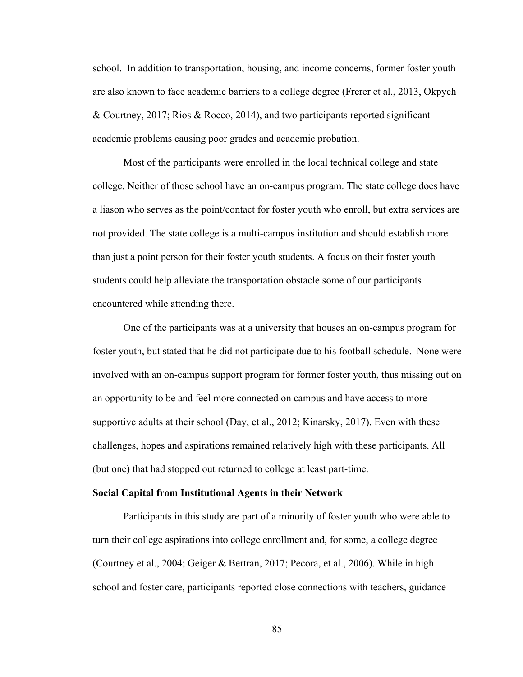school. In addition to transportation, housing, and income concerns, former foster youth are also known to face academic barriers to a college degree (Frerer et al., 2013, Okpych & Courtney, 2017; Rios & Rocco, 2014), and two participants reported significant academic problems causing poor grades and academic probation.

Most of the participants were enrolled in the local technical college and state college. Neither of those school have an on-campus program. The state college does have a liason who serves as the point/contact for foster youth who enroll, but extra services are not provided. The state college is a multi-campus institution and should establish more than just a point person for their foster youth students. A focus on their foster youth students could help alleviate the transportation obstacle some of our participants encountered while attending there.

One of the participants was at a university that houses an on-campus program for foster youth, but stated that he did not participate due to his football schedule. None were involved with an on-campus support program for former foster youth, thus missing out on an opportunity to be and feel more connected on campus and have access to more supportive adults at their school (Day, et al., 2012; Kinarsky, 2017). Even with these challenges, hopes and aspirations remained relatively high with these participants. All (but one) that had stopped out returned to college at least part-time.

# **Social Capital from Institutional Agents in their Network**

Participants in this study are part of a minority of foster youth who were able to turn their college aspirations into college enrollment and, for some, a college degree (Courtney et al., 2004; Geiger & Bertran, 2017; Pecora, et al., 2006). While in high school and foster care, participants reported close connections with teachers, guidance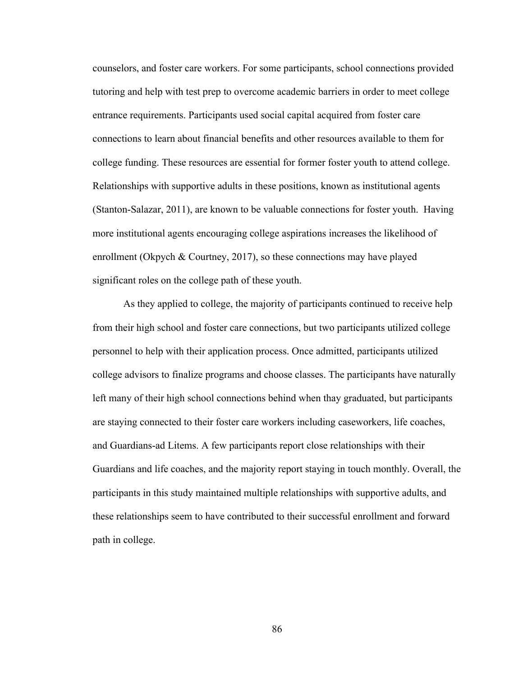counselors, and foster care workers. For some participants, school connections provided tutoring and help with test prep to overcome academic barriers in order to meet college entrance requirements. Participants used social capital acquired from foster care connections to learn about financial benefits and other resources available to them for college funding. These resources are essential for former foster youth to attend college. Relationships with supportive adults in these positions, known as institutional agents (Stanton-Salazar, 2011), are known to be valuable connections for foster youth. Having more institutional agents encouraging college aspirations increases the likelihood of enrollment (Okpych & Courtney, 2017), so these connections may have played significant roles on the college path of these youth.

As they applied to college, the majority of participants continued to receive help from their high school and foster care connections, but two participants utilized college personnel to help with their application process. Once admitted, participants utilized college advisors to finalize programs and choose classes. The participants have naturally left many of their high school connections behind when thay graduated, but participants are staying connected to their foster care workers including caseworkers, life coaches, and Guardians-ad Litems. A few participants report close relationships with their Guardians and life coaches, and the majority report staying in touch monthly. Overall, the participants in this study maintained multiple relationships with supportive adults, and these relationships seem to have contributed to their successful enrollment and forward path in college.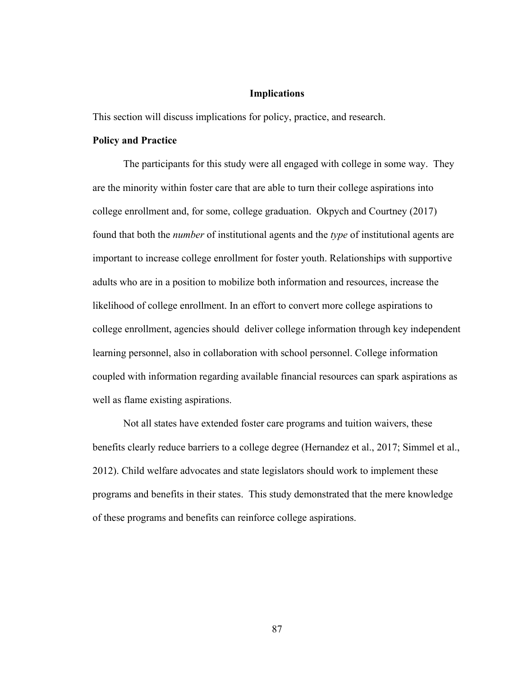#### **Implications**

This section will discuss implications for policy, practice, and research.

### **Policy and Practice**

The participants for this study were all engaged with college in some way. They are the minority within foster care that are able to turn their college aspirations into college enrollment and, for some, college graduation. Okpych and Courtney (2017) found that both the *number* of institutional agents and the *type* of institutional agents are important to increase college enrollment for foster youth. Relationships with supportive adults who are in a position to mobilize both information and resources, increase the likelihood of college enrollment. In an effort to convert more college aspirations to college enrollment, agencies should deliver college information through key independent learning personnel, also in collaboration with school personnel. College information coupled with information regarding available financial resources can spark aspirations as well as flame existing aspirations.

Not all states have extended foster care programs and tuition waivers, these benefits clearly reduce barriers to a college degree (Hernandez et al., 2017; Simmel et al., 2012). Child welfare advocates and state legislators should work to implement these programs and benefits in their states. This study demonstrated that the mere knowledge of these programs and benefits can reinforce college aspirations.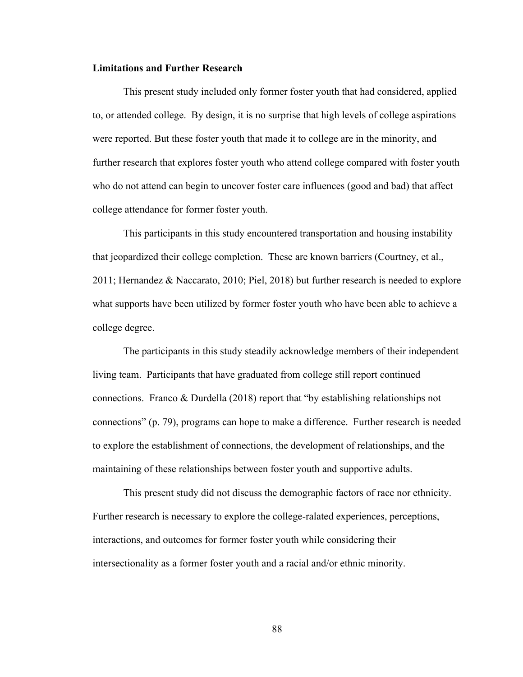#### **Limitations and Further Research**

This present study included only former foster youth that had considered, applied to, or attended college. By design, it is no surprise that high levels of college aspirations were reported. But these foster youth that made it to college are in the minority, and further research that explores foster youth who attend college compared with foster youth who do not attend can begin to uncover foster care influences (good and bad) that affect college attendance for former foster youth.

This participants in this study encountered transportation and housing instability that jeopardized their college completion. These are known barriers (Courtney, et al., 2011; Hernandez & Naccarato, 2010; Piel, 2018) but further research is needed to explore what supports have been utilized by former foster youth who have been able to achieve a college degree.

The participants in this study steadily acknowledge members of their independent living team. Participants that have graduated from college still report continued connections. Franco & Durdella (2018) report that "by establishing relationships not connections" (p. 79), programs can hope to make a difference. Further research is needed to explore the establishment of connections, the development of relationships, and the maintaining of these relationships between foster youth and supportive adults.

This present study did not discuss the demographic factors of race nor ethnicity. Further research is necessary to explore the college-ralated experiences, perceptions, interactions, and outcomes for former foster youth while considering their intersectionality as a former foster youth and a racial and/or ethnic minority.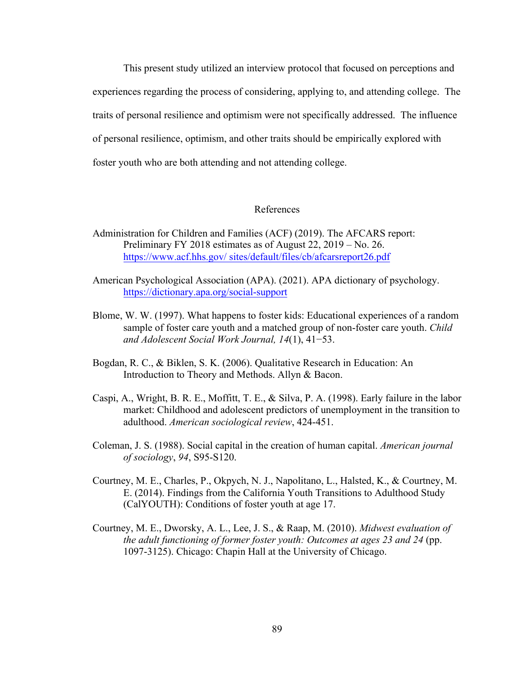This present study utilized an interview protocol that focused on perceptions and experiences regarding the process of considering, applying to, and attending college. The traits of personal resilience and optimism were not specifically addressed. The influence of personal resilience, optimism, and other traits should be empirically explored with foster youth who are both attending and not attending college.

## References

- Administration for Children and Families (ACF) (2019). The AFCARS report: Preliminary FY 2018 estimates as of August 22, 2019 – No. 26. https://www.acf.hhs.gov/ sites/default/files/cb/afcarsreport26.pdf
- American Psychological Association (APA). (2021). APA dictionary of psychology. https://dictionary.apa.org/social-support
- Blome, W. W. (1997). What happens to foster kids: Educational experiences of a random sample of foster care youth and a matched group of non-foster care youth. *Child and Adolescent Social Work Journal, 14*(1), 41−53.
- Bogdan, R. C., & Biklen, S. K. (2006). Qualitative Research in Education: An Introduction to Theory and Methods. Allyn & Bacon.
- Caspi, A., Wright, B. R. E., Moffitt, T. E., & Silva, P. A. (1998). Early failure in the labor market: Childhood and adolescent predictors of unemployment in the transition to adulthood. *American sociological review*, 424-451.
- Coleman, J. S. (1988). Social capital in the creation of human capital. *American journal of sociology*, *94*, S95-S120.
- Courtney, M. E., Charles, P., Okpych, N. J., Napolitano, L., Halsted, K., & Courtney, M. E. (2014). Findings from the California Youth Transitions to Adulthood Study (CalYOUTH): Conditions of foster youth at age 17.
- Courtney, M. E., Dworsky, A. L., Lee, J. S., & Raap, M. (2010). *Midwest evaluation of the adult functioning of former foster youth: Outcomes at ages 23 and 24* (pp. 1097-3125). Chicago: Chapin Hall at the University of Chicago.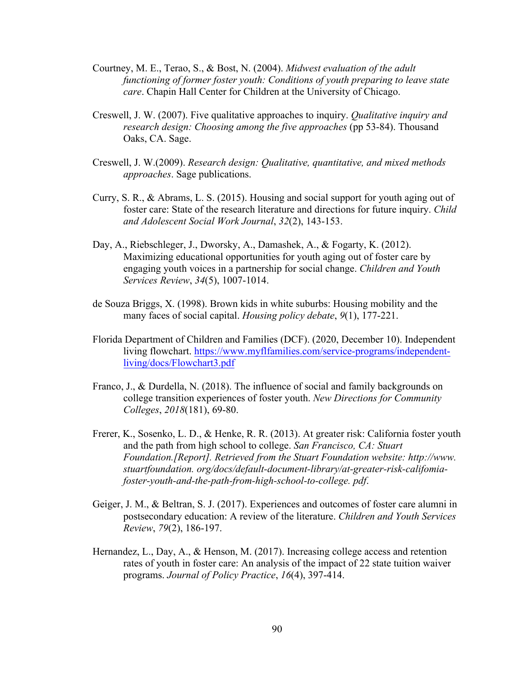- Courtney, M. E., Terao, S., & Bost, N. (2004). *Midwest evaluation of the adult functioning of former foster youth: Conditions of youth preparing to leave state care*. Chapin Hall Center for Children at the University of Chicago.
- Creswell, J. W. (2007). Five qualitative approaches to inquiry. *Qualitative inquiry and research design: Choosing among the five approaches (pp 53-84). Thousand* Oaks, CA. Sage.
- Creswell, J. W.(2009). *Research design: Qualitative, quantitative, and mixed methods approaches*. Sage publications.
- Curry, S. R., & Abrams, L. S. (2015). Housing and social support for youth aging out of foster care: State of the research literature and directions for future inquiry. *Child and Adolescent Social Work Journal*, *32*(2), 143-153.
- Day, A., Riebschleger, J., Dworsky, A., Damashek, A., & Fogarty, K. (2012). Maximizing educational opportunities for youth aging out of foster care by engaging youth voices in a partnership for social change. *Children and Youth Services Review*, *34*(5), 1007-1014.
- de Souza Briggs, X. (1998). Brown kids in white suburbs: Housing mobility and the many faces of social capital. *Housing policy debate*, *9*(1), 177-221.
- Florida Department of Children and Families (DCF). (2020, December 10). Independent living flowchart. https://www.myflfamilies.com/service-programs/independentliving/docs/Flowchart3.pdf
- Franco, J., & Durdella, N. (2018). The influence of social and family backgrounds on college transition experiences of foster youth. *New Directions for Community Colleges*, *2018*(181), 69-80.
- Frerer, K., Sosenko, L. D., & Henke, R. R. (2013). At greater risk: California foster youth and the path from high school to college. *San Francisco, CA: Stuart Foundation.[Report]. Retrieved from the Stuart Foundation website: http://www. stuartfoundation. org/docs/default-document-library/at-greater-risk-califomiafoster-youth-and-the-path-from-high-school-to-college. pdf*.
- Geiger, J. M., & Beltran, S. J. (2017). Experiences and outcomes of foster care alumni in postsecondary education: A review of the literature. *Children and Youth Services Review*, *79*(2), 186-197.
- Hernandez, L., Day, A., & Henson, M. (2017). Increasing college access and retention rates of youth in foster care: An analysis of the impact of 22 state tuition waiver programs. *Journal of Policy Practice*, *16*(4), 397-414.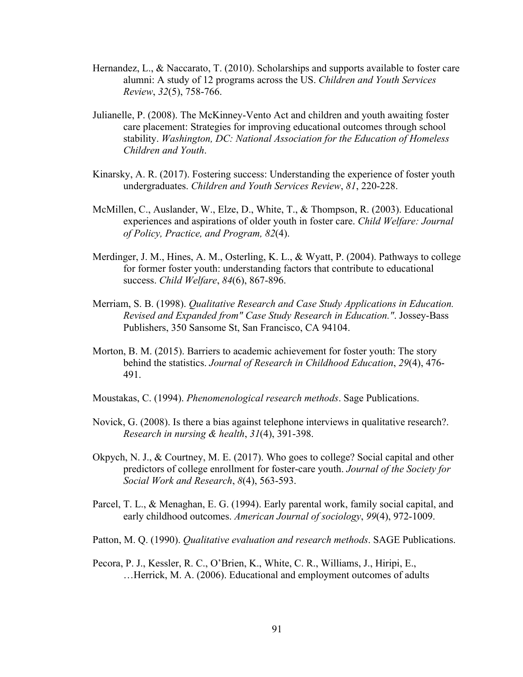- Hernandez, L., & Naccarato, T. (2010). Scholarships and supports available to foster care alumni: A study of 12 programs across the US. *Children and Youth Services Review*, *32*(5), 758-766.
- Julianelle, P. (2008). The McKinney-Vento Act and children and youth awaiting foster care placement: Strategies for improving educational outcomes through school stability. *Washington, DC: National Association for the Education of Homeless Children and Youth*.
- Kinarsky, A. R. (2017). Fostering success: Understanding the experience of foster youth undergraduates. *Children and Youth Services Review*, *81*, 220-228.
- McMillen, C., Auslander, W., Elze, D., White, T., & Thompson, R. (2003). Educational experiences and aspirations of older youth in foster care. *Child Welfare: Journal of Policy, Practice, and Program, 82*(4).
- Merdinger, J. M., Hines, A. M., Osterling, K. L., & Wyatt, P. (2004). Pathways to college for former foster youth: understanding factors that contribute to educational success. *Child Welfare*, *84*(6), 867-896.
- Merriam, S. B. (1998). *Qualitative Research and Case Study Applications in Education. Revised and Expanded from" Case Study Research in Education."*. Jossey-Bass Publishers, 350 Sansome St, San Francisco, CA 94104.
- Morton, B. M. (2015). Barriers to academic achievement for foster youth: The story behind the statistics. *Journal of Research in Childhood Education*, *29*(4), 476- 491.
- Moustakas, C. (1994). *Phenomenological research methods*. Sage Publications.
- Novick, G. (2008). Is there a bias against telephone interviews in qualitative research?. *Research in nursing & health*, *31*(4), 391-398.
- Okpych, N. J., & Courtney, M. E. (2017). Who goes to college? Social capital and other predictors of college enrollment for foster-care youth. *Journal of the Society for Social Work and Research*, *8*(4), 563-593.
- Parcel, T. L., & Menaghan, E. G. (1994). Early parental work, family social capital, and early childhood outcomes. *American Journal of sociology*, *99*(4), 972-1009.
- Patton, M. Q. (1990). *Qualitative evaluation and research methods*. SAGE Publications.
- Pecora, P. J., Kessler, R. C., O'Brien, K., White, C. R., Williams, J., Hiripi, E., …Herrick, M. A. (2006). Educational and employment outcomes of adults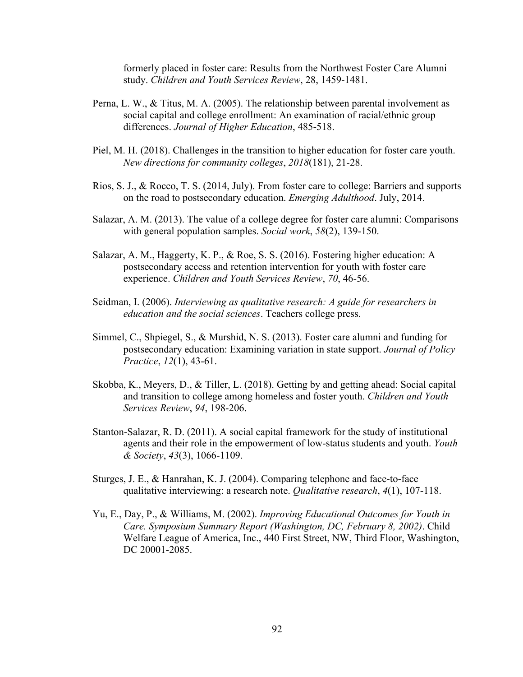formerly placed in foster care: Results from the Northwest Foster Care Alumni study. *Children and Youth Services Review*, 28, 1459-1481.

- Perna, L. W., & Titus, M. A. (2005). The relationship between parental involvement as social capital and college enrollment: An examination of racial/ethnic group differences. *Journal of Higher Education*, 485-518.
- Piel, M. H. (2018). Challenges in the transition to higher education for foster care youth. *New directions for community colleges*, *2018*(181), 21-28.
- Rios, S. J., & Rocco, T. S. (2014, July). From foster care to college: Barriers and supports on the road to postsecondary education. *Emerging Adulthood*. July, 2014.
- Salazar, A. M. (2013). The value of a college degree for foster care alumni: Comparisons with general population samples. *Social work*, *58*(2), 139-150.
- Salazar, A. M., Haggerty, K. P., & Roe, S. S. (2016). Fostering higher education: A postsecondary access and retention intervention for youth with foster care experience. *Children and Youth Services Review*, *70*, 46-56.
- Seidman, I. (2006). *Interviewing as qualitative research: A guide for researchers in education and the social sciences*. Teachers college press.
- Simmel, C., Shpiegel, S., & Murshid, N. S. (2013). Foster care alumni and funding for postsecondary education: Examining variation in state support. *Journal of Policy Practice*, *12*(1), 43-61.
- Skobba, K., Meyers, D., & Tiller, L. (2018). Getting by and getting ahead: Social capital and transition to college among homeless and foster youth. *Children and Youth Services Review*, *94*, 198-206.
- Stanton-Salazar, R. D. (2011). A social capital framework for the study of institutional agents and their role in the empowerment of low-status students and youth. *Youth & Society*, *43*(3), 1066-1109.
- Sturges, J. E., & Hanrahan, K. J. (2004). Comparing telephone and face-to-face qualitative interviewing: a research note. *Qualitative research*, *4*(1), 107-118.
- Yu, E., Day, P., & Williams, M. (2002). *Improving Educational Outcomes for Youth in Care. Symposium Summary Report (Washington, DC, February 8, 2002)*. Child Welfare League of America, Inc., 440 First Street, NW, Third Floor, Washington, DC 20001-2085.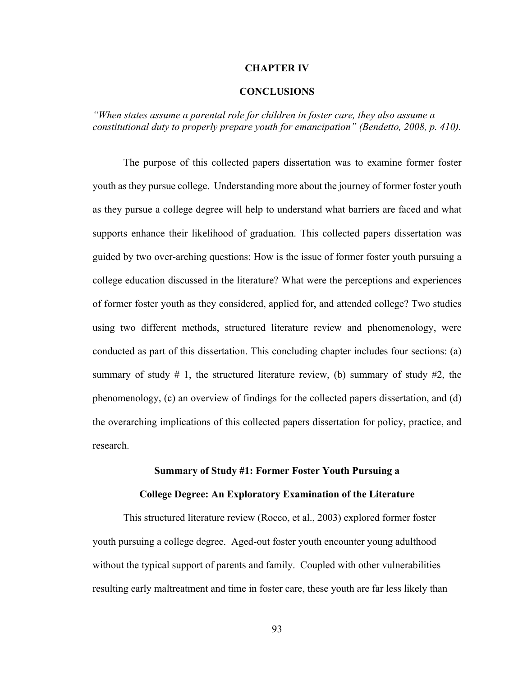#### **CHAPTER IV**

#### **CONCLUSIONS**

*"When states assume a parental role for children in foster care, they also assume a constitutional duty to properly prepare youth for emancipation" (Bendetto, 2008, p. 410).*

The purpose of this collected papers dissertation was to examine former foster youth as they pursue college. Understanding more about the journey of former foster youth as they pursue a college degree will help to understand what barriers are faced and what supports enhance their likelihood of graduation. This collected papers dissertation was guided by two over-arching questions: How is the issue of former foster youth pursuing a college education discussed in the literature? What were the perceptions and experiences of former foster youth as they considered, applied for, and attended college? Two studies using two different methods, structured literature review and phenomenology, were conducted as part of this dissertation. This concluding chapter includes four sections: (a) summary of study  $\#$  1, the structured literature review, (b) summary of study  $\#2$ , the phenomenology, (c) an overview of findings for the collected papers dissertation, and (d) the overarching implications of this collected papers dissertation for policy, practice, and research.

# **Summary of Study #1: Former Foster Youth Pursuing a**

# **College Degree: An Exploratory Examination of the Literature**

This structured literature review (Rocco, et al., 2003) explored former foster youth pursuing a college degree. Aged-out foster youth encounter young adulthood without the typical support of parents and family. Coupled with other vulnerabilities resulting early maltreatment and time in foster care, these youth are far less likely than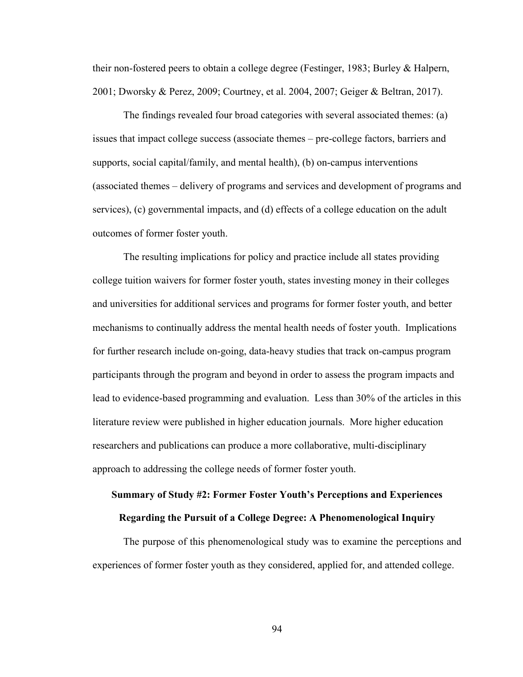their non-fostered peers to obtain a college degree (Festinger, 1983; Burley & Halpern, 2001; Dworsky & Perez, 2009; Courtney, et al. 2004, 2007; Geiger & Beltran, 2017).

The findings revealed four broad categories with several associated themes: (a) issues that impact college success (associate themes – pre-college factors, barriers and supports, social capital/family, and mental health), (b) on-campus interventions (associated themes – delivery of programs and services and development of programs and services), (c) governmental impacts, and (d) effects of a college education on the adult outcomes of former foster youth.

The resulting implications for policy and practice include all states providing college tuition waivers for former foster youth, states investing money in their colleges and universities for additional services and programs for former foster youth, and better mechanisms to continually address the mental health needs of foster youth. Implications for further research include on-going, data-heavy studies that track on-campus program participants through the program and beyond in order to assess the program impacts and lead to evidence-based programming and evaluation. Less than 30% of the articles in this literature review were published in higher education journals. More higher education researchers and publications can produce a more collaborative, multi-disciplinary approach to addressing the college needs of former foster youth.

# **Summary of Study #2: Former Foster Youth's Perceptions and Experiences Regarding the Pursuit of a College Degree: A Phenomenological Inquiry**

The purpose of this phenomenological study was to examine the perceptions and experiences of former foster youth as they considered, applied for, and attended college.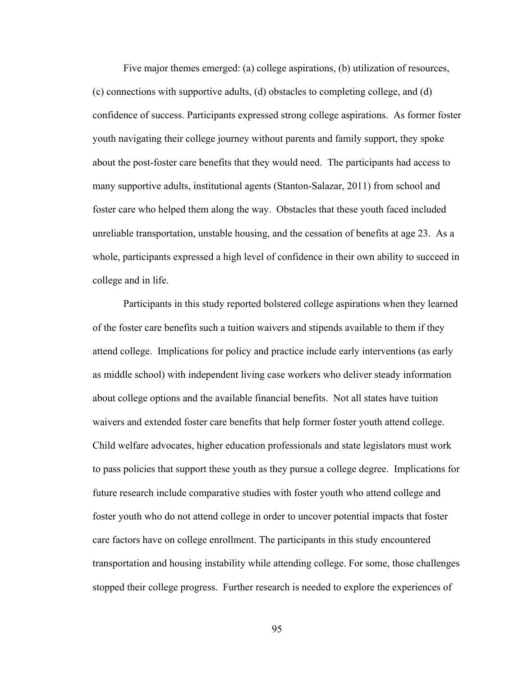Five major themes emerged: (a) college aspirations, (b) utilization of resources, (c) connections with supportive adults, (d) obstacles to completing college, and (d) confidence of success. Participants expressed strong college aspirations. As former foster youth navigating their college journey without parents and family support, they spoke about the post-foster care benefits that they would need. The participants had access to many supportive adults, institutional agents (Stanton-Salazar, 2011) from school and foster care who helped them along the way. Obstacles that these youth faced included unreliable transportation, unstable housing, and the cessation of benefits at age 23. As a whole, participants expressed a high level of confidence in their own ability to succeed in college and in life.

Participants in this study reported bolstered college aspirations when they learned of the foster care benefits such a tuition waivers and stipends available to them if they attend college. Implications for policy and practice include early interventions (as early as middle school) with independent living case workers who deliver steady information about college options and the available financial benefits. Not all states have tuition waivers and extended foster care benefits that help former foster youth attend college. Child welfare advocates, higher education professionals and state legislators must work to pass policies that support these youth as they pursue a college degree. Implications for future research include comparative studies with foster youth who attend college and foster youth who do not attend college in order to uncover potential impacts that foster care factors have on college enrollment. The participants in this study encountered transportation and housing instability while attending college. For some, those challenges stopped their college progress. Further research is needed to explore the experiences of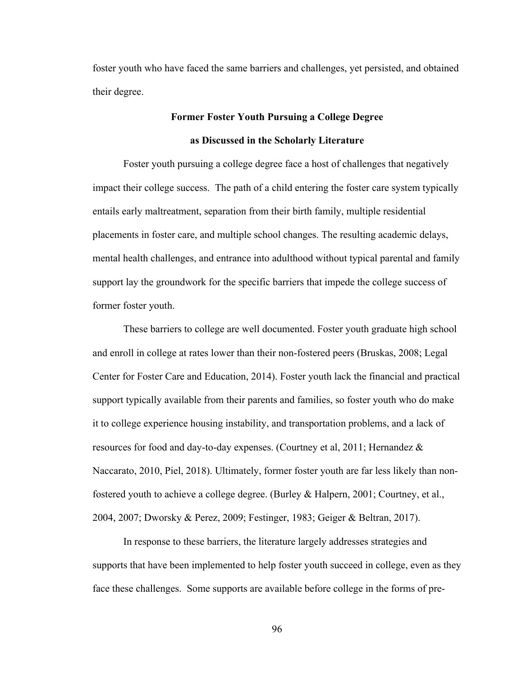foster youth who have faced the same barriers and challenges, yet persisted, and obtained their degree.

# **Former Foster Youth Pursuing a College Degree as Discussed in the Scholarly Literature**

Foster youth pursuing a college degree face a host of challenges that negatively impact their college success. The path of a child entering the foster care system typically entails early maltreatment, separation from their birth family, multiple residential placements in foster care, and multiple school changes. The resulting academic delays, mental health challenges, and entrance into adulthood without typical parental and family support lay the groundwork for the specific barriers that impede the college success of former foster youth.

These barriers to college are well documented. Foster youth graduate high school and enroll in college at rates lower than their non-fostered peers (Bruskas, 2008; Legal Center for Foster Care and Education, 2014). Foster youth lack the financial and practical support typically available from their parents and families, so foster youth who do make it to college experience housing instability, and transportation problems, and a lack of resources for food and day-to-day expenses. (Courtney et al, 2011; Hernandez & Naccarato, 2010, Piel, 2018). Ultimately, former foster youth are far less likely than nonfostered youth to achieve a college degree. (Burley & Halpern, 2001; Courtney, et al., 2004, 2007; Dworsky & Perez, 2009; Festinger, 1983; Geiger & Beltran, 2017).

In response to these barriers, the literature largely addresses strategies and supports that have been implemented to help foster youth succeed in college, even as they face these challenges. Some supports are available before college in the forms of pre-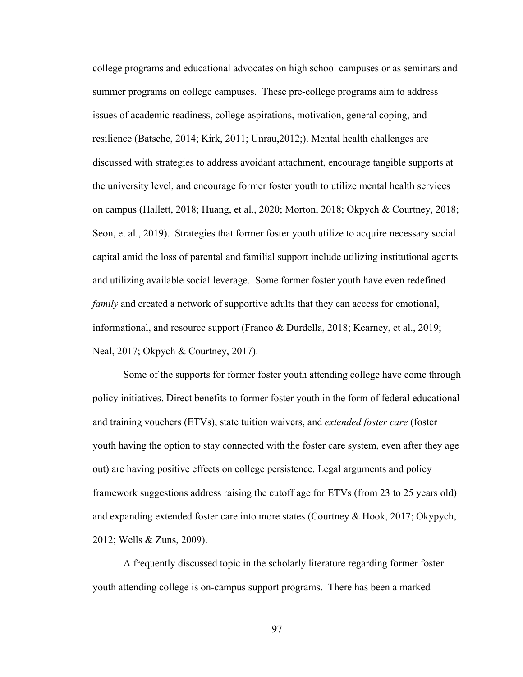college programs and educational advocates on high school campuses or as seminars and summer programs on college campuses. These pre-college programs aim to address issues of academic readiness, college aspirations, motivation, general coping, and resilience (Batsche, 2014; Kirk, 2011; Unrau,2012;). Mental health challenges are discussed with strategies to address avoidant attachment, encourage tangible supports at the university level, and encourage former foster youth to utilize mental health services on campus (Hallett, 2018; Huang, et al., 2020; Morton, 2018; Okpych & Courtney, 2018; Seon, et al., 2019). Strategies that former foster youth utilize to acquire necessary social capital amid the loss of parental and familial support include utilizing institutional agents and utilizing available social leverage. Some former foster youth have even redefined *family* and created a network of supportive adults that they can access for emotional, informational, and resource support (Franco & Durdella, 2018; Kearney, et al., 2019; Neal, 2017; Okpych & Courtney, 2017).

Some of the supports for former foster youth attending college have come through policy initiatives. Direct benefits to former foster youth in the form of federal educational and training vouchers (ETVs), state tuition waivers, and *extended foster care* (foster youth having the option to stay connected with the foster care system, even after they age out) are having positive effects on college persistence. Legal arguments and policy framework suggestions address raising the cutoff age for ETVs (from 23 to 25 years old) and expanding extended foster care into more states (Courtney & Hook, 2017; Okypych, 2012; Wells & Zuns, 2009).

A frequently discussed topic in the scholarly literature regarding former foster youth attending college is on-campus support programs. There has been a marked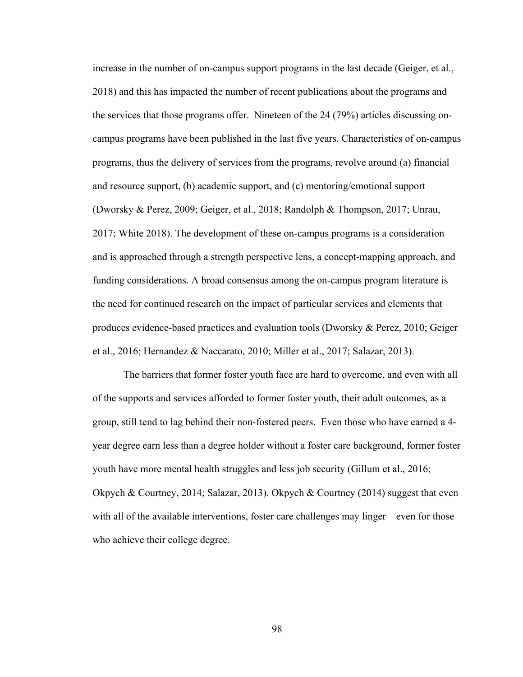increase in the number of on-campus support programs in the last decade (Geiger, et al., 2018) and this has impacted the number of recent publications about the programs and the services that those programs offer. Nineteen of the 24 (79%) articles discussing oncampus programs have been published in the last five years. Characteristics of on-campus programs, thus the delivery of services from the programs, revolve around (a) financial and resource support, (b) academic support, and (c) mentoring/emotional support (Dworsky & Perez, 2009; Geiger, et al., 2018; Randolph & Thompson, 2017; Unrau, 2017; White 2018). The development of these on-campus programs is a consideration and is approached through a strength perspective lens, a concept-mapping approach, and funding considerations. A broad consensus among the on-campus program literature is the need for continued research on the impact of particular services and elements that produces evidence-based practices and evaluation tools (Dworsky & Perez, 2010; Geiger et al., 2016; Hernandez & Naccarato, 2010; Miller et al., 2017; Salazar, 2013).

The barriers that former foster youth face are hard to overcome, and even with all of the supports and services afforded to former foster youth, their adult outcomes, as a group, still tend to lag behind their non-fostered peers. Even those who have earned a 4 year degree earn less than a degree holder without a foster care background, former foster youth have more mental health struggles and less job security (Gillum et al., 2016; Okpych & Courtney, 2014; Salazar, 2013). Okpych & Courtney (2014) suggest that even with all of the available interventions, foster care challenges may linger – even for those who achieve their college degree.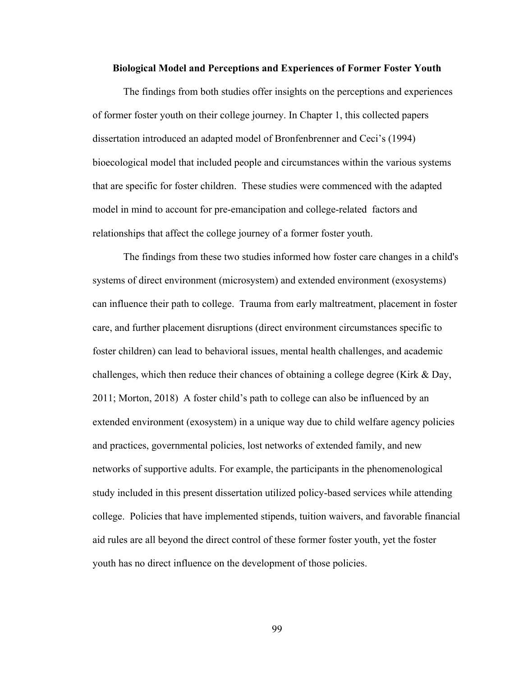### **Biological Model and Perceptions and Experiences of Former Foster Youth**

The findings from both studies offer insights on the perceptions and experiences of former foster youth on their college journey. In Chapter 1, this collected papers dissertation introduced an adapted model of Bronfenbrenner and Ceci's (1994) bioecological model that included people and circumstances within the various systems that are specific for foster children. These studies were commenced with the adapted model in mind to account for pre-emancipation and college-related factors and relationships that affect the college journey of a former foster youth.

The findings from these two studies informed how foster care changes in a child's systems of direct environment (microsystem) and extended environment (exosystems) can influence their path to college. Trauma from early maltreatment, placement in foster care, and further placement disruptions (direct environment circumstances specific to foster children) can lead to behavioral issues, mental health challenges, and academic challenges, which then reduce their chances of obtaining a college degree (Kirk & Day, 2011; Morton, 2018) A foster child's path to college can also be influenced by an extended environment (exosystem) in a unique way due to child welfare agency policies and practices, governmental policies, lost networks of extended family, and new networks of supportive adults. For example, the participants in the phenomenological study included in this present dissertation utilized policy-based services while attending college. Policies that have implemented stipends, tuition waivers, and favorable financial aid rules are all beyond the direct control of these former foster youth, yet the foster youth has no direct influence on the development of those policies.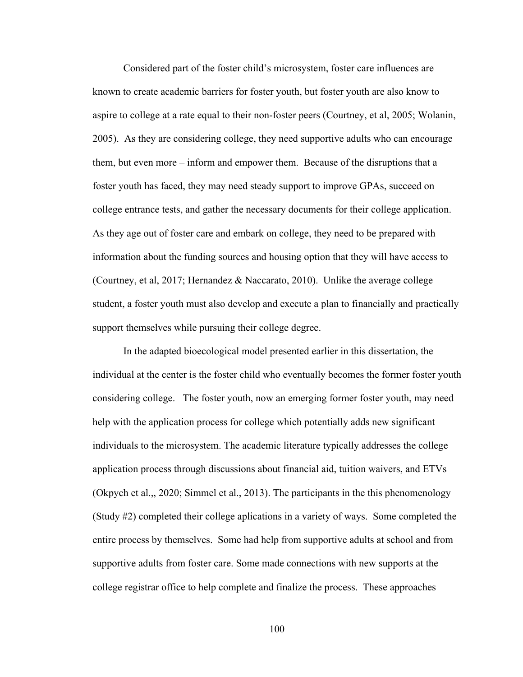Considered part of the foster child's microsystem, foster care influences are known to create academic barriers for foster youth, but foster youth are also know to aspire to college at a rate equal to their non-foster peers (Courtney, et al, 2005; Wolanin, 2005). As they are considering college, they need supportive adults who can encourage them, but even more – inform and empower them. Because of the disruptions that a foster youth has faced, they may need steady support to improve GPAs, succeed on college entrance tests, and gather the necessary documents for their college application. As they age out of foster care and embark on college, they need to be prepared with information about the funding sources and housing option that they will have access to (Courtney, et al, 2017; Hernandez & Naccarato, 2010). Unlike the average college student, a foster youth must also develop and execute a plan to financially and practically support themselves while pursuing their college degree.

In the adapted bioecological model presented earlier in this dissertation, the individual at the center is the foster child who eventually becomes the former foster youth considering college. The foster youth, now an emerging former foster youth, may need help with the application process for college which potentially adds new significant individuals to the microsystem. The academic literature typically addresses the college application process through discussions about financial aid, tuition waivers, and ETVs (Okpych et al.,, 2020; Simmel et al., 2013). The participants in the this phenomenology (Study #2) completed their college aplications in a variety of ways. Some completed the entire process by themselves. Some had help from supportive adults at school and from supportive adults from foster care. Some made connections with new supports at the college registrar office to help complete and finalize the process. These approaches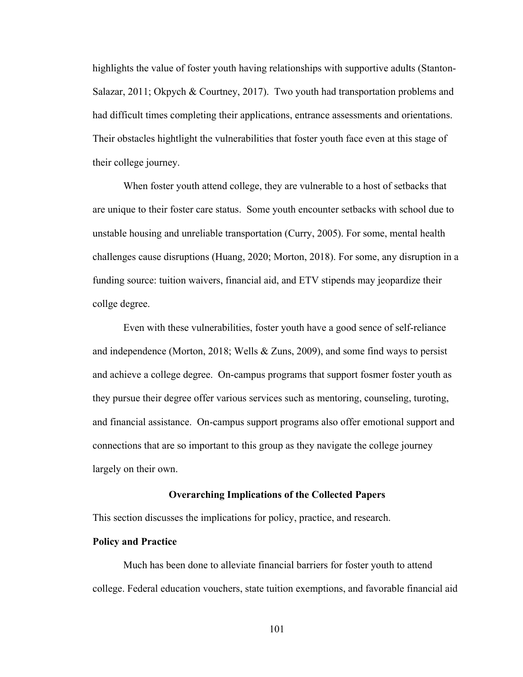highlights the value of foster youth having relationships with supportive adults (Stanton-Salazar, 2011; Okpych & Courtney, 2017). Two youth had transportation problems and had difficult times completing their applications, entrance assessments and orientations. Their obstacles hightlight the vulnerabilities that foster youth face even at this stage of their college journey.

When foster youth attend college, they are vulnerable to a host of setbacks that are unique to their foster care status. Some youth encounter setbacks with school due to unstable housing and unreliable transportation (Curry, 2005). For some, mental health challenges cause disruptions (Huang, 2020; Morton, 2018). For some, any disruption in a funding source: tuition waivers, financial aid, and ETV stipends may jeopardize their collge degree.

Even with these vulnerabilities, foster youth have a good sence of self-reliance and independence (Morton, 2018; Wells & Zuns, 2009), and some find ways to persist and achieve a college degree. On-campus programs that support fosmer foster youth as they pursue their degree offer various services such as mentoring, counseling, turoting, and financial assistance. On-campus support programs also offer emotional support and connections that are so important to this group as they navigate the college journey largely on their own.

### **Overarching Implications of the Collected Papers**

This section discusses the implications for policy, practice, and research.

## **Policy and Practice**

Much has been done to alleviate financial barriers for foster youth to attend college. Federal education vouchers, state tuition exemptions, and favorable financial aid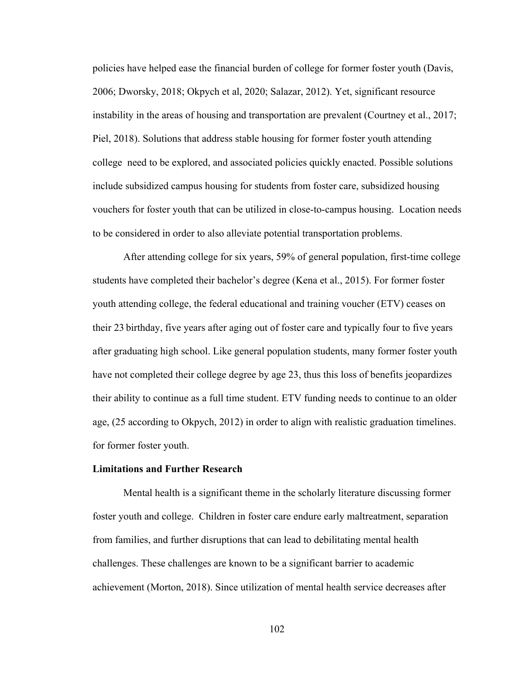policies have helped ease the financial burden of college for former foster youth (Davis, 2006; Dworsky, 2018; Okpych et al, 2020; Salazar, 2012). Yet, significant resource instability in the areas of housing and transportation are prevalent (Courtney et al., 2017; Piel, 2018). Solutions that address stable housing for former foster youth attending college need to be explored, and associated policies quickly enacted. Possible solutions include subsidized campus housing for students from foster care, subsidized housing vouchers for foster youth that can be utilized in close-to-campus housing. Location needs to be considered in order to also alleviate potential transportation problems.

After attending college for six years, 59% of general population, first-time college students have completed their bachelor's degree (Kena et al., 2015). For former foster youth attending college, the federal educational and training voucher (ETV) ceases on their 23 birthday, five years after aging out of foster care and typically four to five years after graduating high school. Like general population students, many former foster youth have not completed their college degree by age 23, thus this loss of benefits jeopardizes their ability to continue as a full time student. ETV funding needs to continue to an older age, (25 according to Okpych, 2012) in order to align with realistic graduation timelines. for former foster youth.

#### **Limitations and Further Research**

Mental health is a significant theme in the scholarly literature discussing former foster youth and college. Children in foster care endure early maltreatment, separation from families, and further disruptions that can lead to debilitating mental health challenges. These challenges are known to be a significant barrier to academic achievement (Morton, 2018). Since utilization of mental health service decreases after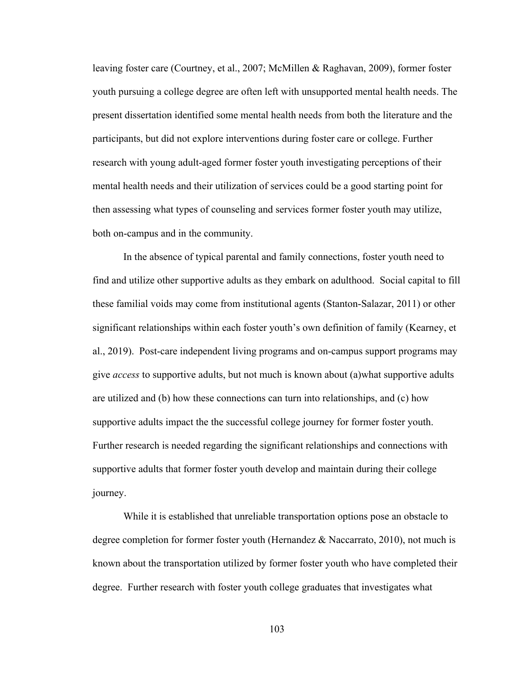leaving foster care (Courtney, et al., 2007; McMillen & Raghavan, 2009), former foster youth pursuing a college degree are often left with unsupported mental health needs. The present dissertation identified some mental health needs from both the literature and the participants, but did not explore interventions during foster care or college. Further research with young adult-aged former foster youth investigating perceptions of their mental health needs and their utilization of services could be a good starting point for then assessing what types of counseling and services former foster youth may utilize, both on-campus and in the community.

In the absence of typical parental and family connections, foster youth need to find and utilize other supportive adults as they embark on adulthood. Social capital to fill these familial voids may come from institutional agents (Stanton-Salazar, 2011) or other significant relationships within each foster youth's own definition of family (Kearney, et al., 2019). Post-care independent living programs and on-campus support programs may give *access* to supportive adults, but not much is known about (a)what supportive adults are utilized and (b) how these connections can turn into relationships, and (c) how supportive adults impact the the successful college journey for former foster youth. Further research is needed regarding the significant relationships and connections with supportive adults that former foster youth develop and maintain during their college journey.

While it is established that unreliable transportation options pose an obstacle to degree completion for former foster youth (Hernandez  $\&$  Naccarrato, 2010), not much is known about the transportation utilized by former foster youth who have completed their degree. Further research with foster youth college graduates that investigates what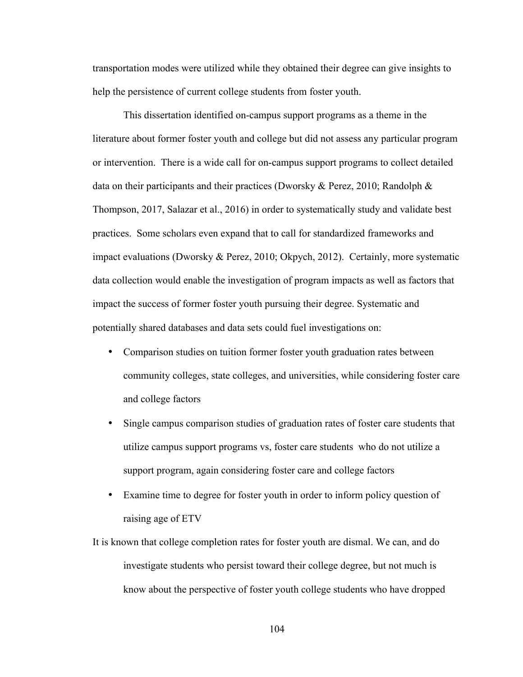transportation modes were utilized while they obtained their degree can give insights to help the persistence of current college students from foster youth.

This dissertation identified on-campus support programs as a theme in the literature about former foster youth and college but did not assess any particular program or intervention. There is a wide call for on-campus support programs to collect detailed data on their participants and their practices (Dworsky & Perez, 2010; Randolph & Thompson, 2017, Salazar et al., 2016) in order to systematically study and validate best practices. Some scholars even expand that to call for standardized frameworks and impact evaluations (Dworsky & Perez, 2010; Okpych, 2012). Certainly, more systematic data collection would enable the investigation of program impacts as well as factors that impact the success of former foster youth pursuing their degree. Systematic and potentially shared databases and data sets could fuel investigations on:

- Comparison studies on tuition former foster youth graduation rates between community colleges, state colleges, and universities, while considering foster care and college factors
- Single campus comparison studies of graduation rates of foster care students that utilize campus support programs vs, foster care students who do not utilize a support program, again considering foster care and college factors
- Examine time to degree for foster youth in order to inform policy question of raising age of ETV
- It is known that college completion rates for foster youth are dismal. We can, and do investigate students who persist toward their college degree, but not much is know about the perspective of foster youth college students who have dropped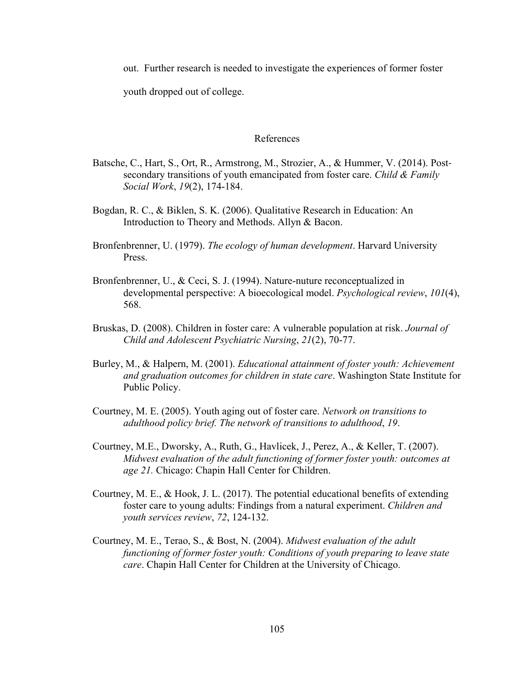out. Further research is needed to investigate the experiences of former foster

youth dropped out of college.

### References

- Batsche, C., Hart, S., Ort, R., Armstrong, M., Strozier, A., & Hummer, V. (2014). Postsecondary transitions of youth emancipated from foster care. *Child & Family Social Work*, *19*(2), 174-184.
- Bogdan, R. C., & Biklen, S. K. (2006). Qualitative Research in Education: An Introduction to Theory and Methods. Allyn & Bacon.
- Bronfenbrenner, U. (1979). *The ecology of human development*. Harvard University Press.
- Bronfenbrenner, U., & Ceci, S. J. (1994). Nature-nuture reconceptualized in developmental perspective: A bioecological model. *Psychological review*, *101*(4), 568.
- Bruskas, D. (2008). Children in foster care: A vulnerable population at risk. *Journal of Child and Adolescent Psychiatric Nursing*, *21*(2), 70-77.
- Burley, M., & Halpern, M. (2001). *Educational attainment of foster youth: Achievement and graduation outcomes for children in state care*. Washington State Institute for Public Policy.
- Courtney, M. E. (2005). Youth aging out of foster care. *Network on transitions to adulthood policy brief. The network of transitions to adulthood*, *19*.
- Courtney, M.E., Dworsky, A., Ruth, G., Havlicek, J., Perez, A., & Keller, T. (2007). *Midwest evaluation of the adult functioning of former foster youth: outcomes at age 21.* Chicago: Chapin Hall Center for Children.
- Courtney, M. E., & Hook, J. L. (2017). The potential educational benefits of extending foster care to young adults: Findings from a natural experiment. *Children and youth services review*, *72*, 124-132.
- Courtney, M. E., Terao, S., & Bost, N. (2004). *Midwest evaluation of the adult functioning of former foster youth: Conditions of youth preparing to leave state care*. Chapin Hall Center for Children at the University of Chicago.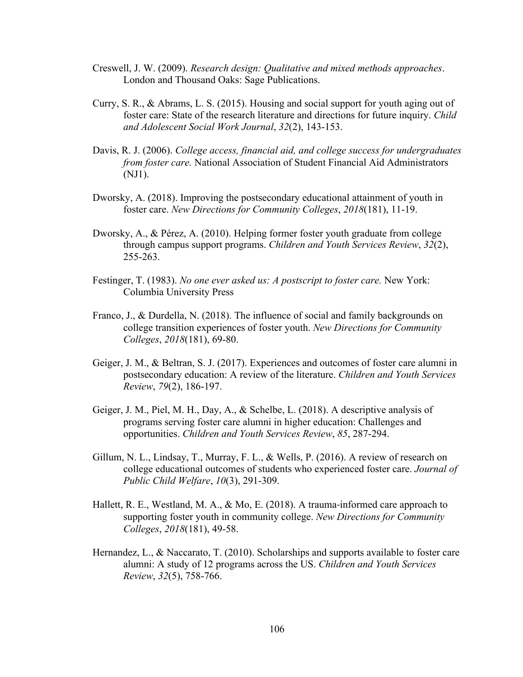- Creswell, J. W. (2009). *Research design: Qualitative and mixed methods approaches*. London and Thousand Oaks: Sage Publications.
- Curry, S. R., & Abrams, L. S. (2015). Housing and social support for youth aging out of foster care: State of the research literature and directions for future inquiry. *Child and Adolescent Social Work Journal*, *32*(2), 143-153.
- Davis, R. J. (2006). *College access, financial aid, and college success for undergraduates from foster care.* National Association of Student Financial Aid Administrators (NJ1).
- Dworsky, A. (2018). Improving the postsecondary educational attainment of youth in foster care. *New Directions for Community Colleges*, *2018*(181), 11-19.
- Dworsky, A., & Pérez, A. (2010). Helping former foster youth graduate from college through campus support programs. *Children and Youth Services Review*, *32*(2), 255-263.
- Festinger, T. (1983). *No one ever asked us: A postscript to foster care.* New York: Columbia University Press
- Franco, J., & Durdella, N. (2018). The influence of social and family backgrounds on college transition experiences of foster youth. *New Directions for Community Colleges*, *2018*(181), 69-80.
- Geiger, J. M., & Beltran, S. J. (2017). Experiences and outcomes of foster care alumni in postsecondary education: A review of the literature. *Children and Youth Services Review*, *79*(2), 186-197.
- Geiger, J. M., Piel, M. H., Day, A., & Schelbe, L. (2018). A descriptive analysis of programs serving foster care alumni in higher education: Challenges and opportunities. *Children and Youth Services Review*, *85*, 287-294.
- Gillum, N. L., Lindsay, T., Murray, F. L., & Wells, P. (2016). A review of research on college educational outcomes of students who experienced foster care. *Journal of Public Child Welfare*, *10*(3), 291-309.
- Hallett, R. E., Westland, M. A., & Mo, E. (2018). A trauma-informed care approach to supporting foster youth in community college. *New Directions for Community Colleges*, *2018*(181), 49-58.
- Hernandez, L., & Naccarato, T. (2010). Scholarships and supports available to foster care alumni: A study of 12 programs across the US. *Children and Youth Services Review*, *32*(5), 758-766.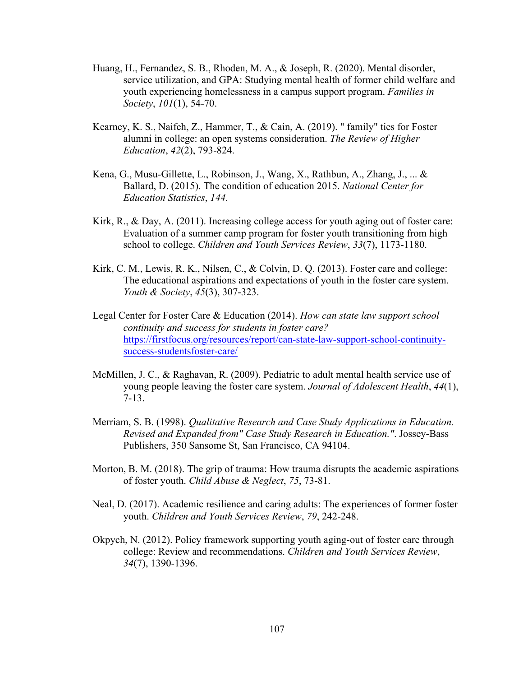- Huang, H., Fernandez, S. B., Rhoden, M. A., & Joseph, R. (2020). Mental disorder, service utilization, and GPA: Studying mental health of former child welfare and youth experiencing homelessness in a campus support program. *Families in Society*, *101*(1), 54-70.
- Kearney, K. S., Naifeh, Z., Hammer, T., & Cain, A. (2019). " family" ties for Foster alumni in college: an open systems consideration. *The Review of Higher Education*, *42*(2), 793-824.
- Kena, G., Musu-Gillette, L., Robinson, J., Wang, X., Rathbun, A., Zhang, J., ... & Ballard, D. (2015). The condition of education 2015. *National Center for Education Statistics*, *144*.
- Kirk, R., & Day, A. (2011). Increasing college access for youth aging out of foster care: Evaluation of a summer camp program for foster youth transitioning from high school to college. *Children and Youth Services Review*, *33*(7), 1173-1180.
- Kirk, C. M., Lewis, R. K., Nilsen, C., & Colvin, D. Q. (2013). Foster care and college: The educational aspirations and expectations of youth in the foster care system. *Youth & Society*, *45*(3), 307-323.
- Legal Center for Foster Care & Education (2014). *How can state law support school continuity and success for students in foster care?* https://firstfocus.org/resources/report/can-state-law-support-school-continuitysuccess-studentsfoster-care/
- McMillen, J. C., & Raghavan, R. (2009). Pediatric to adult mental health service use of young people leaving the foster care system. *Journal of Adolescent Health*, *44*(1), 7-13.
- Merriam, S. B. (1998). *Qualitative Research and Case Study Applications in Education. Revised and Expanded from" Case Study Research in Education."*. Jossey-Bass Publishers, 350 Sansome St, San Francisco, CA 94104.
- Morton, B. M. (2018). The grip of trauma: How trauma disrupts the academic aspirations of foster youth. *Child Abuse & Neglect*, *75*, 73-81.
- Neal, D. (2017). Academic resilience and caring adults: The experiences of former foster youth. *Children and Youth Services Review*, *79*, 242-248.
- Okpych, N. (2012). Policy framework supporting youth aging-out of foster care through college: Review and recommendations. *Children and Youth Services Review*, *34*(7), 1390-1396.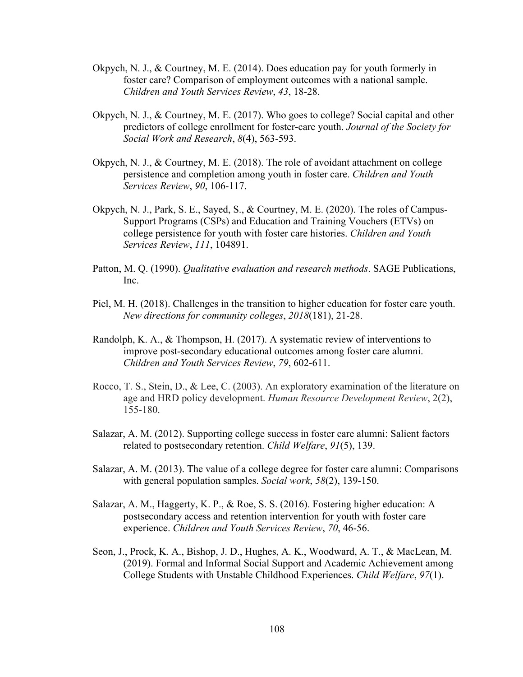- Okpych, N. J., & Courtney, M. E. (2014). Does education pay for youth formerly in foster care? Comparison of employment outcomes with a national sample. *Children and Youth Services Review*, *43*, 18-28.
- Okpych, N. J., & Courtney, M. E. (2017). Who goes to college? Social capital and other predictors of college enrollment for foster-care youth. *Journal of the Society for Social Work and Research*, *8*(4), 563-593.
- Okpych, N. J., & Courtney, M. E. (2018). The role of avoidant attachment on college persistence and completion among youth in foster care. *Children and Youth Services Review*, *90*, 106-117.
- Okpych, N. J., Park, S. E., Sayed, S., & Courtney, M. E. (2020). The roles of Campus-Support Programs (CSPs) and Education and Training Vouchers (ETVs) on college persistence for youth with foster care histories. *Children and Youth Services Review*, *111*, 104891.
- Patton, M. Q. (1990). *Qualitative evaluation and research methods*. SAGE Publications, Inc.
- Piel, M. H. (2018). Challenges in the transition to higher education for foster care youth. *New directions for community colleges*, *2018*(181), 21-28.
- Randolph, K. A., & Thompson, H. (2017). A systematic review of interventions to improve post-secondary educational outcomes among foster care alumni. *Children and Youth Services Review*, *79*, 602-611.
- Rocco, T. S., Stein, D., & Lee, C. (2003). An exploratory examination of the literature on age and HRD policy development. *Human Resource Development Review*, 2(2), 155-180.
- Salazar, A. M. (2012). Supporting college success in foster care alumni: Salient factors related to postsecondary retention. *Child Welfare*, *91*(5), 139.
- Salazar, A. M. (2013). The value of a college degree for foster care alumni: Comparisons with general population samples. *Social work*, *58*(2), 139-150.
- Salazar, A. M., Haggerty, K. P., & Roe, S. S. (2016). Fostering higher education: A postsecondary access and retention intervention for youth with foster care experience. *Children and Youth Services Review*, *70*, 46-56.
- Seon, J., Prock, K. A., Bishop, J. D., Hughes, A. K., Woodward, A. T., & MacLean, M. (2019). Formal and Informal Social Support and Academic Achievement among College Students with Unstable Childhood Experiences. *Child Welfare*, *97*(1).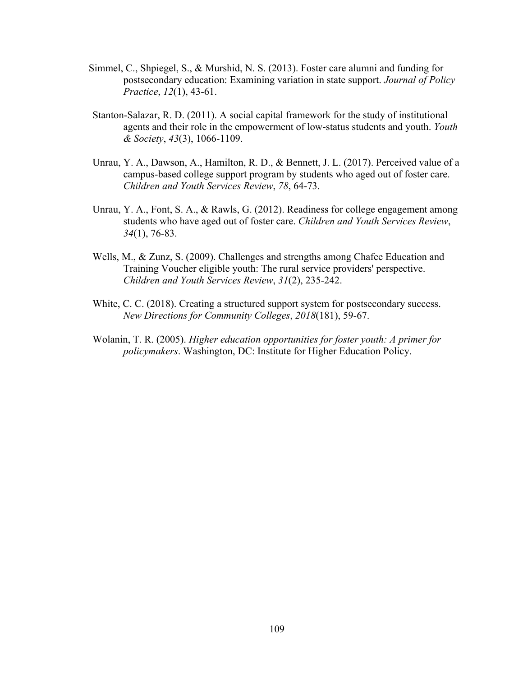- Simmel, C., Shpiegel, S., & Murshid, N. S. (2013). Foster care alumni and funding for postsecondary education: Examining variation in state support. *Journal of Policy Practice*, *12*(1), 43-61.
- Stanton-Salazar, R. D. (2011). A social capital framework for the study of institutional agents and their role in the empowerment of low-status students and youth. *Youth & Society*, *43*(3), 1066-1109.
- Unrau, Y. A., Dawson, A., Hamilton, R. D., & Bennett, J. L. (2017). Perceived value of a campus-based college support program by students who aged out of foster care. *Children and Youth Services Review*, *78*, 64-73.
- Unrau, Y. A., Font, S. A., & Rawls, G. (2012). Readiness for college engagement among students who have aged out of foster care. *Children and Youth Services Review*, *34*(1), 76-83.
- Wells, M., & Zunz, S. (2009). Challenges and strengths among Chafee Education and Training Voucher eligible youth: The rural service providers' perspective. *Children and Youth Services Review*, *31*(2), 235-242.
- White, C. C. (2018). Creating a structured support system for postsecondary success. *New Directions for Community Colleges*, *2018*(181), 59-67.
- Wolanin, T. R. (2005). *Higher education opportunities for foster youth: A primer for policymakers*. Washington, DC: Institute for Higher Education Policy.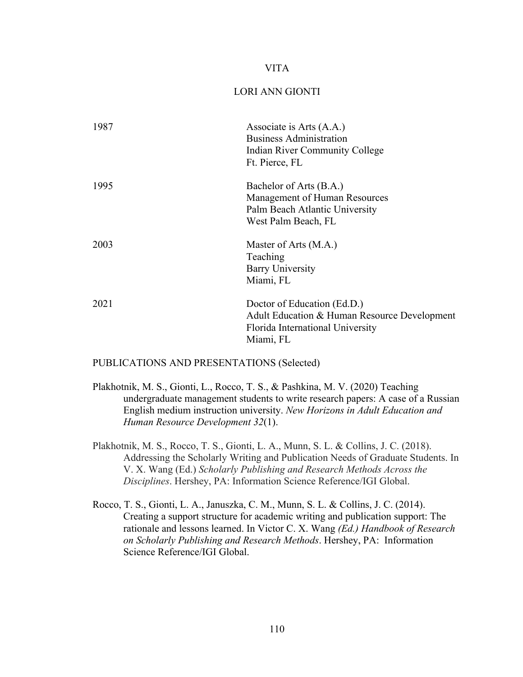## VITA

# LORI ANN GIONTI

| Associate is Arts (A.A.)<br><b>Business Administration</b><br>Indian River Community College<br>Ft. Pierce, FL               |
|------------------------------------------------------------------------------------------------------------------------------|
| Bachelor of Arts (B.A.)<br>Management of Human Resources<br>Palm Beach Atlantic University<br>West Palm Beach, FL            |
| Master of Arts (M.A.)<br>Teaching<br><b>Barry University</b><br>Miami, FL                                                    |
| Doctor of Education (Ed.D.)<br>Adult Education & Human Resource Development<br>Florida International University<br>Miami, FL |
|                                                                                                                              |

PUBLICATIONS AND PRESENTATIONS (Selected)

- Plakhotnik, M. S., Gionti, L., Rocco, T. S., & Pashkina, M. V. (2020) Teaching undergraduate management students to write research papers: A case of a Russian English medium instruction university. *New Horizons in Adult Education and Human Resource Development 32*(1).
- Plakhotnik, M. S., Rocco, T. S., Gionti, L. A., Munn, S. L. & Collins, J. C. (2018). Addressing the Scholarly Writing and Publication Needs of Graduate Students. In V. X. Wang (Ed.) *Scholarly Publishing and Research Methods Across the Disciplines*. Hershey, PA: Information Science Reference/IGI Global.
- Rocco, T. S., Gionti, L. A., Januszka, C. M., Munn, S. L. & Collins, J. C. (2014). Creating a support structure for academic writing and publication support: The rationale and lessons learned. In Victor C. X. Wang *(Ed.) Handbook of Research on Scholarly Publishing and Research Methods*. Hershey, PA: Information Science Reference/IGI Global.